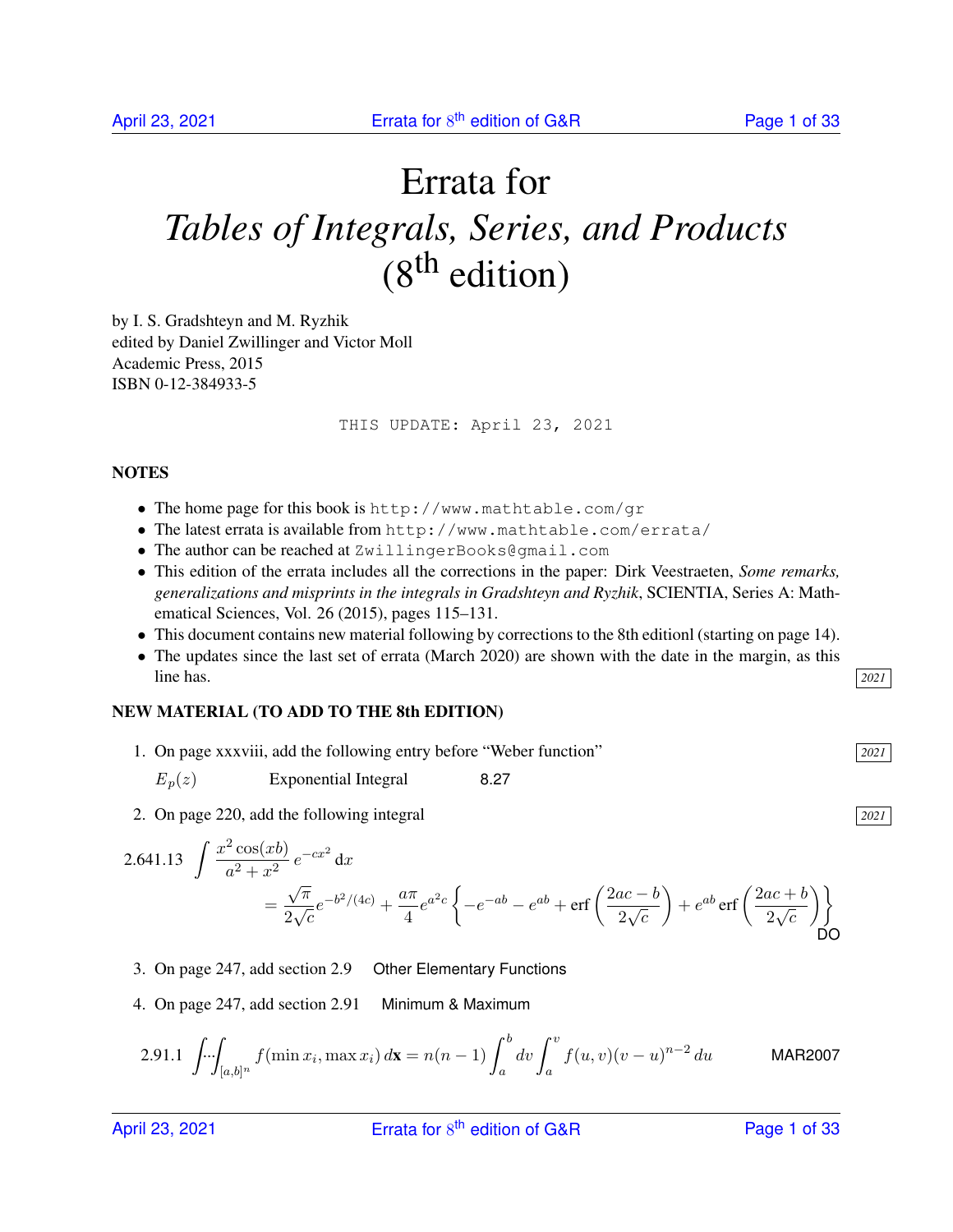# Errata for *Tables of Integrals, Series, and Products*  $(8<sup>th</sup>$  edition)

by I. S. Gradshteyn and M. Ryzhik edited by Daniel Zwillinger and Victor Moll Academic Press, 2015 ISBN 0-12-384933-5

THIS UPDATE: April 23, 2021

#### **NOTES**

- The home page for this book is http://www.mathtable.com/gr
- The latest errata is available from http://www.mathtable.com/errata/
- The author can be reached at ZwillingerBooks@gmail.com
- This edition of the errata includes all the corrections in the paper: Dirk Veestraeten, *Some remarks, generalizations and misprints in the integrals in Gradshteyn and Ryzhik*, SCIENTIA, Series A: Mathematical Sciences, Vol. 26 (2015), pages 115–131.
- This document contains new material following by corrections to the 8th editionl (starting on page 14).
- The updates since the last set of errata (March 2020) are shown with the date in the margin, as this line has. *2021*

#### NEW MATERIAL (TO ADD TO THE 8th EDITION)

- 1. On page xxxviii, add the following entry before "Weber function" *2021*
	- $E_n(z)$  Exponential Integral 8.27
- 2. On page 220, add the following integral *2021*

2.641.13 
$$
\int \frac{x^2 \cos(xb)}{a^2 + x^2} e^{-cx^2} dx
$$
  
=  $\frac{\sqrt{\pi}}{2\sqrt{c}} e^{-b^2/(4c)} + \frac{a\pi}{4} e^{a^2 c} \left\{ -e^{-ab} - e^{ab} + \text{erf}\left(\frac{2ac - b}{2\sqrt{c}}\right) + e^{ab} \text{erf}\left(\frac{2ac + b}{2\sqrt{c}}\right) \right\}$ DO

- 3. On page 247, add section 2.9 Other Elementary Functions
- 4. On page 247, add section 2.91 Minimum & Maximum

2.91.1 
$$
\int \int \int [a,b]^n f(\min x_i, \max x_i) dx = n(n-1) \int_a^b dv \int_a^v f(u,v)(v-u)^{n-2} du
$$
 MAR2007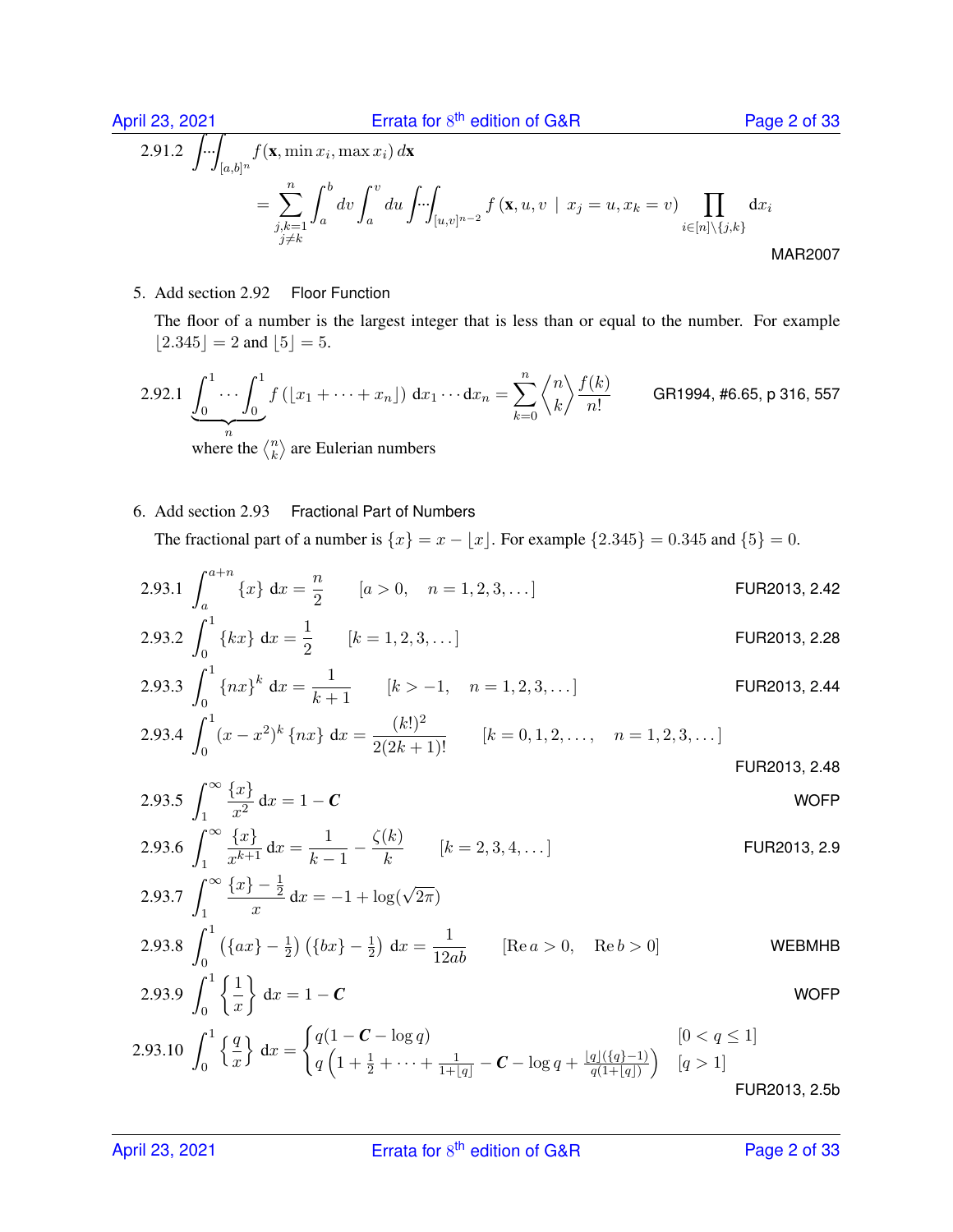April 23, 2021 **Errata for 8<sup>th</sup> edition of G&R** Page 2 of 33  $2.91.2$   $\left| \ldots \right|$  $[a,b]^n$  $f(\mathbf{x}, \min x_i, \max x_i) d\mathbf{x}$  $=\sum_{n=1}^{\infty}$  $j,k=1$  $j{\neq}k$  $\int^b$ a  $dv \int_0^v$ a  $du \nightharpoondown$  $[u,v]^{n-2}$  $f(\mathbf{x}, u, v \mid x_j = u, x_k = v)$  $i \in [n] \backslash \{j,k\}$  $dx_i$ MAR2007

5. Add section 2.92 Floor Function

The floor of a number is the largest integer that is less than or equal to the number. For example  $|2.345| = 2$  and  $|5| = 5$ .

2.92.1 
$$
\underbrace{\int_0^1 \cdots \int_0^1}_{n} f\left(\lfloor x_1 + \cdots + x_n \rfloor\right) dx_1 \cdots dx_n = \sum_{k=0}^n \left\langle {n \atop k} \right\rangle \frac{f(k)}{n!}
$$
 GR1994, #6.65, p 316, 557

where the  $\binom{n}{k}$  $\binom{n}{k}$  are Eulerian numbers

#### 6. Add section 2.93 Fractional Part of Numbers

The fractional part of a number is  $\{x\} = x - |x|$ . For example  $\{2.345\} = 0.345$  and  $\{5\} = 0$ .

2.93.1 
$$
\int_{a}^{a+n} \{x\} dx = \frac{n}{2}
$$
 [*a* > 0, *n* = 1, 2, 3, ...] FUR2013, 2.42

2.93.2 
$$
\int_0^1 \{kx\} dx = \frac{1}{2}
$$
 [ $k = 1, 2, 3, ...$ ] FUR2013, 2.28

2.93.3 
$$
\int_0^1 \{nx\}^k dx = \frac{1}{k+1}
$$
 [ $k > -1$ ,  $n = 1, 2, 3, ...$  ] FUR2013, 2.44

2.93.4 
$$
\int_0^1 (x - x^2)^k \{nx\} dx = \frac{(k!)^2}{2(2k+1)!}
$$
 [ $k = 0, 1, 2, ..., n = 1, 2, 3, ...$ ] FUR2013, 2.48

$$
2.93.5 \int_{1}^{\infty} \frac{\{x\}}{x^2} dx = 1 - C
$$
 WOFF

2.93.6 
$$
\int_{1}^{\infty} \frac{\{x\}}{x^{k+1}} dx = \frac{1}{k-1} - \frac{\zeta(k)}{k} \qquad [k = 2, 3, 4, \dots]
$$
  
2.93.7 
$$
\int_{1}^{\infty} \frac{\{x\} - \frac{1}{2}}{x} dx = -1 + \log(\sqrt{2\pi})
$$
  

2.93.8 
$$
\int_0^1 (\{ax\} - \frac{1}{2}) (\{bx\} - \frac{1}{2}) dx = \frac{1}{12ab}
$$
 [Re  $a > 0$ , Re  $b > 0$ ] WEBMHB

$$
2.93.9 \int_0^1 \left\{ \frac{1}{x} \right\} dx = 1 - C
$$
 WOFF

2.93.10 
$$
\int_0^1 \left\{ \frac{q}{x} \right\} dx = \begin{cases} q(1 - \mathbf{C} - \log q) & [0 < q \le 1] \\ q\left(1 + \frac{1}{2} + \dots + \frac{1}{1 + |q|} - \mathbf{C} - \log q + \frac{|q|(\{q\} - 1)}{q(1 + |q|)}\right) & [q > 1] \end{cases}
$$

FUR2013, 2.5b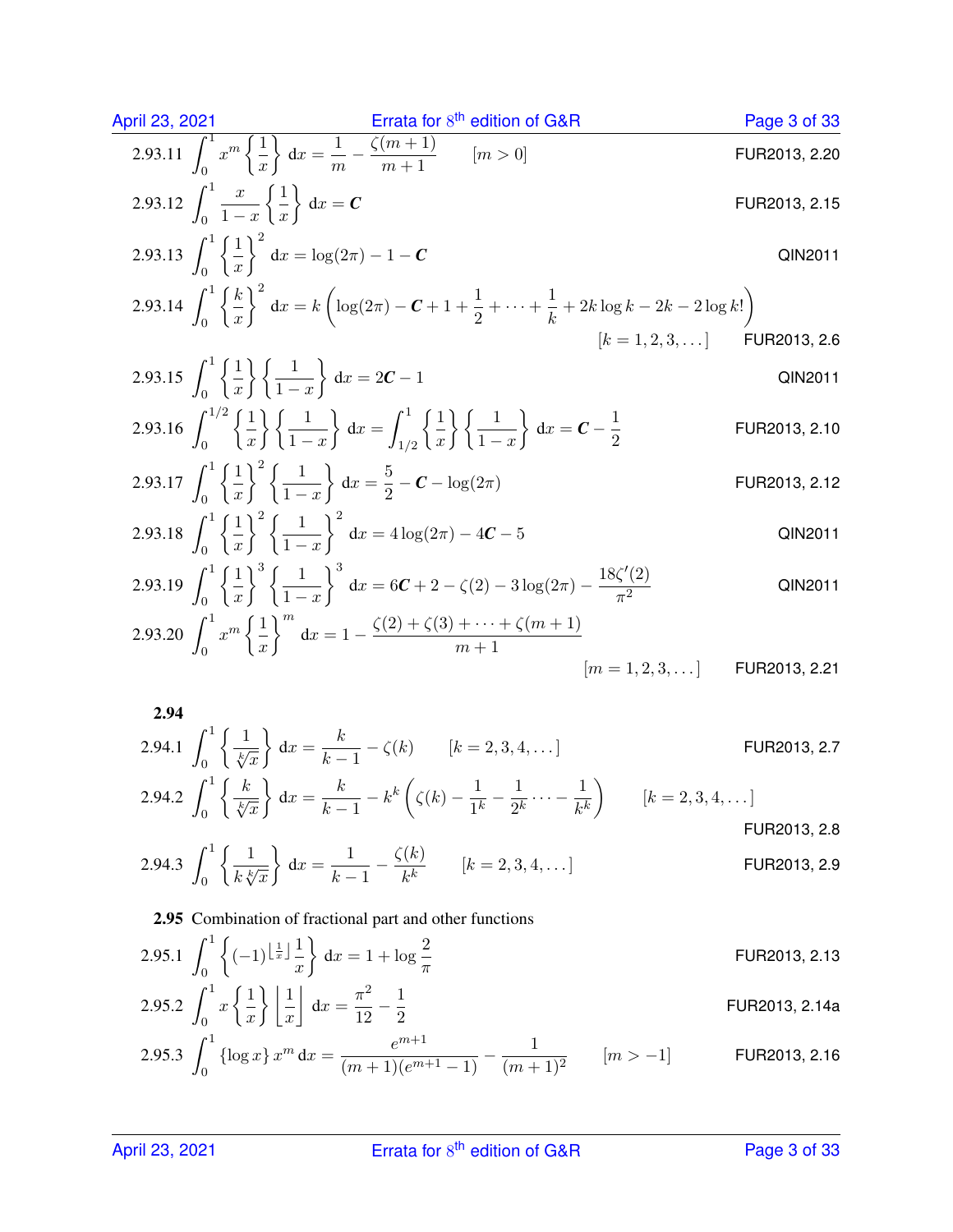| April 23, 2021                                                                                          | Errata for 8 <sup>th</sup> edition of G&R | Page 3 of 33 |
|---------------------------------------------------------------------------------------------------------|-------------------------------------------|--------------|
| 2.93.11 $\int_0^1 x^m \left\{ \frac{1}{x} \right\} dx = \frac{1}{m} - \frac{\zeta(m+1)}{m+1}$ $[m > 0]$ | FUR2013, 2.20                             |              |
| 2.93.12 $\int_0^1 \frac{x}{1-x} \left\{ \frac{1}{x} \right\} dx = C$                                    | FUR2013, 2.15                             |              |
| 2.93.13 $\int_0^1 \left\{ \frac{1}{x} \right\}^2 dx = \log(2\pi) - 1 - C$                               | QIN2011                                   |              |

2.93.14 
$$
\int_0^1 \left\{ \frac{k}{x} \right\}^2 dx = k \left( \log(2\pi) - C + 1 + \frac{1}{2} + \dots + \frac{1}{k} + 2k \log k - 2k - 2 \log k! \right)
$$
  
\n[ $k = 1, 2, 3, \dots$ ] FUR2013, 2.6

2.93.15 
$$
\int_0^1 \left\{ \frac{1}{x} \right\} \left\{ \frac{1}{1-x} \right\} dx = 2C - 1
$$
 QIN2011

2.93.16 
$$
\int_0^{1/2} \left\{ \frac{1}{x} \right\} \left\{ \frac{1}{1-x} \right\} dx = \int_{1/2}^1 \left\{ \frac{1}{x} \right\} \left\{ \frac{1}{1-x} \right\} dx = C - \frac{1}{2}
$$
 FUR2013, 2.10

2.93.17 
$$
\int_0^1 \left\{ \frac{1}{x} \right\}^2 \left\{ \frac{1}{1-x} \right\} dx = \frac{5}{2} - C - \log(2\pi)
$$
 FUR2013, 2.12

2.93.18 
$$
\int_0^1 \left\{ \frac{1}{x} \right\}^2 \left\{ \frac{1}{1-x} \right\}^2 dx = 4 \log(2\pi) - 4C - 5
$$
 QIN2011

2.93.19 
$$
\int_0^1 \left\{ \frac{1}{x} \right\}^3 \left\{ \frac{1}{1-x} \right\}^3 dx = 6C + 2 - \zeta(2) - 3\log(2\pi) - \frac{18\zeta'(2)}{\pi^2}
$$
 QIN2011

2.93.20 
$$
\int_0^1 x^m \left\{ \frac{1}{x} \right\}^m dx = 1 - \frac{\zeta(2) + \zeta(3) + \dots + \zeta(m+1)}{m+1}
$$
  
\n $[m = 1, 2, 3, \dots]$  FUR2013, 2.21

2.94 2.94.1 - 1 0 1 √k x dx = k k − 1 − ζ(k) [k = 2, 3, 4, . . . ] FUR2013, 2.7 1 k k k 1 1 1 

2.94.2 
$$
\int_0^1 \left\{ \frac{k}{\sqrt[k]{x}} \right\} dx = \frac{k}{k-1} - k^k \left( \zeta(k) - \frac{1}{1^k} - \frac{1}{2^k} \cdots - \frac{1}{k^k} \right)
$$
 [ $k = 2, 3, 4, \ldots$ ]

2.94.3 
$$
\int_0^1 \left\{ \frac{1}{k \sqrt[k]{x}} \right\} dx = \frac{1}{k-1} - \frac{\zeta(k)}{k^k}
$$
 [ $k = 2, 3, 4, ...$ ] FUR2013, 2.9

## 2.95 Combination of fractional part and other functions

2.95.1 
$$
\int_0^1 \left\{ (-1)^{\left\lfloor \frac{1}{x} \right\rfloor} \frac{1}{x} \right\} dx = 1 + \log \frac{2}{\pi}
$$
 FUR2013, 2.13

2.95.2 
$$
\int_0^1 x \left\{ \frac{1}{x} \right\} \left[ \frac{1}{x} \right] dx = \frac{\pi^2}{12} - \frac{1}{2}
$$
 FUR2013, 2.14a

2.95.3 
$$
\int_0^1 {\{\log x\}} x^m dx = \frac{e^{m+1}}{(m+1)(e^{m+1}-1)} - \frac{1}{(m+1)^2} \qquad [m > -1]
$$
 FUR2013, 2.16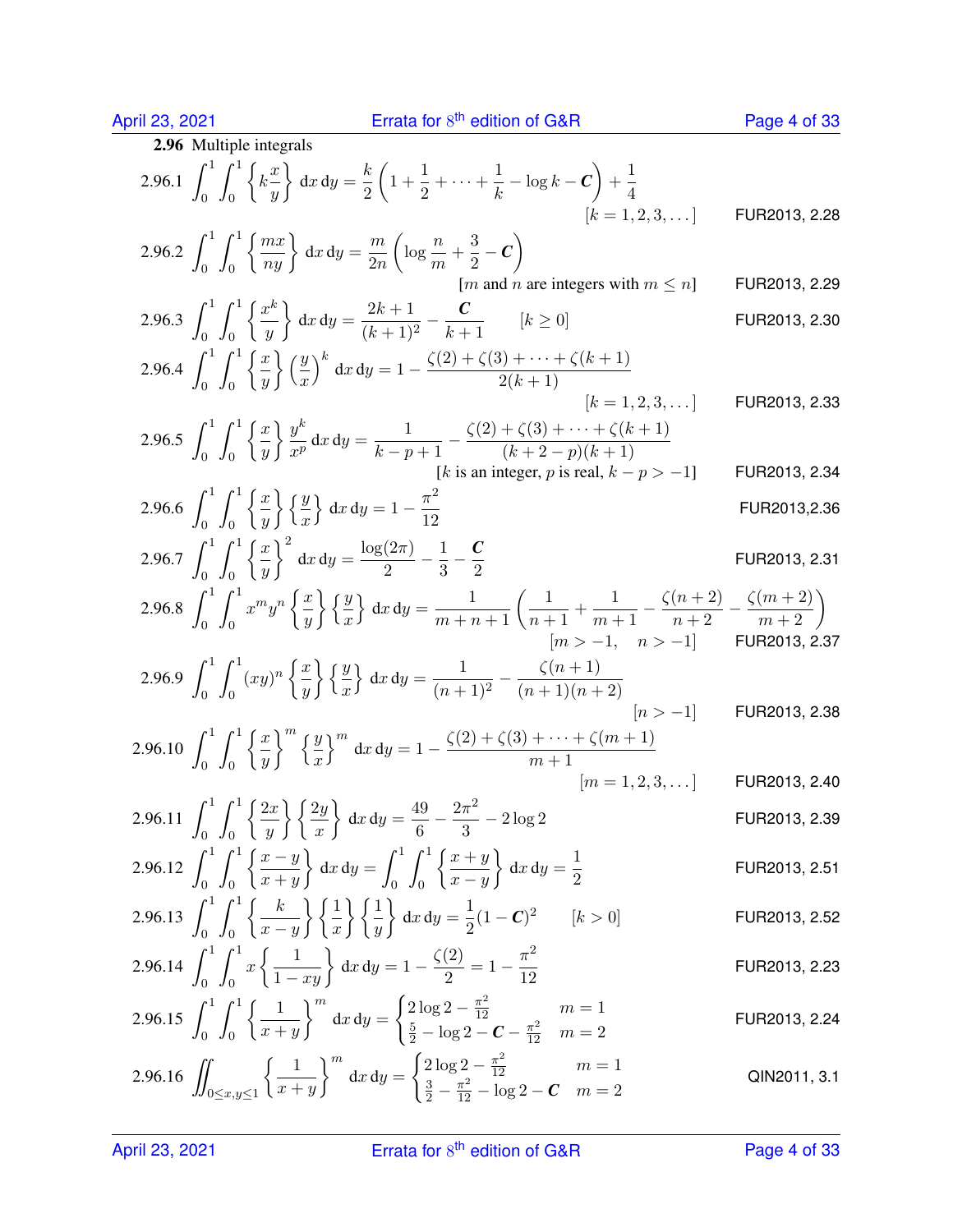April 23, 2021 **Errata for 8** 

| 2.96.1 $\int_0^1 \int_0^1 \left\{ k \frac{x}{y} \right\} dx dy = \frac{k}{2} \left( 1 + \frac{1}{2} + \cdots + \frac{1}{k} - \log k - C \right) + \frac{1}{4}$<br>$[k = 1, 2, 3, \dots]$<br>2.96.2 $\int_0^1 \int_0^1 \left\{ \frac{mx}{ny} \right\} dx dy = \frac{m}{2n} \left( \log \frac{n}{m} + \frac{3}{2} - C \right)$<br>[ <i>m</i> and <i>n</i> are integers with $m \leq n$ ]<br>2.96.3 $\int_0^1 \int_0^1 \left\{ \frac{x^k}{y} \right\} dx dy = \frac{2k+1}{(k+1)^2} - \frac{C}{k+1}$ $[k \ge 0]$<br>2.96.4 $\int_0^1 \int_0^1 \left\{ \frac{x}{y} \right\} \left( \frac{y}{x} \right)^k dx dy = 1 - \frac{\zeta(2) + \zeta(3) + \cdots + \zeta(k+1)}{2(k+1)}$<br>$[k = 1, 2, 3, \dots]$<br>2.96.5 $\int_0^1 \int_0^1 \left\{ \frac{x}{y} \right\} \frac{y^k}{x^p} dx dy = \frac{1}{k-p+1} - \frac{\zeta(2) + \zeta(3) + \cdots + \zeta(k+1)}{(k+2-p)(k+1)}$<br>[k is an integer, p is real, $k - p > -1$ ]<br>2.96.6 $\int_0^1 \int_0^1 \left\{ \frac{x}{y} \right\} \left\{ \frac{y}{x} \right\} dx dy = 1 - \frac{\pi^2}{12}$<br>2.96.7 $\int_0^1 \int_0^1 \left\{ \frac{x}{y} \right\}^2 dx dy = \frac{\log(2\pi)}{2} - \frac{1}{3} - \frac{C}{2}$<br>2.96.8 $\int_0^1 \int_0^1 x^m y^n \left\{ \frac{x}{y} \right\} \left\{ \frac{y}{x} \right\} dx dy = \frac{1}{m+n+1} \left( \frac{1}{n+1} + \frac{1}{m+1} - \frac{\zeta(n+2)}{n+2} - \frac{\zeta(m+2)}{m+2} \right)$<br>$[m > -1, n > -1]$ FUR2013, 2.37<br>2.96.9 $\int_0^1 \int_0^1 (xy)^n \left\{ \frac{x}{y} \right\} \left\{ \frac{y}{x} \right\} dx dy = \frac{1}{(n+1)^2} - \frac{\zeta(n+1)}{(n+1)(n+2)}$<br>$[n > -1]$<br>$[m = 1, 2, 3, \dots]$<br>$[k>0]$ | 2.96 Multiple integrals |               |
|------------------------------------------------------------------------------------------------------------------------------------------------------------------------------------------------------------------------------------------------------------------------------------------------------------------------------------------------------------------------------------------------------------------------------------------------------------------------------------------------------------------------------------------------------------------------------------------------------------------------------------------------------------------------------------------------------------------------------------------------------------------------------------------------------------------------------------------------------------------------------------------------------------------------------------------------------------------------------------------------------------------------------------------------------------------------------------------------------------------------------------------------------------------------------------------------------------------------------------------------------------------------------------------------------------------------------------------------------------------------------------------------------------------------------------------------------------------------------------------------------------------------------------------------------------------------------------------------------------------------------------------|-------------------------|---------------|
| 2.96.10 $\int_0^1 \int_0^1 \left\{ \frac{x}{y} \right\}^m \left\{ \frac{y}{x} \right\}^m dx dy = 1 - \frac{\zeta(2) + \zeta(3) + \cdots + \zeta(m+1)}{m+1}$<br>2.96.11 $\int_0^1 \int_0^1 \left\{ \frac{2x}{y} \right\} \left\{ \frac{2y}{x} \right\} dx dy = \frac{49}{6} - \frac{2\pi^2}{3} - 2\log 2$<br>2.96.12 $\int_0^1 \int_0^1 \left\{ \frac{x-y}{x+y} \right\} dx dy = \int_0^1 \int_0^1 \left\{ \frac{x+y}{x-y} \right\} dx dy = \frac{1}{2}$<br>2.96.13 $\int_0^1 \int_0^1 \left\{ \frac{k}{x-y} \right\} \left\{ \frac{1}{x} \right\} \left\{ \frac{1}{y} \right\} dx dy = \frac{1}{2} (1-C)^2$<br>2.96.14 $\int_0^1 \int_0^1 x \left\{ \frac{1}{1 - xu} \right\} dx dy = 1 - \frac{\zeta(2)}{2} = 1 - \frac{\pi^2}{12}$<br>2.96.15 $\int_0^1 \int_0^1 \left\{ \frac{1}{x+y} \right\}^m dx dy = \begin{cases} 2 \log 2 - \frac{\pi^2}{12} & m = 1 \\ \frac{5}{2} - \log 2 - C - \frac{\pi^2}{12} & m = 2 \end{cases}$<br>2.96.16 $\iint_{0 \le x,y \le 1} \left\{ \frac{1}{x+y} \right\}^{m} dx dy = \begin{cases} 2 \log 2 - \frac{\pi^2}{12} & m = 1 \\ \frac{3}{2} - \frac{\pi^2}{12} - \log 2 - C & m = 2 \end{cases}$                                                                                                                                                                                                                                                                                                                                                                                                                                                                                                   |                         | FUR2013, 2.28 |
|                                                                                                                                                                                                                                                                                                                                                                                                                                                                                                                                                                                                                                                                                                                                                                                                                                                                                                                                                                                                                                                                                                                                                                                                                                                                                                                                                                                                                                                                                                                                                                                                                                          |                         |               |
|                                                                                                                                                                                                                                                                                                                                                                                                                                                                                                                                                                                                                                                                                                                                                                                                                                                                                                                                                                                                                                                                                                                                                                                                                                                                                                                                                                                                                                                                                                                                                                                                                                          |                         | FUR2013, 2.29 |
|                                                                                                                                                                                                                                                                                                                                                                                                                                                                                                                                                                                                                                                                                                                                                                                                                                                                                                                                                                                                                                                                                                                                                                                                                                                                                                                                                                                                                                                                                                                                                                                                                                          |                         | FUR2013, 2.30 |
|                                                                                                                                                                                                                                                                                                                                                                                                                                                                                                                                                                                                                                                                                                                                                                                                                                                                                                                                                                                                                                                                                                                                                                                                                                                                                                                                                                                                                                                                                                                                                                                                                                          |                         |               |
|                                                                                                                                                                                                                                                                                                                                                                                                                                                                                                                                                                                                                                                                                                                                                                                                                                                                                                                                                                                                                                                                                                                                                                                                                                                                                                                                                                                                                                                                                                                                                                                                                                          |                         | FUR2013, 2.33 |
|                                                                                                                                                                                                                                                                                                                                                                                                                                                                                                                                                                                                                                                                                                                                                                                                                                                                                                                                                                                                                                                                                                                                                                                                                                                                                                                                                                                                                                                                                                                                                                                                                                          |                         | FUR2013, 2.34 |
|                                                                                                                                                                                                                                                                                                                                                                                                                                                                                                                                                                                                                                                                                                                                                                                                                                                                                                                                                                                                                                                                                                                                                                                                                                                                                                                                                                                                                                                                                                                                                                                                                                          |                         |               |
|                                                                                                                                                                                                                                                                                                                                                                                                                                                                                                                                                                                                                                                                                                                                                                                                                                                                                                                                                                                                                                                                                                                                                                                                                                                                                                                                                                                                                                                                                                                                                                                                                                          |                         | FUR2013,2.36  |
|                                                                                                                                                                                                                                                                                                                                                                                                                                                                                                                                                                                                                                                                                                                                                                                                                                                                                                                                                                                                                                                                                                                                                                                                                                                                                                                                                                                                                                                                                                                                                                                                                                          |                         | FUR2013, 2.31 |
|                                                                                                                                                                                                                                                                                                                                                                                                                                                                                                                                                                                                                                                                                                                                                                                                                                                                                                                                                                                                                                                                                                                                                                                                                                                                                                                                                                                                                                                                                                                                                                                                                                          |                         |               |
|                                                                                                                                                                                                                                                                                                                                                                                                                                                                                                                                                                                                                                                                                                                                                                                                                                                                                                                                                                                                                                                                                                                                                                                                                                                                                                                                                                                                                                                                                                                                                                                                                                          |                         |               |
|                                                                                                                                                                                                                                                                                                                                                                                                                                                                                                                                                                                                                                                                                                                                                                                                                                                                                                                                                                                                                                                                                                                                                                                                                                                                                                                                                                                                                                                                                                                                                                                                                                          |                         | FUR2013, 2.38 |
|                                                                                                                                                                                                                                                                                                                                                                                                                                                                                                                                                                                                                                                                                                                                                                                                                                                                                                                                                                                                                                                                                                                                                                                                                                                                                                                                                                                                                                                                                                                                                                                                                                          |                         |               |
|                                                                                                                                                                                                                                                                                                                                                                                                                                                                                                                                                                                                                                                                                                                                                                                                                                                                                                                                                                                                                                                                                                                                                                                                                                                                                                                                                                                                                                                                                                                                                                                                                                          |                         | FUR2013, 2.40 |
|                                                                                                                                                                                                                                                                                                                                                                                                                                                                                                                                                                                                                                                                                                                                                                                                                                                                                                                                                                                                                                                                                                                                                                                                                                                                                                                                                                                                                                                                                                                                                                                                                                          |                         |               |
|                                                                                                                                                                                                                                                                                                                                                                                                                                                                                                                                                                                                                                                                                                                                                                                                                                                                                                                                                                                                                                                                                                                                                                                                                                                                                                                                                                                                                                                                                                                                                                                                                                          |                         | FUR2013, 2.39 |
|                                                                                                                                                                                                                                                                                                                                                                                                                                                                                                                                                                                                                                                                                                                                                                                                                                                                                                                                                                                                                                                                                                                                                                                                                                                                                                                                                                                                                                                                                                                                                                                                                                          |                         | FUR2013, 2.51 |
|                                                                                                                                                                                                                                                                                                                                                                                                                                                                                                                                                                                                                                                                                                                                                                                                                                                                                                                                                                                                                                                                                                                                                                                                                                                                                                                                                                                                                                                                                                                                                                                                                                          |                         | FUR2013, 2.52 |
|                                                                                                                                                                                                                                                                                                                                                                                                                                                                                                                                                                                                                                                                                                                                                                                                                                                                                                                                                                                                                                                                                                                                                                                                                                                                                                                                                                                                                                                                                                                                                                                                                                          |                         | FUR2013, 2.23 |
|                                                                                                                                                                                                                                                                                                                                                                                                                                                                                                                                                                                                                                                                                                                                                                                                                                                                                                                                                                                                                                                                                                                                                                                                                                                                                                                                                                                                                                                                                                                                                                                                                                          |                         | FUR2013, 2.24 |
|                                                                                                                                                                                                                                                                                                                                                                                                                                                                                                                                                                                                                                                                                                                                                                                                                                                                                                                                                                                                                                                                                                                                                                                                                                                                                                                                                                                                                                                                                                                                                                                                                                          |                         | QIN2011, 3.1  |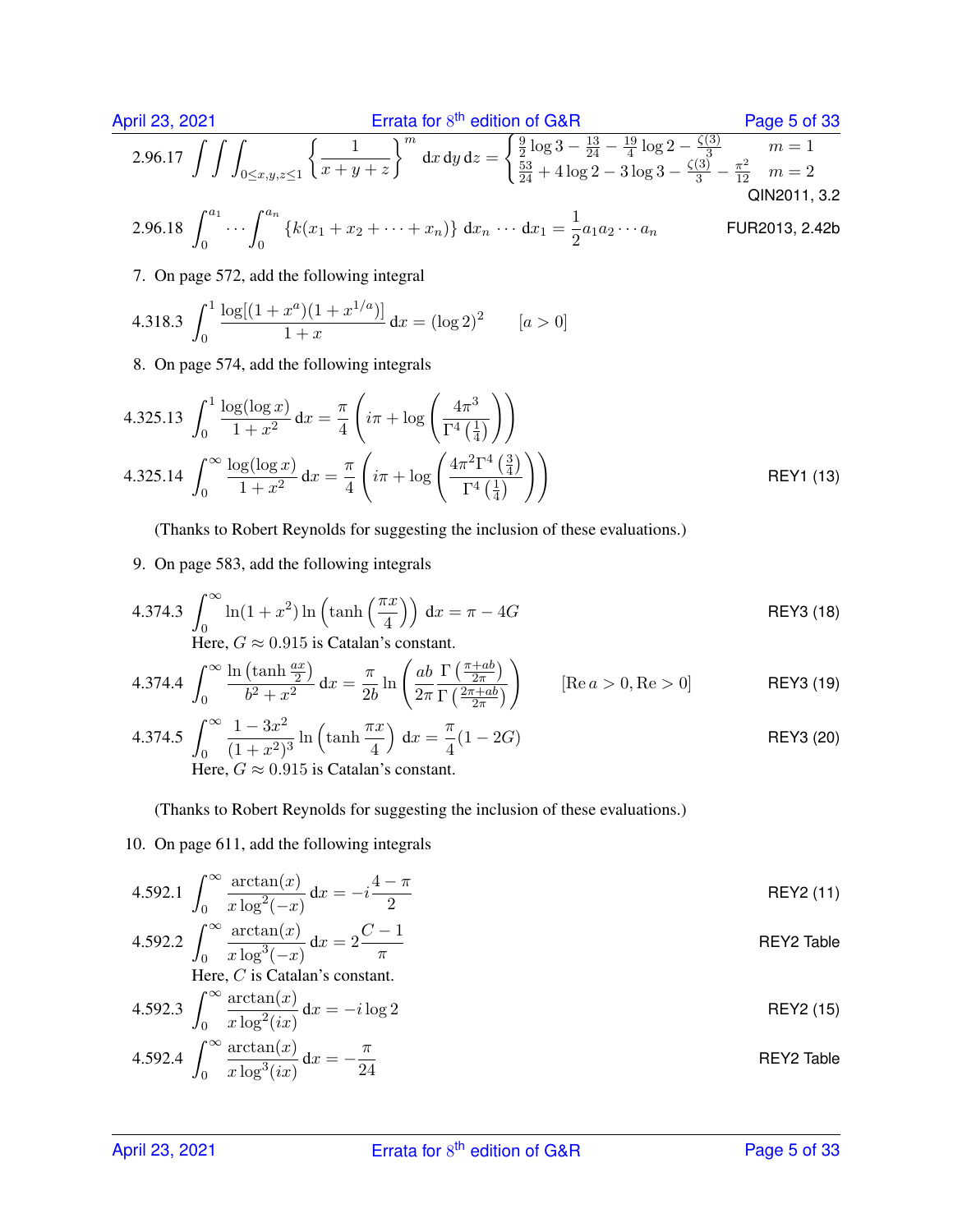| April 23, 2021 | Errata for 8 <sup>th</sup> edition of G&R                                                                                                                                                                                                                                                                                                | Page 5 of 33   |
|----------------|------------------------------------------------------------------------------------------------------------------------------------------------------------------------------------------------------------------------------------------------------------------------------------------------------------------------------------------|----------------|
| 2.96.17        | \n $\int \int \int_{0 \le x, y, z \le 1} \left\{ \frac{1}{x + y + z} \right\}^m dx dy dz =\n \begin{cases}\n \frac{9}{2} \log 3 - \frac{13}{24} - \frac{19}{4} \log 2 - \frac{\zeta(3)}{3} & m = 1 \\  \frac{53}{24} + 4 \log 2 - 3 \log 3 - \frac{\zeta(3)}{3} - \frac{\pi^2}{12} & m = 2\n \end{cases}\n \quad \text{QIN2011, 3.2}$ \n |                |
| 2.96.18        | \n $\int_0^{a_1} \cdots \int_0^{a_n} \left\{ k(x_1 + x_2 + \cdots + x_n) \right\} dx_n \cdots dx_1 = \frac{1}{2} a_1 a_2 \cdots a_n$ \n                                                                                                                                                                                                  | FUR2013, 2.42b |

7. On page 572, add the following integral

0

4.318.3 
$$
\int_0^1 \frac{\log[(1+x^a)(1+x^{1/a})]}{1+x} dx = (\log 2)^2 \qquad [a>0]
$$

8. On page 574, add the following integrals

4.325.13 
$$
\int_0^1 \frac{\log(\log x)}{1+x^2} dx = \frac{\pi}{4} \left( i\pi + \log \left( \frac{4\pi^3}{\Gamma^4 \left( \frac{1}{4} \right)} \right) \right)
$$
  
4.325.14 
$$
\int_0^\infty \frac{\log(\log x)}{1+x^2} dx = \frac{\pi}{4} \left( i\pi + \log \left( \frac{4\pi^2 \Gamma^4 \left( \frac{3}{4} \right)}{\Gamma^4 \left( \frac{1}{4} \right)} \right) \right)
$$
REV1 (13)

(Thanks to Robert Reynolds for suggesting the inclusion of these evaluations.)

9. On page 583, add the following integrals

4.374.3 
$$
\int_0^\infty \ln(1+x^2) \ln\left(\tanh\left(\frac{\pi x}{4}\right)\right) dx = \pi - 4G
$$
 REVIEW

Here,  $G \approx 0.915$  is Catalan's constant.

4.374.4 
$$
\int_0^\infty \frac{\ln\left(\tanh\frac{ax}{2}\right)}{b^2 + x^2} dx = \frac{\pi}{2b} \ln\left(\frac{ab}{2\pi} \frac{\Gamma\left(\frac{\pi + ab}{2\pi}\right)}{\Gamma\left(\frac{2\pi + ab}{2\pi}\right)}\right)
$$
 [Re  $a > 0$ , Re > 0] **REY3 (19)**

4.374.5 
$$
\int_0^\infty \frac{1 - 3x^2}{(1 + x^2)^3} \ln\left(\tanh\frac{\pi x}{4}\right) dx = \frac{\pi}{4}(1 - 2G)
$$
  
Here,  $G \approx 0.915$  is Catalan's constant.

(Thanks to Robert Reynolds for suggesting the inclusion of these evaluations.)

#### 10. On page 611, add the following integrals

4.592.1 
$$
\int_0^\infty \frac{\arctan(x)}{x \log^2(-x)} dx = -i \frac{4-\pi}{2}
$$
 REVIEW

4.592.2 
$$
\int_0^\infty \frac{\arctan(x)}{x \log^3(-x)} dx = 2 \frac{C-1}{\pi}
$$
 REVIEW  
Here, *C* is Catalan's constant.

4.592.3 
$$
\int_0^\infty \frac{\arctan(x)}{x \log^2(ix)} dx = -i \log 2
$$
 REVIEW 15)

4.592.4 
$$
\int_0^\infty \frac{\arctan(x)}{x \log^3(ix)} dx = -\frac{\pi}{24}
$$
 REVIEW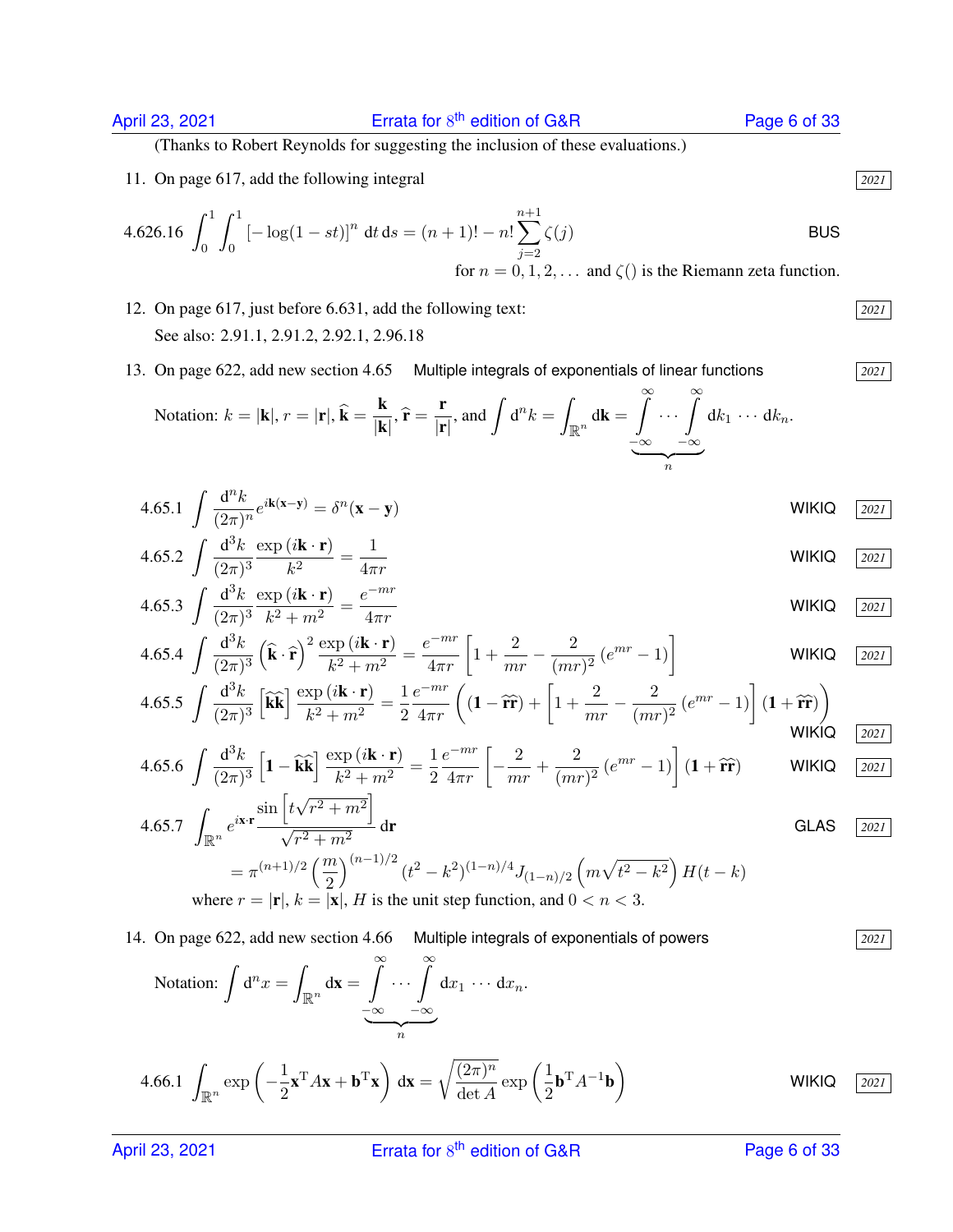(Thanks to Robert Reynolds for suggesting the inclusion of these evaluations.)

11. On page 617, add the following integral *2021*

4.626.16 
$$
\int_0^1 \int_0^1 [-\log(1 - st)]^n dt ds = (n + 1)! - n! \sum_{j=2}^{n+1} \zeta(j)
$$
   
for  $n = 0, 1, 2, ...$  and  $\zeta(j)$  is the Riemann zeta function.

- 12. On page 617, just before 6.631, add the following text: *2021* See also: 2.91.1, 2.91.2, 2.92.1, 2.96.18
- 13. On page 622, add new section 4.65 Multiple integrals of exponentials of linear functions *2021*

Notation: 
$$
k = |\mathbf{k}|
$$
,  $r = |\mathbf{r}|$ ,  $\hat{\mathbf{k}} = \frac{\mathbf{k}}{|\mathbf{k}|}$ ,  $\hat{\mathbf{r}} = \frac{\mathbf{r}}{|\mathbf{r}|}$ , and  $\int d^n k = \int_{\mathbb{R}^n} d\mathbf{k} = \int_{-\infty}^{\infty} \cdots \int_{-\infty}^{\infty} dk_1 \cdots dk_n$ .

$$
4.65.1 \int \frac{\mathrm{d}^n k}{(2\pi)^n} e^{i\mathbf{k(x-y)}} = \delta^n(\mathbf{x-y})
$$

4.65.2 
$$
\int \frac{d^3 k}{(2\pi)^3} \frac{\exp(i\mathbf{k} \cdot \mathbf{r})}{k^2} = \frac{1}{4\pi r}
$$
 WIKIQ  $\frac{2021}{}$ 

4.65.3 
$$
\int \frac{d^3k}{(2\pi)^3} \frac{\exp(i\mathbf{k} \cdot \mathbf{r})}{k^2 + m^2} = \frac{e^{-mr}}{4\pi r}
$$
 WIKIQ  $\frac{2021}{}$ 

$$
4.65.4 \int \frac{\mathrm{d}^3 k}{(2\pi)^3} \left(\hat{\mathbf{k}} \cdot \hat{\mathbf{r}}\right)^2 \frac{\exp\left(i\mathbf{k} \cdot \mathbf{r}\right)}{k^2 + m^2} = \frac{e^{-mr}}{4\pi r} \left[1 + \frac{2}{mr} - \frac{2}{(mr)^2} \left(e^{mr} - 1\right)\right]
$$
 WIKIQ  $\frac{2021}{2021}$ 

$$
4.65.5 \int \frac{\mathrm{d}^3 k}{(2\pi)^3} \left[ \widehat{\mathbf{k}} \widehat{\mathbf{k}} \right] \frac{\exp\left(i\mathbf{k} \cdot \mathbf{r}\right)}{k^2 + m^2} = \frac{1}{2} \frac{e^{-mr}}{4\pi r} \left( \left( 1 - \widehat{\mathbf{r}} \widehat{\mathbf{r}} \right) + \left[ 1 + \frac{2}{mr} - \frac{2}{(mr)^2} \left( e^{mr} - 1 \right) \right] \left( 1 + \widehat{\mathbf{r}} \widehat{\mathbf{r}} \right) \right)
$$

$$
4.65.6 \int \frac{\mathrm{d}^3 k}{(2\pi)^3} \left[ \mathbf{1} - \widehat{\mathbf{k}} \widehat{\mathbf{k}} \right] \frac{\exp\left(i\mathbf{k} \cdot \mathbf{r}\right)}{k^2 + m^2} = \frac{1}{2} \frac{e^{-mr}}{4\pi r} \left[ -\frac{2}{mr} + \frac{2}{(mr)^2} \left( e^{mr} - 1 \right) \right] \left( \mathbf{1} + \widehat{\mathbf{r}} \widehat{\mathbf{r}} \right) \qquad \text{WIKIQ} \quad \boxed{2021}
$$

4.65.7 
$$
\int_{\mathbb{R}^n} e^{i\mathbf{x} \cdot \mathbf{r}} \frac{\sin \left[t\sqrt{r^2 + m^2}\right]}{\sqrt{r^2 + m^2}} d\mathbf{r}
$$
GLAS  $\frac{2021}{2}$   
=  $\pi^{(n+1)/2} \left(\frac{m}{2}\right)^{(n-1)/2} (t^2 - k^2)^{(1-n)/4} J_{(1-n)/2} \left(m\sqrt{t^2 - k^2}\right) H(t - k)$   
where  $r = |\mathbf{r}|$ ,  $k = |\mathbf{x}|$ , H is the unit step function, and  $0 < n < 3$ .

14. On page 622, add new section 4.66 Multiple integrals of exponentials of powers *2021*

Notation: 
$$
\int d^n x = \int_{\mathbb{R}^n} d\mathbf{x} = \underbrace{\int_{-\infty}^{\infty} \cdots \int_{-\infty}^{\infty}}_{n} dx_1 \cdots dx_n.
$$

4.66.1 
$$
\int_{\mathbb{R}^n} \exp\left(-\frac{1}{2}\mathbf{x}^T A \mathbf{x} + \mathbf{b}^T \mathbf{x}\right) d\mathbf{x} = \sqrt{\frac{(2\pi)^n}{\det A}} \exp\left(\frac{1}{2}\mathbf{b}^T A^{-1} \mathbf{b}\right)
$$
 WIKIQ 2021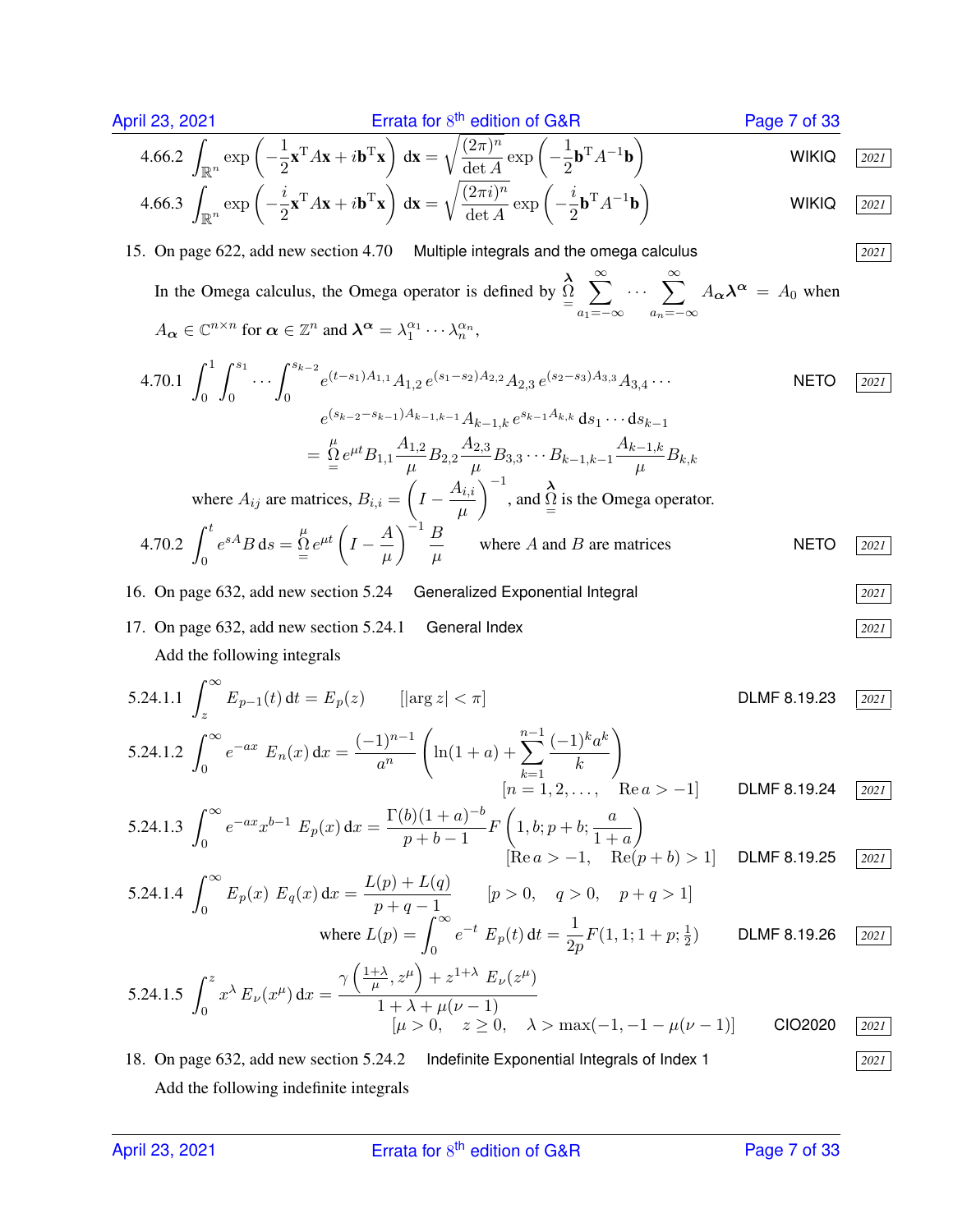April 23, 2021  
\n
$$
\text{Errata for 8}^{\text{th}} \text{ edition of } \text{G&R}
$$
\n4.66.2  $\int_{\mathbb{R}^n} \exp\left(-\frac{1}{2} \mathbf{x}^T A \mathbf{x} + i \mathbf{b}^T \mathbf{x}\right) d\mathbf{x} = \sqrt{\frac{(2\pi)^n}{\det A}} \exp\left(-\frac{1}{2} \mathbf{b}^T A^{-1} \mathbf{b}\right)$   
\n**4.66.3**  $\int_{\mathbb{R}^n} \exp\left(-\frac{i}{2} \mathbf{x}^T A \mathbf{x} + i \mathbf{b}^T \mathbf{x}\right) d\mathbf{x} = \sqrt{\frac{(2\pi i)^n}{\det A}} \exp\left(-\frac{i}{2} \mathbf{b}^T A^{-1} \mathbf{b}\right)$   
\n**WIKIQ** [2021]

### 15. On page 622, add new section 4.70 Multiple integrals and the omega calculus *2021*

In the Omega calculus, the Omega operator is defined by  $\Omega$  $\sum^{\infty}$  $a_1$ =−∞  $\cdots$   $\sum_{n=1}^{\infty}$  $a_n = -\infty$  $A_{\alpha} \lambda^{\alpha} = A_0$  when  $A_{\alpha} \in \mathbb{C}^{n \times n}$  for  $\alpha \in \mathbb{Z}^n$  and  $\lambda^{\alpha} = \lambda_1^{\alpha_1} \cdots \lambda_n^{\alpha_n}$ ,

4.70.1 
$$
\int_{0}^{1} \int_{0}^{s_{1}} \cdots \int_{0}^{s_{k-2}} e^{(t-s_{1})A_{1,1}} A_{1,2} e^{(s_{1}-s_{2})A_{2,2}} A_{2,3} e^{(s_{2}-s_{3})A_{3,3}} A_{3,4} \cdots
$$
 NETO  $\boxed{2021}$   
\n
$$
e^{(s_{k-2}-s_{k-1})A_{k-1,k-1}} A_{k-1,k} e^{s_{k-1}A_{k,k}} ds_{1} \cdots ds_{k-1}
$$
\n
$$
= \frac{\Lambda}{2} e^{\mu t} B_{1,1} \frac{A_{1,2}}{\mu} B_{2,2} \frac{A_{2,3}}{\mu} B_{3,3} \cdots B_{k-1,k-1} \frac{A_{k-1,k}}{\mu} B_{k,k}
$$
\nwhere  $A_{ij}$  are matrices,  $B_{i,i} = \left( I - \frac{A_{i,i}}{\mu} \right)^{-1}$ , and  $\frac{\Lambda}{2}$  is the Omega operator.  
\n4.70.2 
$$
\int_{0}^{t} e^{sA} B ds = \frac{\Lambda}{2} e^{\mu t} \left( I - \frac{A}{\mu} \right)^{-1} \frac{B}{\mu}
$$
 where *A* and *B* are matrices \tNETO  $\boxed{2021}$ 

16. On page 632, add new section 5.24 Generalized Exponential Integral 
$$
\boxed{2021}
$$

17. On page 632, add new section 5.24.1 General Index *2021*

Add the following integrals

5.24.1.1 
$$
\int_{z}^{\infty} E_{p-1}(t) dt = E_p(z)
$$
  $[\arg z] < \pi$  \nDLMF 8.19.23  $\boxed{2021}$   
\n5.24.1.2  $\int_{0}^{\infty} e^{-ax} E_n(x) dx = \frac{(-1)^{n-1}}{a^n} \left( \ln(1+a) + \sum_{k=1}^{n-1} \frac{(-1)^k a^k}{k} \right)$   
\n $[n = 1, 2, ..., \text{ Re } a > -1]$  \nDLMF 8.19.24  $\boxed{2021}$   
\n5.24.1.3  $\int_{0}^{\infty} e^{-ax} e^{-x} E_n(x) dx = \frac{\Gamma(b)(1+a)^{-b} - \Gamma(b)(1+a)^{-b}}{\Gamma(b)(1+a)^{-b} - \Gamma(b)(1+a)^{-b}} \left( \frac{1}{b} \ln |b| + \frac{b}{b} \right)$ 

5.24.1.3 
$$
\int_0^\infty e^{-ax} x^{b-1} E_p(x) dx = \frac{\Gamma(b)(1+a)^{-b}}{p+b-1} F\left(1, b; p+b; \frac{a}{1+a}\right)
$$
  
[Re  $a > -1$ , Re $(p+b) > 1$ ] DLMF 8.19.25 2021

5.24.1.4 
$$
\int_0^\infty E_p(x) E_q(x) dx = \frac{L(p) + L(q)}{p + q - 1}
$$
 [ $p > 0$ ,  $q > 0$ ,  $p + q > 1$ ]  
\nwhere  $L(p) = \int_0^\infty e^{-t} E_p(t) dt = \frac{1}{2p} F(1, 1; 1 + p; \frac{1}{2})$  DLMF 8.19.26 [2021]  
\n $\int_0^z \frac{1 + \lambda}{p} \int_0^y e^{-t} E_p(t) dt$ 

5.24.1.5 
$$
\int_0^z x^{\lambda} E_{\nu}(x^{\mu}) dx = \frac{\gamma \left( \frac{1+\lambda}{\mu}, z^{\mu} \right) + z^{1+\lambda} E_{\nu}(z^{\mu})}{1 + \lambda + \mu(\nu - 1)}
$$

$$
[\mu > 0, \quad z \ge 0, \quad \lambda > \max(-1, -1 - \mu(\nu - 1))]
$$
 CIO2020 2021

18. On page 632, add new section 5.24.2 Indefinite Exponential Integrals of Index 1 *2021* Add the following indefinite integrals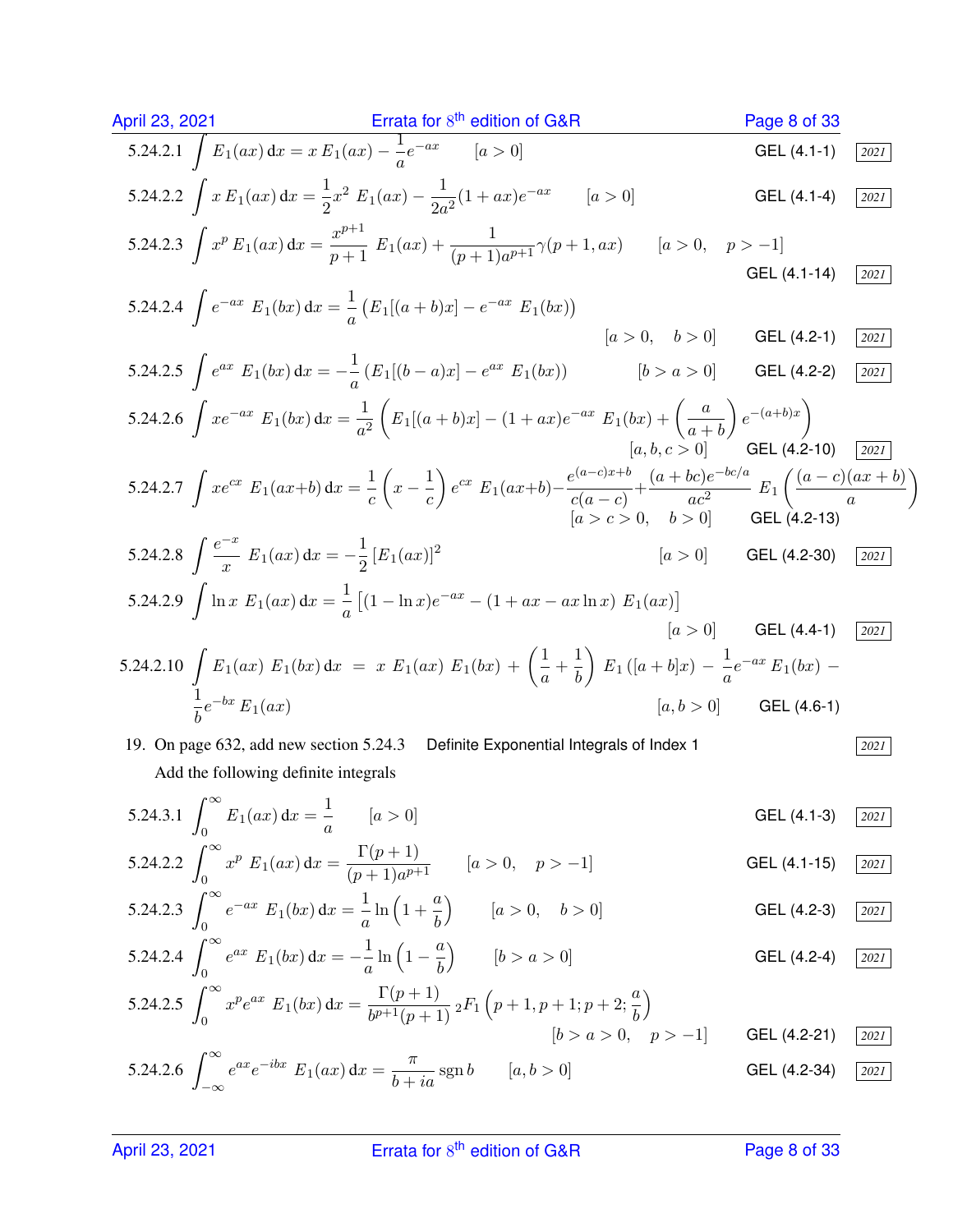April 23, 2021  
\n**1** Errata for s<sup>th</sup> edition of GAR  
\n**1** 5.24.2.1 
$$
\int E_1(ax) dx = x E_1(ax) - \frac{1}{a}e^{-ax}
$$
  $[a > 0]$   
\n**1** 5.24.2.2  $\int x E_1(ax) dx = \frac{1}{2}x^2 E_1(ax) - \frac{1}{2a^2}(1 + ax)e^{-ax}$   $[a > 0]$   
\n**1** 5.24.2.3  $\int x^p E_1(ax) dx = \frac{x^{p+1}}{p+1} E_1(ax) + \frac{1}{(p+1)a^{p+1}} \gamma(p+1,ax)$   $[a > 0, p > -1]$   
\n**1** 5.24.2.3  $\int e^{ax} E_1(bx) dx = \frac{1}{a} (E_1[(a+b)x] - e^{-ax} E_1(bx))$   
\n**1** 5.24.2.4  $\int e^{-ax} E_1(bx) dx = -\frac{1}{a} (E_1[(a+b)x] - e^{-ax} E_1(bx))$   
\n**1** 5.24.2.5  $\int e^{ax} E_1(bx) dx = -\frac{1}{a} (E_1[(a+b)x] - (1 + ax)e^{-ax} E_1(bx) + (\frac{a}{a+b})e^{-(a+b)x})$   
\n**1** 5.24.2.6  $\int xe^{-ax} E_1(bx) dx = \frac{1}{a^2} (E_1[(a+b)x] - (1 + ax)e^{-ax} E_1(bx) + (\frac{a}{a+b})e^{-(a+b)x})$   
\n**1** 5.24.2.6  $\int xe^{-x} E_1(ax) dx = \frac{1}{a^2} (E_1[(a+b)x] - (1 + ax)e^{-ax} E_1(bx) + (\frac{a}{a+b})e^{-bc/a}$   
\n**1** 5.24.2.8  $\int \frac{e^{-x}}{x} E_1(ax) dx = -\frac{1}{2} [E_1(ax)]^2$   
\n**1** 5.24.2.9  $\int \ln x E_1(ax) dx = -\frac{1}{2} [E_1(ax)]^2$   
\n**1** 5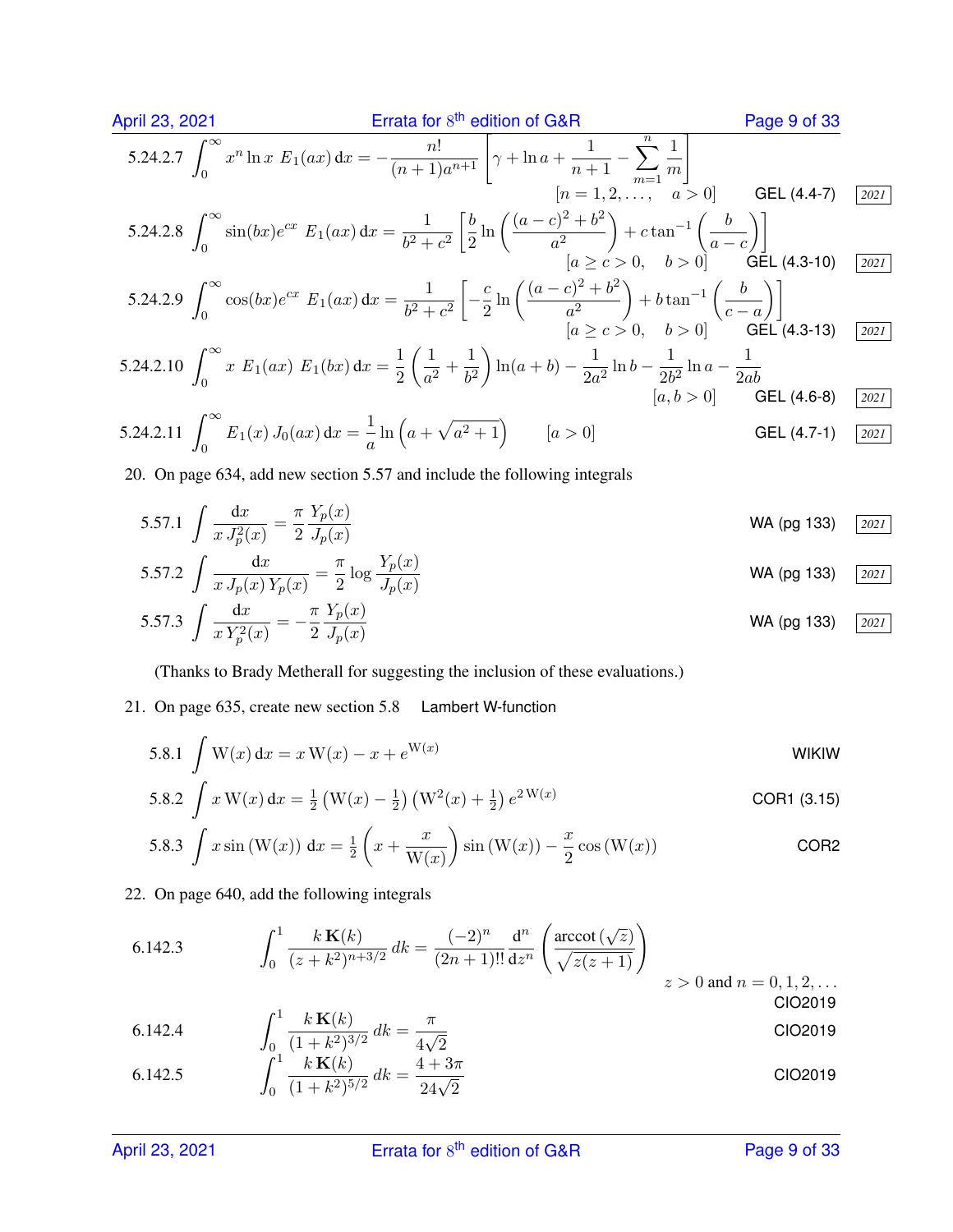April 23, 2021 **Errata for** 8<sup>th</sup> edition of G&R Page 9 of 33  
\n5.24.2.7 
$$
\int_0^\infty x^n \ln x E_1(ax) dx = -\frac{n!}{(n+1)a^{n+1}} \left[ \gamma + \ln a + \frac{1}{n+1} - \sum_{m=1}^n \frac{1}{m} \right]
$$
  
\n $[n = 1, 2, ..., \quad a > 0]$  GEL (4.4-7) [2021]  
\n5.24.2.8  $\int_0^\infty \sin(bx)e^{cx} E_1(ax) dx = \frac{1}{b^2 + c^2} \left[ \frac{b}{2} \ln \left( \frac{(a-c)^2 + b^2}{a^2} \right) + c \tan^{-1} \left( \frac{b}{a-c} \right) \right]$   
\n $[a \ge c > 0, \quad b > 0]$  GEL (4.3-10) [2021]  
\n5.24.2.9  $\int_0^\infty \cos(bx)e^{cx} E_1(ax) dx = \frac{1}{b^2 + c^2} \left[ -\frac{c}{2} \ln \left( \frac{(a-c)^2 + b^2}{a^2} \right) + b \tan^{-1} \left( \frac{b}{c-a} \right) \right]$   
\n $[a \ge c > 0, \quad b > 0]$  GEL (4.3-13) [2021]  
\n5.24.2.10  $\int_0^\infty x E_1(ax) E_1(bx) dx = \frac{1}{2} \left( \frac{1}{a^2} + \frac{1}{b^2} \right) \ln(a+b) - \frac{1}{2a^2} \ln b - \frac{1}{2b^2} \ln a - \frac{1}{2ab}$   
\n $[a, b > 0]$  GEL (4.6-8) [2021]  
\n5.24.2.11  $\int_0^\infty E_1(x) J_0(ax) dx = \frac{1}{a} \ln \left( a + \sqrt{a^2 + 1} \right)$   $[a > 0]$   
\n20. On page 634, add new section 5.57 and include the following integrals

20. On page 654, and new section 5.57 and include the following integrals\n
$$
\int d\mathbf{r} = \pi \nabla(\mathbf{r})
$$

5.57.1 
$$
\int \frac{dx}{x J_p^2(x)} = \frac{\pi}{2} \frac{Y_p(x)}{J_p(x)}
$$
  
WA (pg 133)  $\boxed{2021}$   
5.57.2  $\int \frac{dx}{y} = \frac{\pi}{2} \frac{Y_p(x)}{J_p(x)}$ 

5.57.2 
$$
\int \frac{dx}{x J_p(x) Y_p(x)} = \frac{\pi}{2} \log \frac{Y_p(x)}{J_p(x)}
$$
 WA (pg 133) 2021

5.57.3 
$$
\int \frac{dx}{x Y_p^2(x)} = -\frac{\pi}{2} \frac{Y_p(x)}{J_p(x)}
$$
 WA (pg 133)  $\boxed{2021}$ 

(Thanks to Brady Metherall for suggesting the inclusion of these evaluations.)

# 21. On page 635, create new section 5.8 Lambert W-function

5.8.1 -W(x) dx = xW(x) − x + e W(x) WIKIW

5.8.2 
$$
\int x W(x) dx = \frac{1}{2} (W(x) - \frac{1}{2}) (W^2(x) + \frac{1}{2}) e^{2W(x)}
$$
 COR1 (3.15)

5.8.3 
$$
\int x \sin(W(x)) dx = \frac{1}{2} \left( x + \frac{x}{W(x)} \right) \sin(W(x)) - \frac{x}{2} \cos(W(x))
$$
 COR2

22. On page 640, add the following integrals

6.142.3 
$$
\int_0^1 \frac{k \mathbf{K}(k)}{(z+k^2)^{n+3/2}} dk = \frac{(-2)^n}{(2n+1)!!} \frac{d^n}{dz^n} \left( \frac{\operatorname{arccot}(\sqrt{z})}{\sqrt{z(z+1)}} \right) \qquad z > 0 \text{ and } n = 0, 1, 2, ...
$$
ClO2019

6.142.4 
$$
\int_0^1 \frac{k \mathbf{K}(k)}{(1+k^2)^{3/2}} dk = \frac{\pi}{4\sqrt{2}}
$$
ClO2019

6.142.5 
$$
\int_0^1 \frac{k \mathbf{K}(k)}{(1+k^2)^{5/2}} dk = \frac{4+3\pi}{24\sqrt{2}}
$$
CIO2019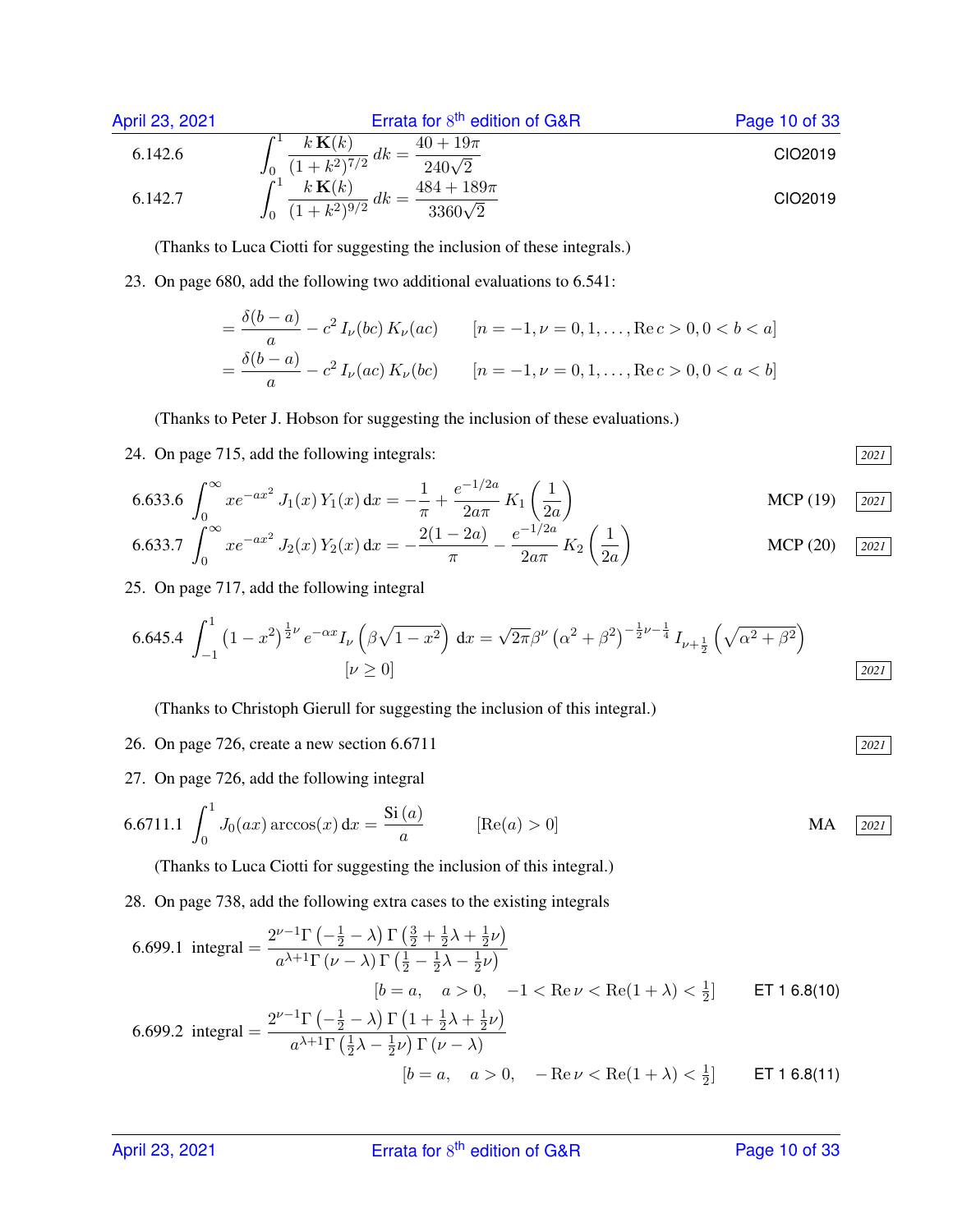| April 23, 2021 | Errata for $8^{th}$ edition of G&R                                                                       | Page 10 of 33 |
|----------------|----------------------------------------------------------------------------------------------------------|---------------|
| 6.142.6        | \n $\int_{0}^{1} \frac{k \mathbf{K}(k)}{(1 + k^{2})^{7/2}} \, dk = \frac{40 + 19\pi}{240\sqrt{2}}$ \n    | C102019       |
| 6.142.7        | \n $\int_{0}^{1} \frac{k \mathbf{K}(k)}{(1 + k^{2})^{9/2}} \, dk = \frac{484 + 189\pi}{3360\sqrt{2}}$ \n | C102019       |

(Thanks to Luca Ciotti for suggesting the inclusion of these integrals.)

23. On page 680, add the following two additional evaluations to 6.541:

$$
= \frac{\delta(b-a)}{a} - c^2 I_{\nu}(bc) K_{\nu}(ac) \qquad [n = -1, \nu = 0, 1, ..., \text{Re}\,c > 0, 0 < b < a]
$$
\n
$$
= \frac{\delta(b-a)}{a} - c^2 I_{\nu}(ac) K_{\nu}(bc) \qquad [n = -1, \nu = 0, 1, ..., \text{Re}\,c > 0, 0 < a < b]
$$

(Thanks to Peter J. Hobson for suggesting the inclusion of these evaluations.)

24. On page 715, add the following integrals: *2021*

6.633.6 
$$
\int_0^\infty xe^{-ax^2} J_1(x) Y_1(x) dx = -\frac{1}{\pi} + \frac{e^{-1/2a}}{2a\pi} K_1\left(\frac{1}{2a}\right)
$$
 MCP (19) [2021]

$$
6.633.7 \int_0^\infty x e^{-ax^2} J_2(x) Y_2(x) dx = -\frac{2(1-2a)}{\pi} - \frac{e^{-1/2a}}{2a\pi} K_2\left(\frac{1}{2a}\right)
$$
 MCP (20) [2021]

25. On page 717, add the following integral

$$
6.645.4 \int_{-1}^{1} (1-x^2)^{\frac{1}{2}\nu} e^{-\alpha x} I_{\nu} \left(\beta \sqrt{1-x^2}\right) dx = \sqrt{2\pi} \beta^{\nu} \left(\alpha^2 + \beta^2\right)^{-\frac{1}{2}\nu - \frac{1}{4}} I_{\nu + \frac{1}{2}} \left(\sqrt{\alpha^2 + \beta^2}\right)
$$
  
[ $\nu \ge 0$ ]

(Thanks to Christoph Gierull for suggesting the inclusion of this integral.)

- 26. On page 726, create a new section 6.6711 *2021*
- 27. On page 726, add the following integral

6.6711.1 
$$
\int_0^1 J_0(ax) \arccos(x) dx = \frac{\text{Si}(a)}{a}
$$
 [Re(a) > 0] MA 2021

(Thanks to Luca Ciotti for suggesting the inclusion of this integral.)

28. On page 738, add the following extra cases to the existing integrals

6.699.1 integral 
$$
= \frac{2^{\nu-1}\Gamma\left(-\frac{1}{2} - \lambda\right)\Gamma\left(\frac{3}{2} + \frac{1}{2}\lambda + \frac{1}{2}\nu\right)}{a^{\lambda+1}\Gamma(\nu-\lambda)\Gamma\left(\frac{1}{2} - \frac{1}{2}\lambda - \frac{1}{2}\nu\right)}
$$
\n
$$
[b = a, \quad a > 0, \quad -1 < \text{Re}\,\nu < \text{Re}(1+\lambda) < \frac{1}{2}] \qquad \text{ET 1 6.8(10)}
$$
\n6.699.2 integral 
$$
= \frac{2^{\nu-1}\Gamma\left(-\frac{1}{2} - \lambda\right)\Gamma\left(1 + \frac{1}{2}\lambda + \frac{1}{2}\nu\right)}{a^{\lambda+1}\Gamma\left(\frac{1}{2}\lambda - \frac{1}{2}\nu\right)\Gamma(\nu-\lambda)}
$$
\n
$$
[b = a, \quad a > 0, \quad -\text{Re}\,\nu < \text{Re}(1+\lambda) < \frac{1}{2}] \qquad \text{ET 1 6.8(11)}
$$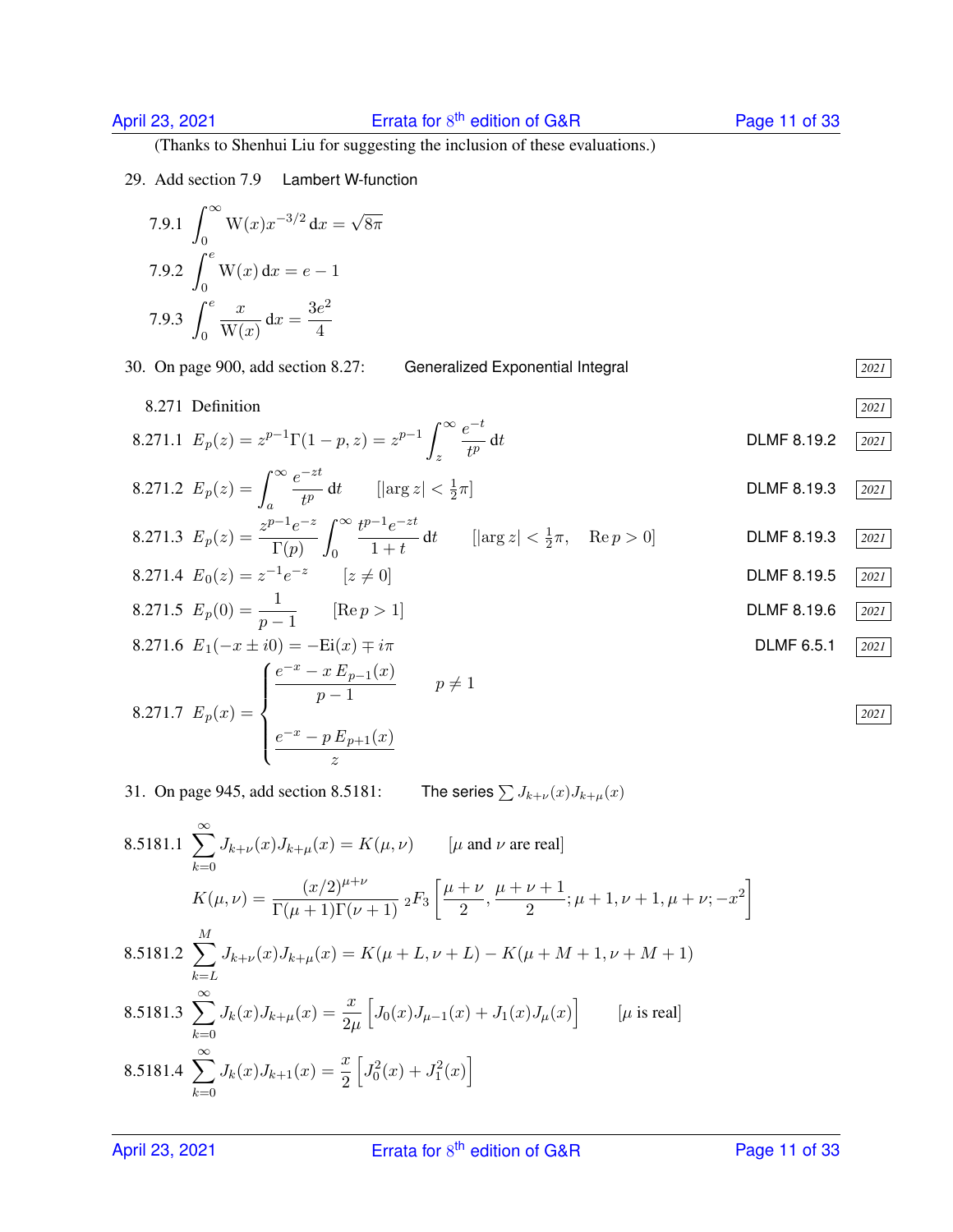(Thanks to Shenhui Liu for suggesting the inclusion of these evaluations.)

29. Add section 7.9 Lambert W-function

7.9.1 
$$
\int_0^\infty W(x)x^{-3/2} dx = \sqrt{8\pi}
$$
  
7.9.2 
$$
\int_0^e W(x) dx = e - 1
$$
  
7.9.3 
$$
\int_0^e \frac{x}{W(x)} dx = \frac{3e^2}{4}
$$

30. On page 900, add section 8.27: Generalized Exponential Integral *2021*

8.271.2  $E_p(z) = \int_{0}^{\infty}$ 

8.271.3  $E_p(z) = \frac{z^{p-1}e^{-z}}{\Gamma(z)}$ 

8.271.4  $E_0(z) = z^{-1}e^{-z}$ 

8.271.5  $E_p(0) = \frac{1}{p-1}$ 

8.271.1  $E_p(z) = z^{p-1} \Gamma(1-p, z) = z^{p-1} \int_{0}^{\infty}$ 

 $e^{-zt}$ 

 $\int^{\infty}$  $\boldsymbol{0}$ 

a

 $\Gamma(p)$ 

z

2

 $\frac{e}{1+t}$  dt [|arg z|  $\lt \frac{1}{2}$ 

 $e^{-t}$ t p

8.271 Definition *2021* DLMF 8.19.2 **2021** DLMF 8.19.3 <u>2021</u>  $\frac{1}{2}\pi$ , Re  $p > 0$ ] **DLMF 8.19.3** 2021 DLMF 8.19.5 2021 DLMF 8.19.6 2021

*2021*

8.271.6 
$$
E_1(-x \pm i0) = -Ei(x) \mp i\pi
$$
  
\nB.271.7  $E_p(x) = \begin{cases} \frac{e^{-x} - x E_{p-1}(x)}{p-1} & p \neq 1 \\ \frac{e^{-x} - p E_{p+1}(x)}{z} & \end{cases}$  DLMF 6.5.1  $\boxed{2021}$ 

31. On page 945, add section 8.5181: The series  $\sum J_{k+\nu}(x)J_{k+\mu}(x)$ 

 $\frac{1}{t^p}$  dt [|arg z|  $\lt \frac{1}{2}$ 

 $t^{p-1}e^{-zt}$ 

8.5181.1 
$$
\sum_{k=0}^{\infty} J_{k+\nu}(x)J_{k+\mu}(x) = K(\mu, \nu) \qquad [\mu \text{ and } \nu \text{ are real}]
$$
  
\n
$$
K(\mu, \nu) = \frac{(x/2)^{\mu+\nu}}{\Gamma(\mu+1)\Gamma(\nu+1)} 2F_3 \left[ \frac{\mu+\nu}{2}, \frac{\mu+\nu+1}{2}; \mu+1, \nu+1, \mu+\nu; -x^2 \right]
$$
  
\n8.5181.2 
$$
\sum_{k=L}^{M} J_{k+\nu}(x)J_{k+\mu}(x) = K(\mu+L, \nu+L) - K(\mu+M+1, \nu+M+1)
$$
  
\n8.5181.3 
$$
\sum_{k=0}^{\infty} J_k(x)J_{k+\mu}(x) = \frac{x}{2\mu} \left[ J_0(x)J_{\mu-1}(x) + J_1(x)J_{\mu}(x) \right] \qquad [\mu \text{ is real}]
$$
  
\n8.5181.4 
$$
\sum_{k=0}^{\infty} J_k(x)J_{k+1}(x) = \frac{x}{2} \left[ J_0^2(x) + J_1^2(x) \right]
$$

April 23, 2021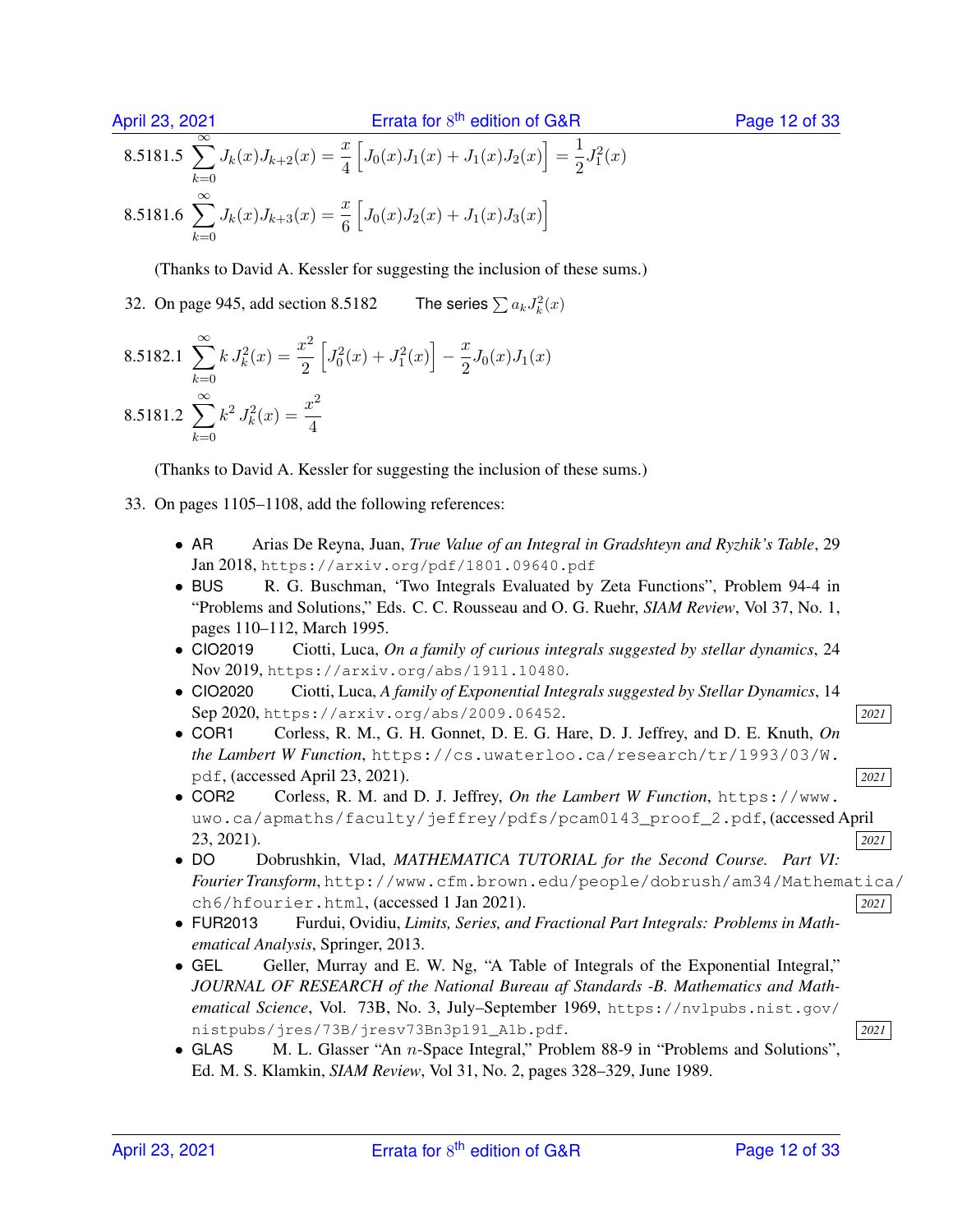$$
8.5181.5 \sum_{k=0}^{\infty} J_k(x)J_{k+2}(x) = \frac{x}{4} \left[ J_0(x)J_1(x) + J_1(x)J_2(x) \right] = \frac{1}{2}J_1^2(x)
$$
  

$$
8.5181.6 \sum_{k=0}^{\infty} J_k(x)J_{k+3}(x) = \frac{x}{6} \left[ J_0(x)J_2(x) + J_1(x)J_3(x) \right]
$$

(Thanks to David A. Kessler for suggesting the inclusion of these sums.)

32. On page  $945$ , add section  $8.5182$  $\binom{2}{k}(x)$ 

8.5182.1 
$$
\sum_{k=0}^{\infty} k J_k^2(x) = \frac{x^2}{2} \left[ J_0^2(x) + J_1^2(x) \right] - \frac{x}{2} J_0(x) J_1(x)
$$
  
8.5181.2 
$$
\sum_{k=0}^{\infty} k^2 J_k^2(x) = \frac{x^2}{4}
$$

(Thanks to David A. Kessler for suggesting the inclusion of these sums.)

- 33. On pages 1105–1108, add the following references:
	- AR Arias De Reyna, Juan, *True Value of an Integral in Gradshteyn and Ryzhik's Table*, 29 Jan 2018, https://arxiv.org/pdf/1801.09640.pdf
	- BUS R. G. Buschman, 'Two Integrals Evaluated by Zeta Functions'', Problem 94-4 in "Problems and Solutions," Eds. C. C. Rousseau and O. G. Ruehr, *SIAM Review*, Vol 37, No. 1, pages 110–112, March 1995.
	- CIO2019 Ciotti, Luca, *On a family of curious integrals suggested by stellar dynamics*, 24 Nov 2019, https://arxiv.org/abs/1911.10480.
	- CIO2020 Ciotti, Luca, *A family of Exponential Integrals suggested by Stellar Dynamics*, 14 Sep 2020, https://arxiv.org/abs/2009.06452. *2021*
	- COR1 Corless, R. M., G. H. Gonnet, D. E. G. Hare, D. J. Jeffrey, and D. E. Knuth, *On the Lambert W Function*, https://cs.uwaterloo.ca/research/tr/1993/03/W. pdf, (accessed April 23, 2021). *<sup>2021</sup>*
	- COR2 Corless, R. M. and D. J. Jeffrey, *On the Lambert W Function*, https://www. uwo.ca/apmaths/faculty/jeffrey/pdfs/pcam0143\_proof\_2.pdf, (accessed April 23, 2021). *2021*
	- DO Dobrushkin, Vlad, *MATHEMATICA TUTORIAL for the Second Course. Part VI: Fourier Transform*, http://www.cfm.brown.edu/people/dobrush/am34/Mathematica/ ch6/hfourier.html, (accessed 1 Jan 2021). *<sup>2021</sup>*
	- FUR2013 Furdui, Ovidiu, *Limits, Series, and Fractional Part Integrals: Problems in Mathematical Analysis*, Springer, 2013.
	- GEL Geller, Murray and E. W. Ng, "A Table of Integrals of the Exponential Integral," *JOURNAL OF RESEARCH of the National Bureau af Standards -B. Mathematics and Mathematical Science*, Vol. 73B, No. 3, July–September 1969, https://nvlpubs.nist.gov/ nistpubs/jres/73B/jresv73Bn3p191\_A1b.pdf. *2021*
	- GLAS M. L. Glasser "An n-Space Integral," Problem 88-9 in "Problems and Solutions", Ed. M. S. Klamkin, *SIAM Review*, Vol 31, No. 2, pages 328–329, June 1989.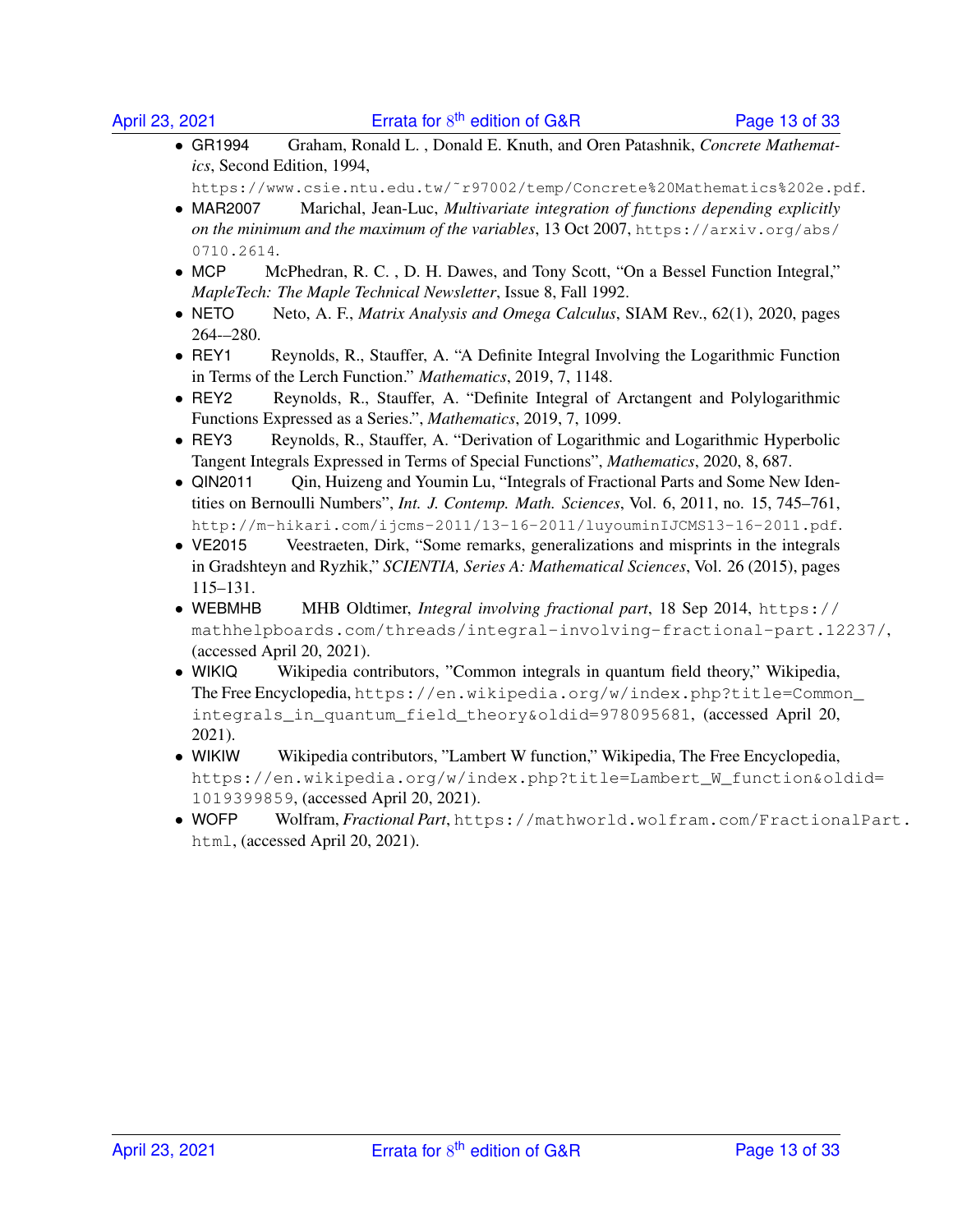• GR1994 Graham, Ronald L. , Donald E. Knuth, and Oren Patashnik, *Concrete Mathematics*, Second Edition, 1994,

https://www.csie.ntu.edu.tw/˜r97002/temp/Concrete%20Mathematics%202e.pdf.

- MAR2007 Marichal, Jean-Luc, *Multivariate integration of functions depending explicitly on the minimum and the maximum of the variables*, 13 Oct 2007, https://arxiv.org/abs/ 0710.2614.
- MCP McPhedran, R. C. , D. H. Dawes, and Tony Scott, "On a Bessel Function Integral," *MapleTech: The Maple Technical Newsletter*, Issue 8, Fall 1992.
- NETO Neto, A. F., *Matrix Analysis and Omega Calculus*, SIAM Rev., 62(1), 2020, pages 264-–280.
- REY1 Reynolds, R., Stauffer, A. "A Definite Integral Involving the Logarithmic Function in Terms of the Lerch Function." *Mathematics*, 2019, 7, 1148.
- REY2 Reynolds, R., Stauffer, A. "Definite Integral of Arctangent and Polylogarithmic Functions Expressed as a Series.", *Mathematics*, 2019, 7, 1099.
- REY3 Reynolds, R., Stauffer, A. "Derivation of Logarithmic and Logarithmic Hyperbolic Tangent Integrals Expressed in Terms of Special Functions", *Mathematics*, 2020, 8, 687.
- QIN2011 Qin, Huizeng and Youmin Lu, "Integrals of Fractional Parts and Some New Identities on Bernoulli Numbers", *Int. J. Contemp. Math. Sciences*, Vol. 6, 2011, no. 15, 745–761, http://m-hikari.com/ijcms-2011/13-16-2011/luyouminIJCMS13-16-2011.pdf.
- VE2015 Veestraeten, Dirk, "Some remarks, generalizations and misprints in the integrals in Gradshteyn and Ryzhik," *SCIENTIA, Series A: Mathematical Sciences*, Vol. 26 (2015), pages 115–131.
- WEBMHB MHB Oldtimer, *Integral involving fractional part*, 18 Sep 2014, https:// mathhelpboards.com/threads/integral-involving-fractional-part.12237/, (accessed April 20, 2021).
- WIKIQ Wikipedia contributors, "Common integrals in quantum field theory," Wikipedia, The Free Encyclopedia, https://en.wikipedia.org/w/index.php?title=Common\_ integrals\_in\_quantum\_field\_theory&oldid=978095681, (accessed April 20, 2021).
- WIKIW Wikipedia contributors, "Lambert W function," Wikipedia, The Free Encyclopedia, https://en.wikipedia.org/w/index.php?title=Lambert\_W\_function&oldid= 1019399859, (accessed April 20, 2021).
- WOFP Wolfram, *Fractional Part*, https://mathworld.wolfram.com/FractionalPart. html, (accessed April 20, 2021).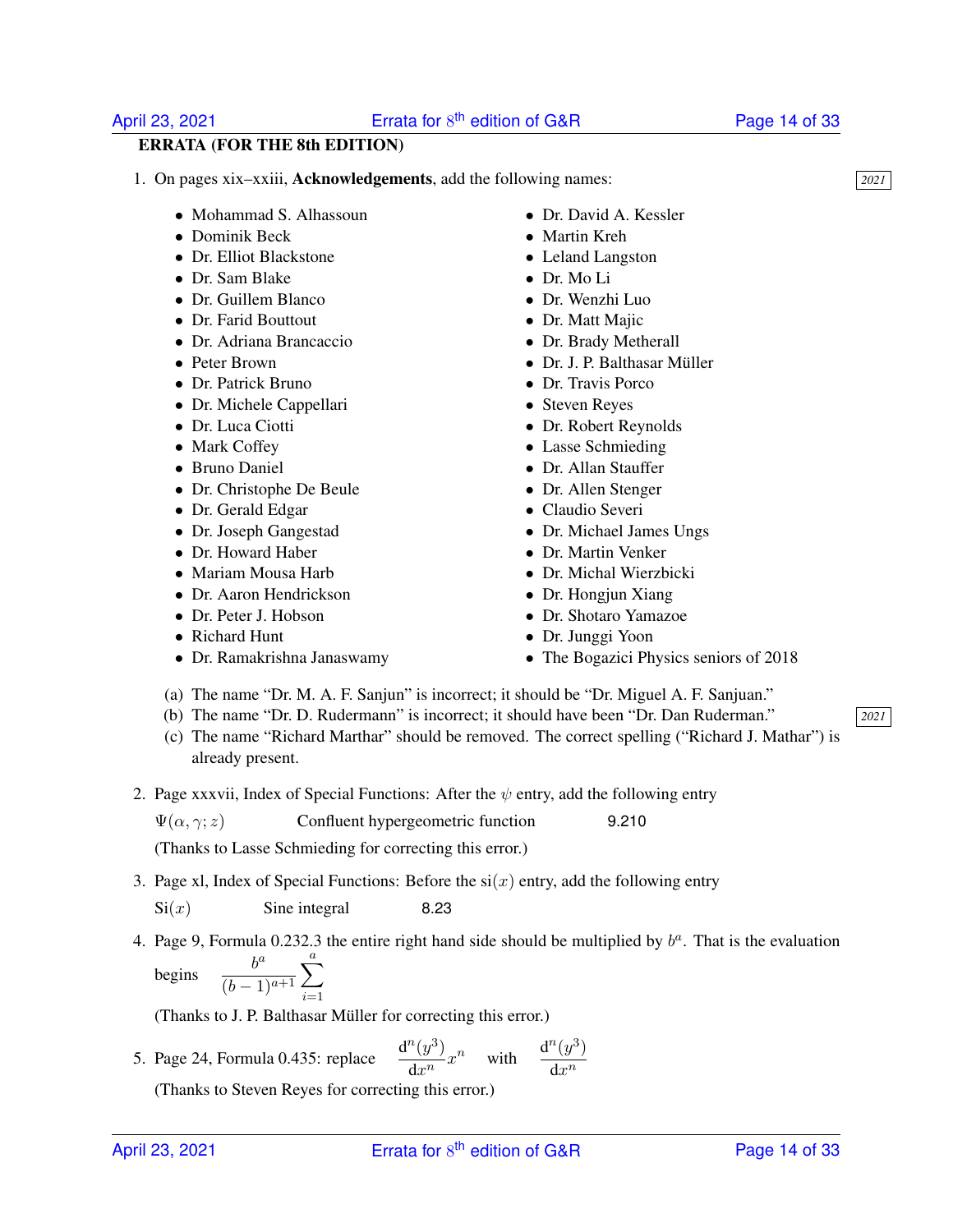### Errata for  $8<sup>th</sup>$  edition of G&R Page 14 of 33

### ERRATA (FOR THE 8th EDITION)

- 1. On pages xix–xxiii, Acknowledgements, add the following names: *2021*
	- Mohammad S. Alhassoun
	- Dominik Beck
	- Dr. Elliot Blackstone
	- Dr. Sam Blake
	- Dr. Guillem Blanco
	- Dr. Farid Bouttout
	- Dr. Adriana Brancaccio
	- Peter Brown
	- Dr. Patrick Bruno
	- Dr. Michele Cappellari
	- Dr. Luca Ciotti
	- Mark Coffey
	- Bruno Daniel
	- Dr. Christophe De Beule
	- Dr. Gerald Edgar
	- Dr. Joseph Gangestad
	- Dr. Howard Haber
	- Mariam Mousa Harb
	- Dr. Aaron Hendrickson
	- Dr. Peter J. Hobson
	- Richard Hunt
	- Dr. Ramakrishna Janaswamy
- Dr. David A. Kessler
- Martin Kreh
- Leland Langston
- Dr. Mo Li
- Dr. Wenzhi Luo
- Dr. Matt Majic
- Dr. Brady Metherall
- Dr. J. P. Balthasar Müller
- Dr. Travis Porco
- Steven Reyes
- Dr. Robert Reynolds
- Lasse Schmieding
- Dr. Allan Stauffer
- Dr. Allen Stenger
- Claudio Severi
- Dr. Michael James Ungs
- Dr. Martin Venker
- Dr. Michal Wierzbicki
- Dr. Hongjun Xiang
- Dr. Shotaro Yamazoe
- Dr. Junggi Yoon
- The Bogazici Physics seniors of 2018
- (a) The name "Dr. M. A. F. Sanjun" is incorrect; it should be "Dr. Miguel A. F. Sanjuan."
- (b) The name "Dr. D. Rudermann" is incorrect; it should have been "Dr. Dan Ruderman." *2021*
- (c) The name "Richard Marthar" should be removed. The correct spelling ("Richard J. Mathar") is already present.
- 2. Page xxxvii, Index of Special Functions: After the  $\psi$  entry, add the following entry
	- $\Psi(\alpha, \gamma; z)$  Confluent hypergeometric function 9.210

(Thanks to Lasse Schmieding for correcting this error.)

3. Page xl, Index of Special Functions: Before the  $si(x)$  entry, add the following entry

 $Si(x)$  Sine integral 8.23

4. Page 9, Formula 0.232.3 the entire right hand side should be multiplied by  $b^a$ . That is the evaluation begi  $h^a$  $\overline{a}$ 

$$
\text{gins} \quad \frac{}{(b-1)^{a+1}} \sum_{i=1}
$$

(Thanks to J. P. Balthasar Müller for correcting this error.)

5. Page 24, Formula 0.435: replace  $\frac{d^n(y^3)}{1 \cdot n}$  $\frac{d^n(y^3)}{dx^n}x^n$  with  $\frac{d^n(y^3)}{dx^n}$  $\mathrm{d}x^n$ 

(Thanks to Steven Reyes for correcting this error.)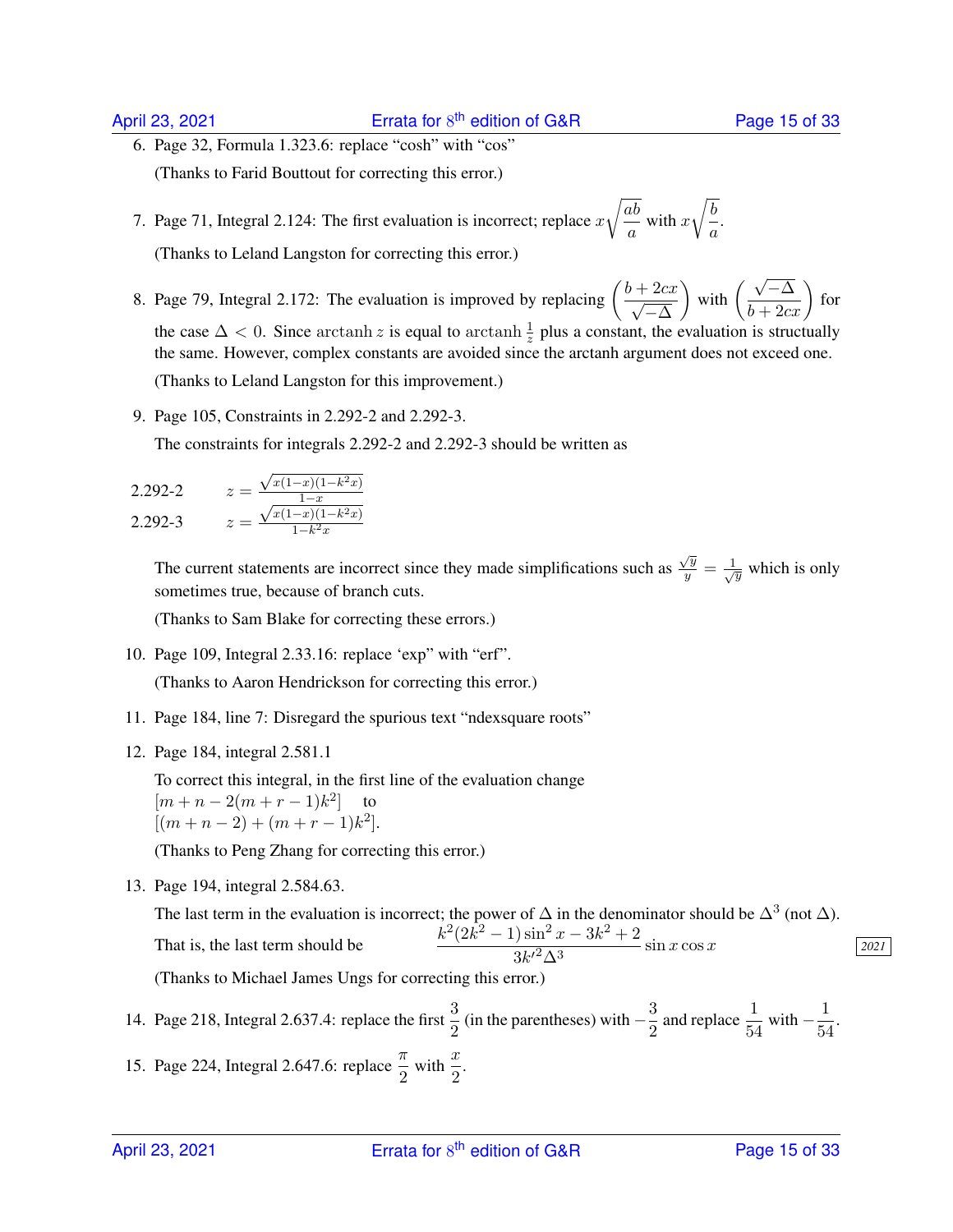6. Page 32, Formula 1.323.6: replace "cosh" with "cos" (Thanks to Farid Bouttout for correcting this error.)

7. Page 71, Integral 2.124: The first evaluation is incorrect; replace  $x$  $\sqrt{ab}$  $\frac{d}{a}$  with x  $\sqrt{b}$  $\frac{a}{a}$ . (Thanks to Leland Langston for correcting this error.)

- 8. Page 79, Integral 2.172: The evaluation is improved by replacing  $\left(\frac{b+2cx}{\sqrt{a}}\right)$  $-\Delta$ with  $\left(\frac{\sqrt{-\Delta}}{b+2cx}\right)$  for the case  $\Delta < 0$ . Since arctanh z is equal to arctanh  $\frac{1}{z}$  plus a constant, the evaluation is structually the same. However, complex constants are avoided since the arctanh argument does not exceed one. (Thanks to Leland Langston for this improvement.)
- 9. Page 105, Constraints in 2.292-2 and 2.292-3.

The constraints for integrals 2.292-2 and 2.292-3 should be written as

2.292-2 
$$
z = \frac{\sqrt{x(1-x)(1-k^2x)}}{1-x}
$$
  
2.292-3 
$$
z = \frac{\sqrt{x(1-x)(1-k^2x)}}{1-k^2x}
$$

The current statements are incorrect since they made simplifications such as  $\frac{\sqrt{y}}{y}$  $\frac{y}{y} = \frac{1}{\sqrt{y}}$  which is only sometimes true, because of branch cuts.

(Thanks to Sam Blake for correcting these errors.)

- 10. Page 109, Integral 2.33.16: replace 'exp" with "erf". (Thanks to Aaron Hendrickson for correcting this error.)
- 11. Page 184, line 7: Disregard the spurious text "ndexsquare roots"
- 12. Page 184, integral 2.581.1

To correct this integral, in the first line of the evaluation change  $[m + n - 2(m + r - 1)k^2]$  to  $[(m+n-2)+(m+r-1)k^2].$ 

(Thanks to Peng Zhang for correcting this error.)

13. Page 194, integral 2.584.63.

The last term in the evaluation is incorrect; the power of  $\Delta$  in the denominator should be  $\Delta^3$  (not  $\Delta$ ). That is, the last term should be  $\frac{k^2(2k^2-1)\sin^2 x - 3k^2 + 2}{2k^2-1}$  $\frac{3k^2 \Delta^3}{3k^2 \Delta^3}$  sin x cos x <u>2021</u> (Thanks to Michael James Ungs for correcting this error.)

14. Page 218, Integral 2.637.4: replace the first  $\frac{3}{2}$  (in the parentheses) with  $-\frac{3}{2}$  $\frac{3}{2}$  and replace  $\frac{1}{54}$  with  $-\frac{1}{54}$  $\frac{1}{54}$ . 15. Page 224, Integral 2.647.6: replace  $\frac{\pi}{2}$  with  $\frac{x}{2}$ .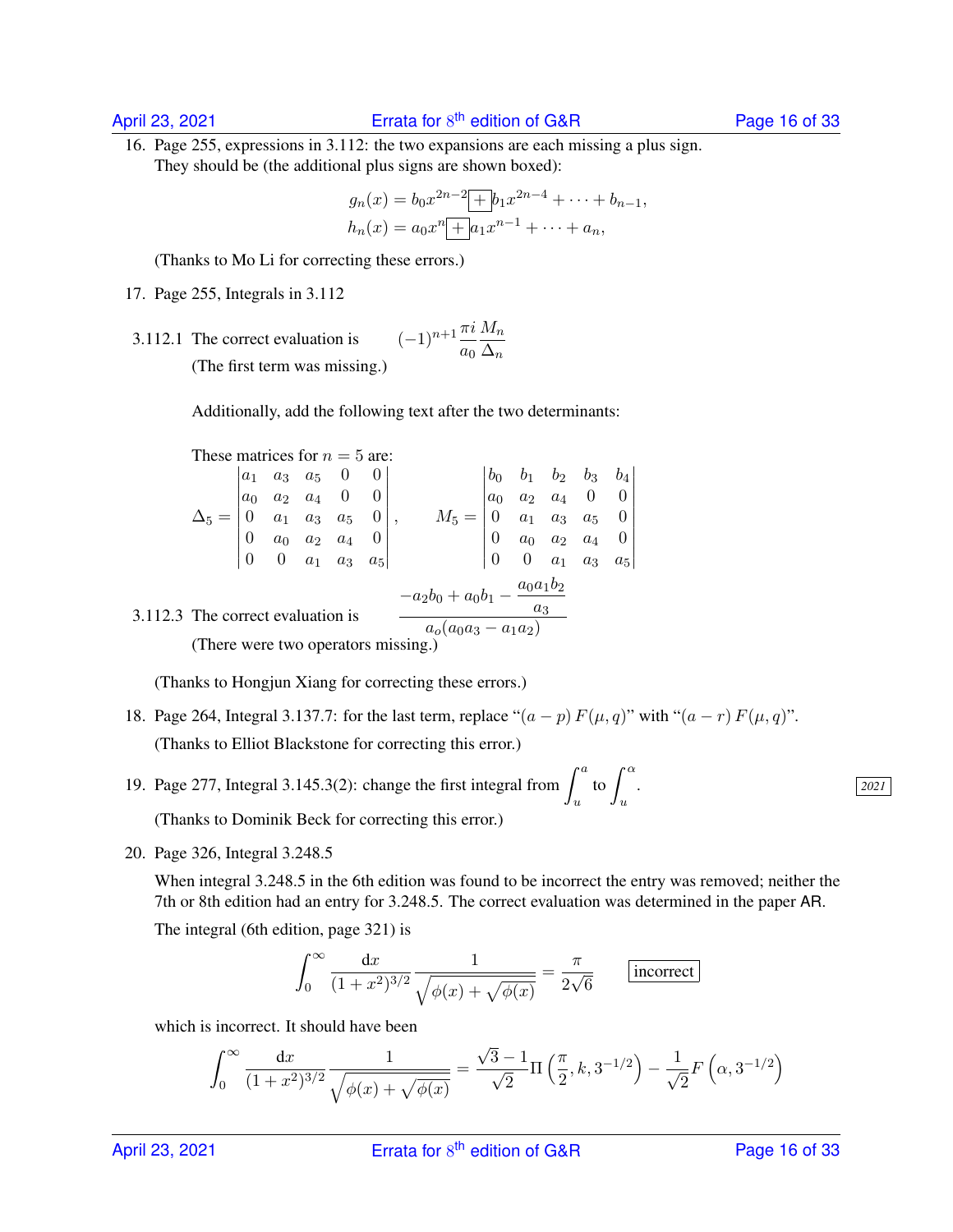16. Page 255, expressions in 3.112: the two expansions are each missing a plus sign. They should be (the additional plus signs are shown boxed):

$$
g_n(x) = b_0 x^{2n-2} + b_1 x^{2n-4} + \dots + b_{n-1},
$$
  
\n
$$
h_n(x) = a_0 x^n + a_1 x^{n-1} + \dots + a_n,
$$

(Thanks to Mo Li for correcting these errors.)

17. Page 255, Integrals in 3.112

3.112.1 The correct evaluation is  $a_0$  $M_n$  $\Delta_n$ (The first term was missing.)

Additionally, add the following text after the two determinants:

These matrices for 
$$
n = 5
$$
 are:

$$
\Delta_5 = \begin{vmatrix}\na_1 & a_3 & a_5 & 0 & 0 \\
a_0 & a_2 & a_4 & 0 & 0 \\
0 & a_1 & a_3 & a_5 & 0 \\
0 & a_0 & a_2 & a_4 & 0 \\
0 & 0 & a_1 & a_3 & a_5\n\end{vmatrix}, \qquad M_5 = \begin{vmatrix}\nb_0 & b_1 & b_2 & b_3 & b_4 \\
a_0 & a_2 & a_4 & 0 & 0 \\
0 & a_1 & a_3 & a_5 & 0 \\
0 & a_0 & a_2 & a_4 & 0 \\
0 & 0 & a_1 & a_3 & a_5\n\end{vmatrix}
$$
\n3.112.3 The correct evaluation is\n
$$
\frac{-a_2b_0 + a_0b_1 - \frac{a_0a_1b_2}{a_3}}{a_0(a_0a_3 - a_1a_2)}
$$
\n(There were two operators missing.)

(There were two operators missing.)

(Thanks to Hongjun Xiang for correcting these errors.)

- 18. Page 264, Integral 3.137.7: for the last term, replace " $(a p) F(\mu, q)$ " with " $(a r) F(\mu, q)$ ". (Thanks to Elliot Blackstone for correcting this error.)
- 19. Page 277, Integral 3.145.3(2): change the first integral from  $\int_a^a$ u (Thanks to Dominik Beck for correcting this error.)
- 20. Page 326, Integral 3.248.5

When integral 3.248.5 in the 6th edition was found to be incorrect the entry was removed; neither the 7th or 8th edition had an entry for 3.248.5. The correct evaluation was determined in the paper AR. The integral (6th edition, page 321) is

to  $\int_0^\alpha$ u

$$
\int_0^\infty \frac{\mathrm{d}x}{(1+x^2)^{3/2}} \frac{1}{\sqrt{\phi(x) + \sqrt{\phi(x)}}} = \frac{\pi}{2\sqrt{6}} \qquad \boxed{\text{incorrect}}
$$

which is incorrect. It should have been

$$
\int_0^\infty \frac{\mathrm{d}x}{(1+x^2)^{3/2}} \frac{1}{\sqrt{\phi(x) + \sqrt{\phi(x)}}} = \frac{\sqrt{3} - 1}{\sqrt{2}} \Pi\left(\frac{\pi}{2}, k, 3^{-1/2}\right) - \frac{1}{\sqrt{2}} F\left(\alpha, 3^{-1/2}\right)
$$

. *2021*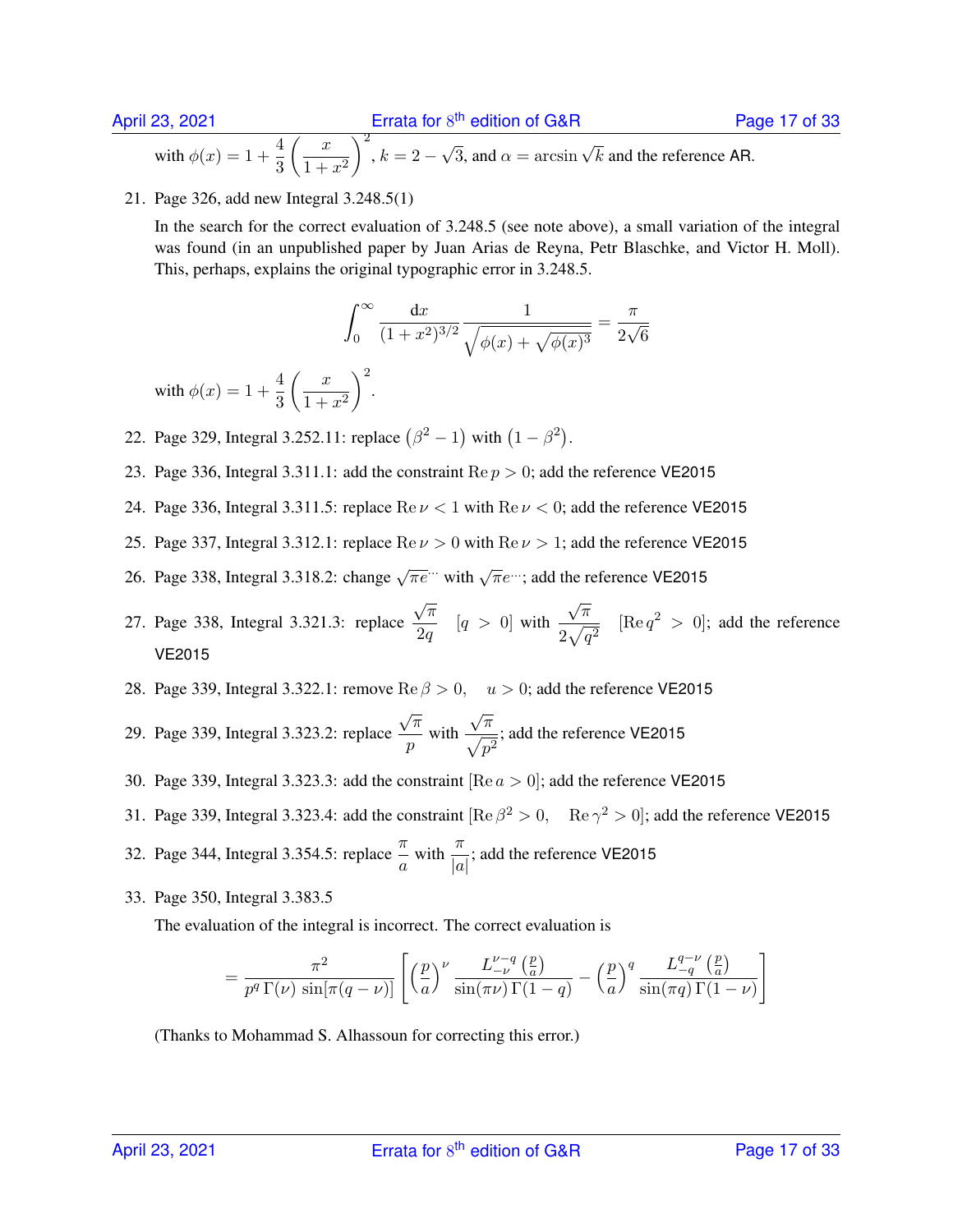with  $\phi(x) = 1 + \frac{4}{3}$  $\begin{pmatrix} x \\ y \end{pmatrix}$  $1 + x^2$  $\bigg)^2, k = 2 \sqrt{3}$ , and  $\alpha = \arcsin \sqrt{k}$  and the reference AR.

21. Page 326, add new Integral 3.248.5(1)

In the search for the correct evaluation of 3.248.5 (see note above), a small variation of the integral was found (in an unpublished paper by Juan Arias de Reyna, Petr Blaschke, and Victor H. Moll). This, perhaps, explains the original typographic error in 3.248.5.

$$
\int_0^\infty \frac{\mathrm{d}x}{(1+x^2)^{3/2}} \frac{1}{\sqrt{\phi(x) + \sqrt{\phi(x)^3}}} = \frac{\pi}{2\sqrt{6}}
$$

with  $\phi(x) = 1 + \frac{4}{3}$  $\begin{pmatrix} x \\ y \end{pmatrix}$  $1 + x^2$  $\bigg)$ <sup>2</sup>.

- 22. Page 329, Integral 3.252.11: replace  $(\beta^2 1)$  with  $(1 \beta^2)$ .
- 23. Page 336, Integral 3.311.1: add the constraint  $\text{Re } p > 0$ ; add the reference VE2015
- 24. Page 336, Integral 3.311.5: replace  $\text{Re}\,\nu < 1$  with  $\text{Re}\,\nu < 0$ ; add the reference VE2015
- 25. Page 337, Integral 3.312.1: replace  $\text{Re}\nu > 0$  with  $\text{Re}\nu > 1$ ; add the reference VE2015
- 26. Page 338, Integral 3.318.2: change  $\sqrt{\pi}e^{\cdots}$  with  $\sqrt{\pi}e^{\cdots}$ ; add the reference VE2015
- 27. Page 338, Integral 3.321.3: replace  $\sqrt{\pi}$  $\frac{\sqrt{n}}{2q}$  [ $q > 0$ ] with  $\sqrt{\pi}$  $rac{\sqrt{n}}{2\sqrt{q^2}}$  [Re  $q^2 > 0$ ]; add the reference VE2015
- 28. Page 339, Integral 3.322.1: remove Re  $\beta > 0$ ,  $u > 0$ ; add the reference VE2015
- 29. Page 339, Integral 3.323.2: replace  $\sqrt{\pi}$  $\frac{n}{p}$  with  $\sqrt{\pi}$  $\frac{\sqrt{n}}{\sqrt{p^2}}$ ; add the reference VE2015
- 30. Page 339, Integral 3.323.3: add the constraint [Re  $a > 0$ ]; add the reference VE2015
- 31. Page 339, Integral 3.323.4: add the constraint  $[Re \beta^2 > 0, Re \gamma^2 > 0]$ ; add the reference VE2015

32. Page 344, Integral 3.354.5: replace  $\frac{\pi}{a}$  with  $\frac{\pi}{|a|}$ ; add the reference VE2015

33. Page 350, Integral 3.383.5

The evaluation of the integral is incorrect. The correct evaluation is

$$
= \frac{\pi^2}{p^q \Gamma(\nu) \sin[\pi(q-\nu)]} \left[ \left(\frac{p}{a}\right)^{\nu} \frac{L_{-\nu}^{\nu-q} \left(\frac{p}{a}\right)}{\sin(\pi\nu) \Gamma(1-q)} - \left(\frac{p}{a}\right)^q \frac{L_{-q}^{q-\nu} \left(\frac{p}{a}\right)}{\sin(\pi q) \Gamma(1-\nu)} \right]
$$

(Thanks to Mohammad S. Alhassoun for correcting this error.)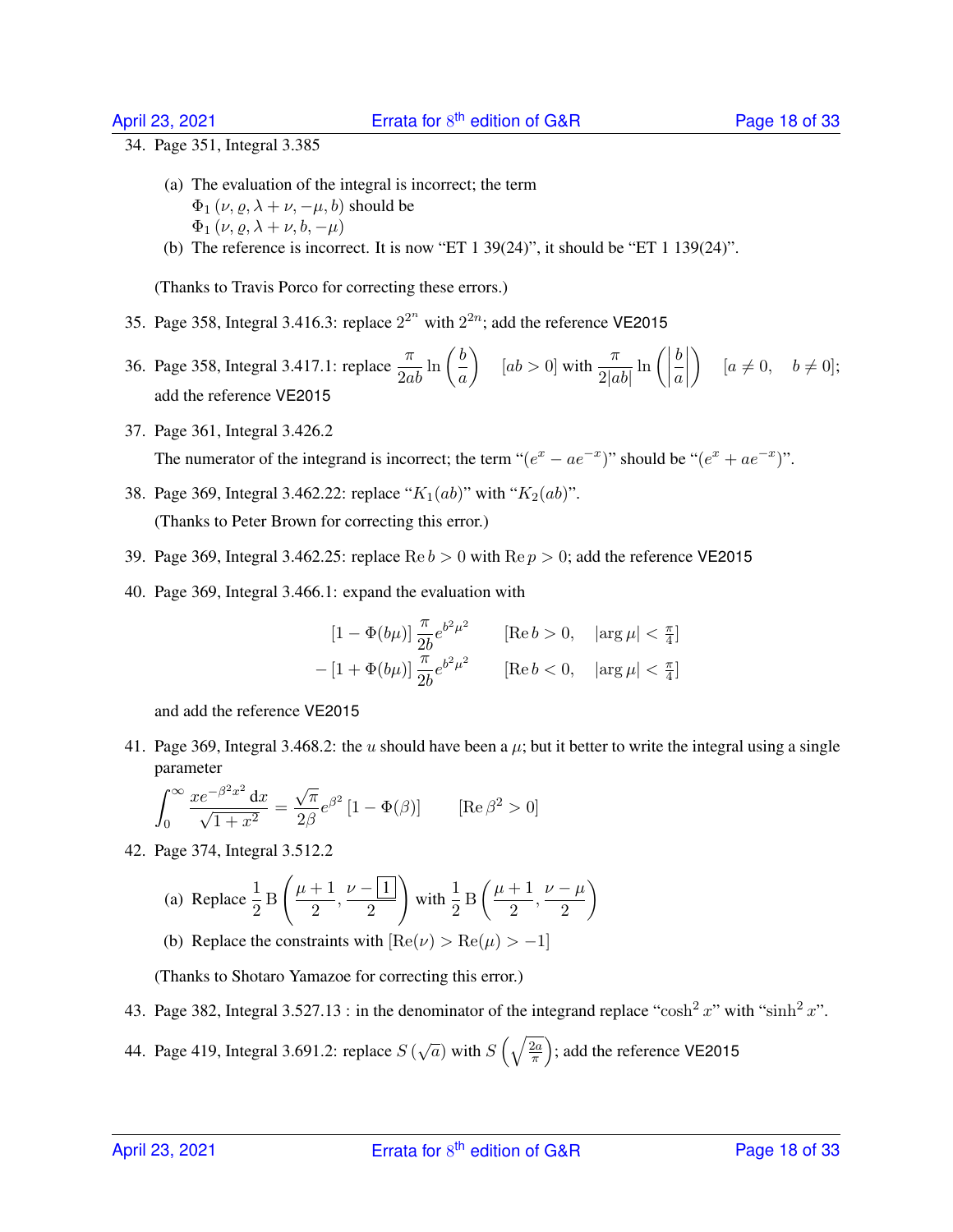34. Page 351, Integral 3.385

- (a) The evaluation of the integral is incorrect; the term  $\Phi_1(\nu, \rho, \lambda + \nu, -\mu, b)$  should be  $\Phi_1(\nu, \rho, \lambda + \nu, b, -\mu)$
- (b) The reference is incorrect. It is now "ET 1 39(24)", it should be "ET 1 139(24)".

(Thanks to Travis Porco for correcting these errors.)

- 35. Page 358, Integral 3.416.3: replace  $2^{2^n}$  with  $2^{2n}$ ; add the reference VE2015
- 36. Page 358, Integral 3.417.1: replace  $\frac{\pi}{2ab} \ln \left( \frac{b}{a} \right)$ a  $\left| \begin{array}{c} \end{array} \right| \left[ ab > 0 \right]$  with  $\frac{\pi}{2|ab|} \ln \left( \left| \begin{array}{c} a \end{array} \right| \right)$ b a  $\begin{array}{c} \hline \rule{0pt}{2.5ex} \\ \rule{0pt}{2.5ex} \end{array}$  $\Big\}$  [ $a \neq 0, \quad b \neq 0$ ]; add the reference VE2015
- 37. Page 361, Integral 3.426.2

The numerator of the integrand is incorrect; the term " $(e^x - ae^{-x})$ " should be " $(e^x + ae^{-x})$ ".

- 38. Page 369, Integral 3.462.22: replace " $K_1(ab)$ " with " $K_2(ab)$ ". (Thanks to Peter Brown for correcting this error.)
- 39. Page 369, Integral 3.462.25: replace  $\text{Re } b > 0$  with  $\text{Re } p > 0$ ; add the reference VE2015
- 40. Page 369, Integral 3.466.1: expand the evaluation with

$$
[1 - \Phi(b\mu)] \frac{\pi}{2b} e^{b^2 \mu^2} \qquad [\text{Re } b > 0, \quad |\arg \mu| < \frac{\pi}{4}]
$$
  
- 
$$
[1 + \Phi(b\mu)] \frac{\pi}{2b} e^{b^2 \mu^2} \qquad [\text{Re } b < 0, \quad |\arg \mu| < \frac{\pi}{4}]
$$

and add the reference VE2015

41. Page 369, Integral 3.468.2: the u should have been a  $\mu$ ; but it better to write the integral using a single parameter

$$
\int_0^\infty \frac{x e^{-\beta^2 x^2} dx}{\sqrt{1+x^2}} = \frac{\sqrt{\pi}}{2\beta} e^{-\beta^2} [1 - \Phi(\beta)] \quad [\text{Re}\,\beta^2 > 0]
$$

42. Page 374, Integral 3.512.2

(a) Replace 
$$
\frac{1}{2}
$$
 B  $\left(\frac{\mu+1}{2}, \frac{\nu-1}{2}\right)$  with  $\frac{1}{2}$  B  $\left(\frac{\mu+1}{2}, \frac{\nu-\mu}{2}\right)$ 

(b) Replace the constraints with  $[Re(\nu) > Re(\mu) > -1]$ 

(Thanks to Shotaro Yamazoe for correcting this error.)

- 43. Page 382, Integral 3.527.13 : in the denominator of the integrand replace "cosh<sup>2</sup> x" with "sinh<sup>2</sup> x".
- 44. Page 419, Integral 3.691.2: replace  $S(\sqrt{a})$  with  $S(\sqrt{\frac{2a}{\pi}})$  $\left(\frac{2a}{\pi}\right)$ ; add the reference VE2015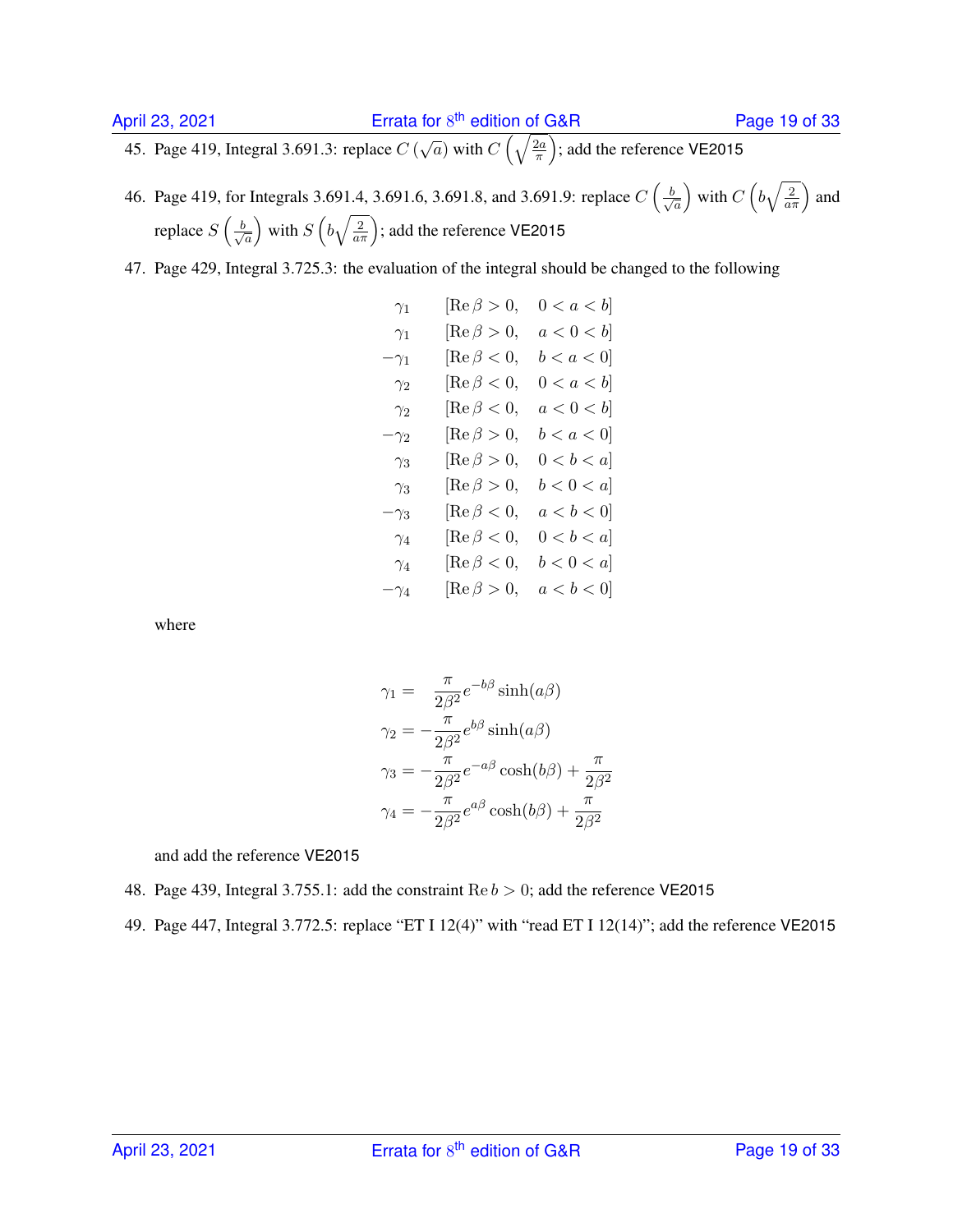45. Page 419, Integral 3.691.3: replace  $C(\sqrt{a})$  with  $C(\sqrt{\frac{2a}{\pi}})$  $\sqrt{\frac{2a}{\pi}}$ ); add the reference VE2015

- 46. Page 419, for Integrals 3.691.4, 3.691.6, 3.691.8, and 3.691.9: replace  $C\left(\frac{b}{\sqrt{2}}\right)$ a ) with  $C\left(b\sqrt{\frac{2}{a\pi}}\right)$  and replace  $S\left(\frac{b}{\sqrt{b}}\right)$  $\overline{a}$ ) with  $S\left(b\sqrt{\frac{2}{a\pi}}\right)$ ; add the reference VE2015
- 47. Page 429, Integral 3.725.3: the evaluation of the integral should be changed to the following

$$
γ1 [Re β > 0, 0 < a < b]
$$
  
\n
$$
γ1 [Re β > 0, a < 0 < b]
$$
  
\n
$$
-γ1 [Re β < 0, b < a < 0]
$$
  
\n
$$
γ2 [Re β < 0, 0 < a < b]
$$
  
\n
$$
γ2 [Re β < 0, a < 0 < b]
$$
  
\n
$$
-γ2 [Re β > 0, a < 0 < b]
$$
  
\n
$$
γ3 [Re β > 0, b < a < 0]
$$
  
\n
$$
γ3 [Re β > 0, b < 0 < a]
$$
  
\n
$$
γ3 [Re β < 0, a < b < 0]
$$
  
\n
$$
γ4 [Re β < 0, 0 < b < a]
$$
  
\n
$$
γ4 [Re β < 0, 0 < b < a]
$$
  
\n
$$
γ4 [Re β < 0, 0 < b < a]
$$
  
\n
$$
-γ4 [Re β > 0, a < b < 0]
$$

where

$$
\gamma_1 = \frac{\pi}{2\beta^2} e^{-b\beta} \sinh(a\beta)
$$
  
\n
$$
\gamma_2 = -\frac{\pi}{2\beta^2} e^{b\beta} \sinh(a\beta)
$$
  
\n
$$
\gamma_3 = -\frac{\pi}{2\beta^2} e^{-a\beta} \cosh(b\beta) + \frac{\pi}{2\beta^2}
$$
  
\n
$$
\gamma_4 = -\frac{\pi}{2\beta^2} e^{a\beta} \cosh(b\beta) + \frac{\pi}{2\beta^2}
$$

- 48. Page 439, Integral 3.755.1: add the constraint  $\text{Re } b > 0$ ; add the reference VE2015
- 49. Page 447, Integral 3.772.5: replace "ET I 12(4)" with "read ET I 12(14)"; add the reference VE2015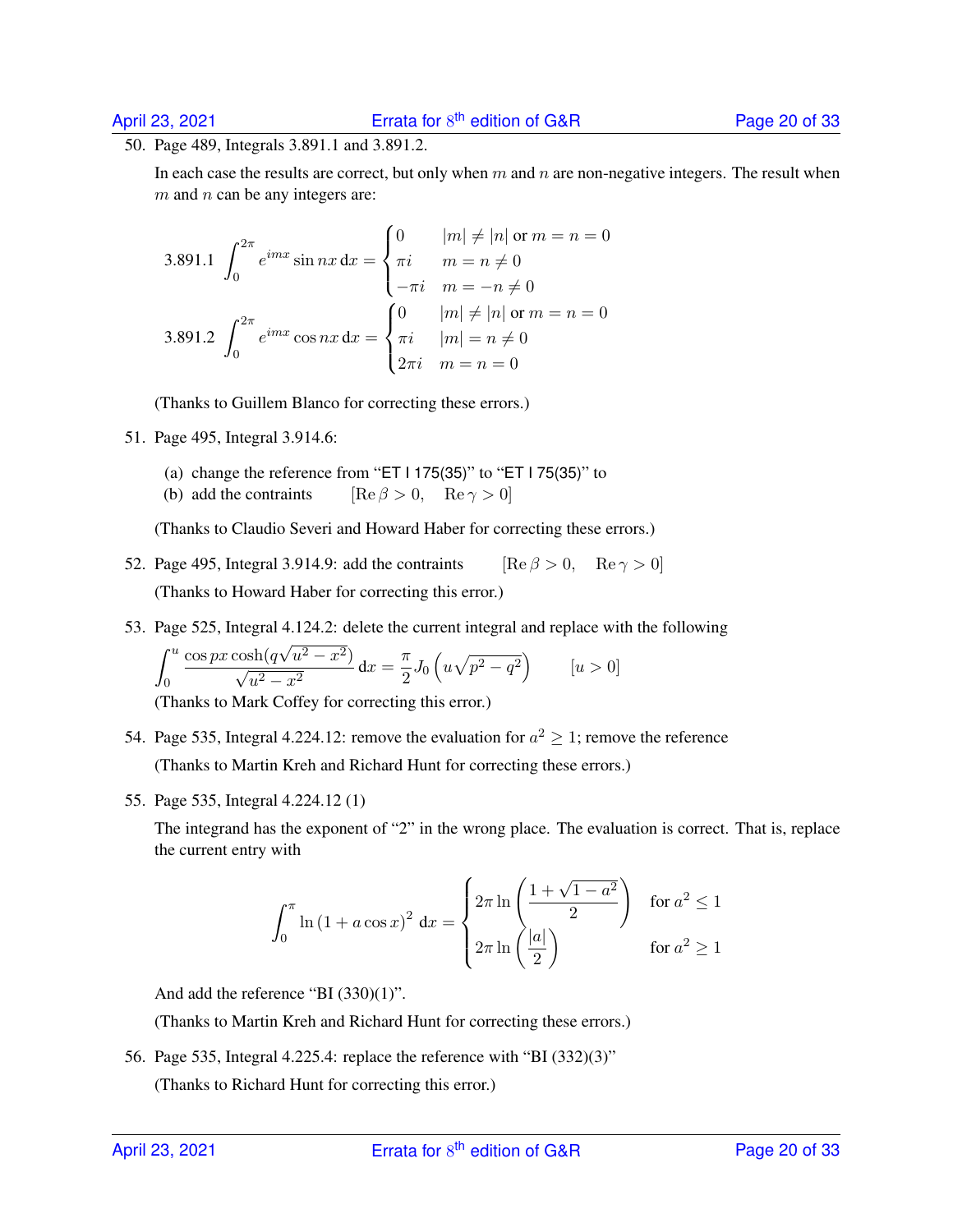50. Page 489, Integrals 3.891.1 and 3.891.2.

In each case the results are correct, but only when  $m$  and  $n$  are non-negative integers. The result when  $m$  and  $n$  can be any integers are:

3.891.1 
$$
\int_0^{2\pi} e^{imx} \sin nx \, dx = \begin{cases} 0 & |m| \neq |n| \text{ or } m = n = 0 \\ \pi i & m = n \neq 0 \\ -\pi i & m = -n \neq 0 \end{cases}
$$
  
3.891.2 
$$
\int_0^{2\pi} e^{imx} \cos nx \, dx = \begin{cases} 0 & |m| \neq |n| \text{ or } m = n = 0 \\ \pi i & |m| = n \neq 0 \\ 2\pi i & m = n = 0 \end{cases}
$$

(Thanks to Guillem Blanco for correcting these errors.)

51. Page 495, Integral 3.914.6:

- (a) change the reference from "ET I 175(35)" to "ET I 75(35)" to
- (b) add the contraints  $[\text{Re } \beta > 0, \quad \text{Re } \gamma > 0]$

(Thanks to Claudio Severi and Howard Haber for correcting these errors.)

- 52. Page 495, Integral 3.914.9: add the contraints [Re  $\beta > 0$ , Re  $\gamma > 0$ ] (Thanks to Howard Haber for correcting this error.)
- 53. Page 525, Integral 4.124.2: delete the current integral and replace with the following

$$
\int_0^u \frac{\cos px \cosh(q\sqrt{u^2 - x^2})}{\sqrt{u^2 - x^2}} dx = \frac{\pi}{2} J_0 \left( u \sqrt{p^2 - q^2} \right) \qquad [u > 0]
$$

(Thanks to Mark Coffey for correcting this error.)

- 54. Page 535, Integral 4.224.12: remove the evaluation for  $a^2 \ge 1$ ; remove the reference (Thanks to Martin Kreh and Richard Hunt for correcting these errors.)
- 55. Page 535, Integral 4.224.12 (1)

The integrand has the exponent of "2" in the wrong place. The evaluation is correct. That is, replace the current entry with

$$
\int_0^{\pi} \ln\left(1 + a\cos x\right)^2 dx = \begin{cases} 2\pi \ln\left(\frac{1 + \sqrt{1 - a^2}}{2}\right) & \text{for } a^2 \le 1 \\ 2\pi \ln\left(\frac{|a|}{2}\right) & \text{for } a^2 \ge 1 \end{cases}
$$

And add the reference "BI (330)(1)".

(Thanks to Martin Kreh and Richard Hunt for correcting these errors.)

56. Page 535, Integral 4.225.4: replace the reference with "BI (332)(3)"

(Thanks to Richard Hunt for correcting this error.)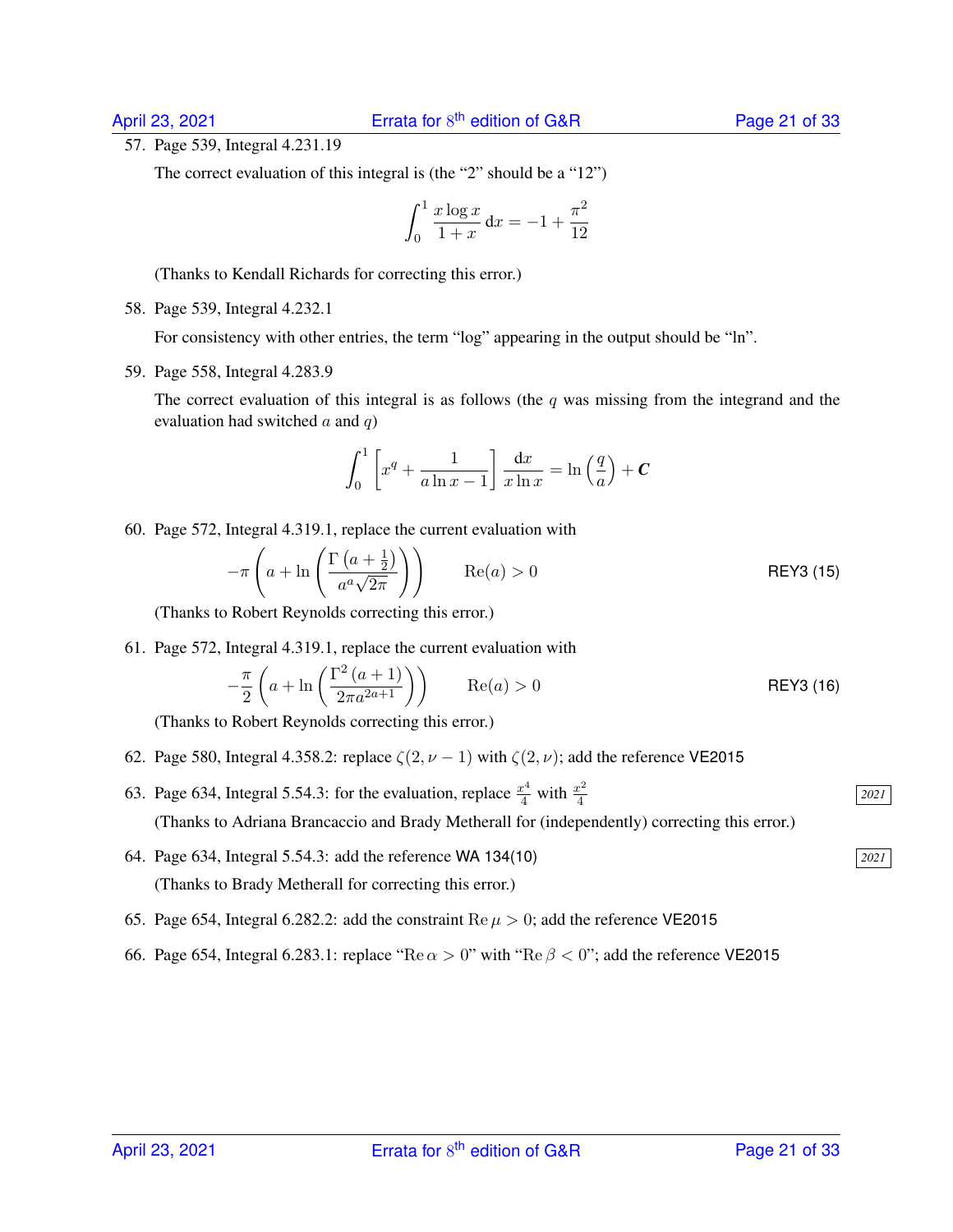#### 57. Page 539, Integral 4.231.19

The correct evaluation of this integral is (the "2" should be a "12")

$$
\int_0^1 \frac{x \log x}{1+x} \, \mathrm{d}x = -1 + \frac{\pi^2}{12}
$$

(Thanks to Kendall Richards for correcting this error.)

58. Page 539, Integral 4.232.1

For consistency with other entries, the term "log" appearing in the output should be "ln".

59. Page 558, Integral 4.283.9

The correct evaluation of this integral is as follows (the  $q$  was missing from the integrand and the evaluation had switched  $a$  and  $q$ )

$$
\int_0^1 \left[ x^q + \frac{1}{a \ln x - 1} \right] \frac{\mathrm{d}x}{x \ln x} = \ln \left( \frac{q}{a} \right) + C
$$

60. Page 572, Integral 4.319.1, replace the current evaluation with

$$
-\pi \left( a + \ln \left( \frac{\Gamma \left( a + \frac{1}{2} \right)}{a^a \sqrt{2\pi}} \right) \right) \qquad \text{Re}(a) > 0
$$
 \t\nREY3 (15)

(Thanks to Robert Reynolds correcting this error.)

61. Page 572, Integral 4.319.1, replace the current evaluation with

$$
-\frac{\pi}{2}\left(a+\ln\left(\frac{\Gamma^2\left(a+1\right)}{2\pi a^{2a+1}}\right)\right)
$$
 Re(a) > 0 REY3 (16)

(Thanks to Robert Reynolds correcting this error.)

- 62. Page 580, Integral 4.358.2: replace  $\zeta(2, \nu 1)$  with  $\zeta(2, \nu)$ ; add the reference VE2015
- 63. Page 634, Integral 5.54.3: for the evaluation, replace  $\frac{x^4}{4}$  with  $\frac{x^2}{4}$ 4 (Thanks to Adriana Brancaccio and Brady Metherall for (independently) correcting this error.)
- 64. Page 634, Integral 5.54.3: add the reference WA 134(10) *2021* (Thanks to Brady Metherall for correcting this error.)
- 65. Page 654, Integral 6.282.2: add the constraint  $\text{Re }\mu > 0$ ; add the reference VE2015
- 66. Page 654, Integral 6.283.1: replace "Re  $\alpha > 0$ " with "Re  $\beta < 0$ "; add the reference VE2015

*2021*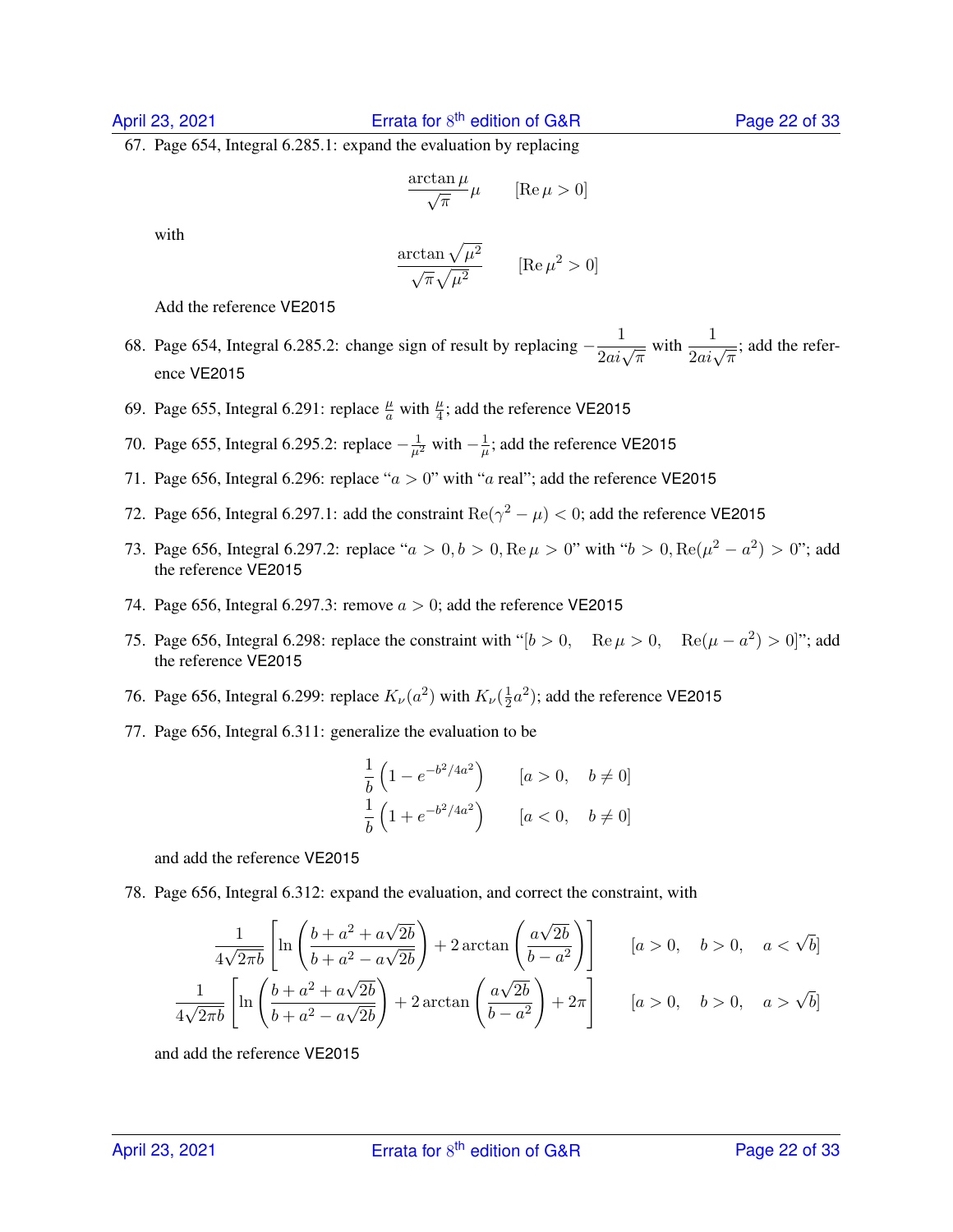67. Page 654, Integral 6.285.1: expand the evaluation by replacing

$$
\frac{\arctan \mu}{\sqrt{\pi}} \mu \qquad [\text{Re}\,\mu > 0]
$$

with

$$
\frac{\arctan\sqrt{\mu^2}}{\sqrt{\pi}\sqrt{\mu^2}} \qquad [\text{Re}\,\mu^2 > 0]
$$

Add the reference VE2015

- 68. Page 654, Integral 6.285.2: change sign of result by replacing  $-\frac{1}{2ai\sqrt{\pi}}$  with  $\frac{1}{2ai\sqrt{\pi}}$ ; add the reference VE2015
- 69. Page 655, Integral 6.291: replace  $\frac{\mu}{a}$  with  $\frac{\mu}{4}$ ; add the reference VE2015
- 70. Page 655, Integral 6.295.2: replace  $-\frac{1}{\mu^2}$  with  $-\frac{1}{\mu}$  $\frac{1}{\mu}$ ; add the reference VE2015
- 71. Page 656, Integral 6.296: replace " $a > 0$ " with "a real"; add the reference VE2015
- 72. Page 656, Integral 6.297.1: add the constraint  $\text{Re}(\gamma^2 \mu) < 0$ ; add the reference VE2015
- 73. Page 656, Integral 6.297.2: replace " $a > 0, b > 0, \text{Re}\,\mu > 0$ " with " $b > 0, \text{Re}(\mu^2 a^2) > 0$ "; add the reference VE2015
- 74. Page 656, Integral 6.297.3: remove  $a > 0$ ; add the reference VE2015
- 75. Page 656, Integral 6.298: replace the constraint with " $[b > 0, \quad \text{Re}\,\mu > 0, \quad \text{Re}(\mu a^2) > 0$ "; add the reference VE2015
- 76. Page 656, Integral 6.299: replace  $K_{\nu}(a^2)$  with  $K_{\nu}(\frac{1}{2})$  $\frac{1}{2}a^2$ ); add the reference VE2015
- 77. Page 656, Integral 6.311: generalize the evaluation to be

$$
\frac{1}{b} \left( 1 - e^{-b^2/4a^2} \right) \qquad [a > 0, \quad b \neq 0]
$$
  

$$
\frac{1}{b} \left( 1 + e^{-b^2/4a^2} \right) \qquad [a < 0, \quad b \neq 0]
$$

and add the reference VE2015

78. Page 656, Integral 6.312: expand the evaluation, and correct the constraint, with

$$
\frac{1}{4\sqrt{2\pi b}} \left[ \ln \left( \frac{b + a^2 + a\sqrt{2b}}{b + a^2 - a\sqrt{2b}} \right) + 2 \arctan \left( \frac{a\sqrt{2b}}{b - a^2} \right) \right] \qquad [a > 0, \quad b > 0, \quad a < \sqrt{b}]
$$
  

$$
\frac{1}{4\sqrt{2\pi b}} \left[ \ln \left( \frac{b + a^2 + a\sqrt{2b}}{b + a^2 - a\sqrt{2b}} \right) + 2 \arctan \left( \frac{a\sqrt{2b}}{b - a^2} \right) + 2\pi \right] \qquad [a > 0, \quad b > 0, \quad a > \sqrt{b}]
$$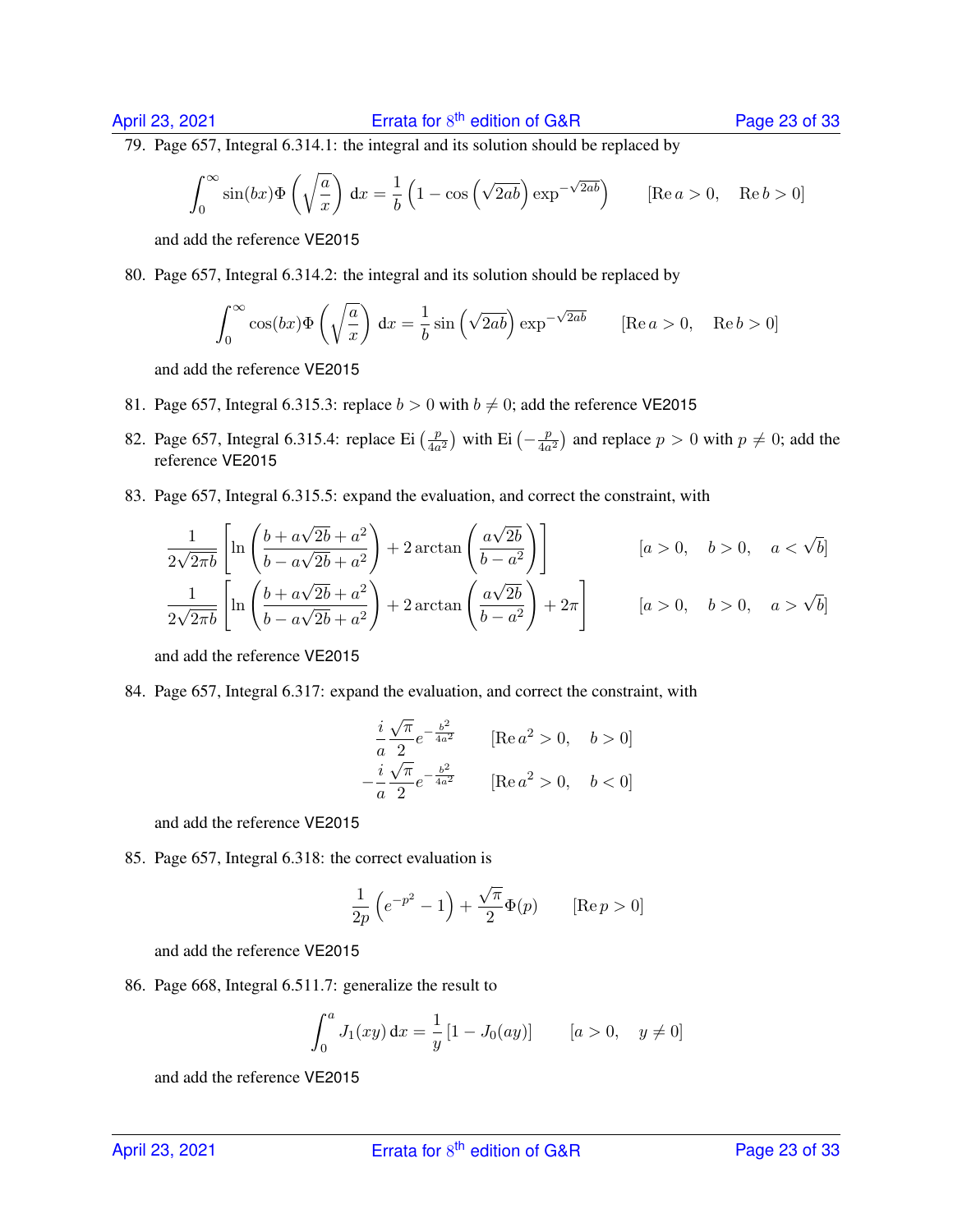79. Page 657, Integral 6.314.1: the integral and its solution should be replaced by

$$
\int_0^\infty \sin(bx)\Phi\left(\sqrt{\frac{a}{x}}\right)dx = \frac{1}{b}\left(1 - \cos\left(\sqrt{2ab}\right)\exp^{-\sqrt{2ab}}\right) \qquad [\text{Re } a > 0, \quad \text{Re } b > 0]
$$

and add the reference VE2015

80. Page 657, Integral 6.314.2: the integral and its solution should be replaced by

$$
\int_0^\infty \cos(bx) \Phi\left(\sqrt{\frac{a}{x}}\right) dx = \frac{1}{b} \sin\left(\sqrt{2ab}\right) \exp^{-\sqrt{2ab}} \qquad [\text{Re } a > 0, \quad \text{Re } b > 0]
$$

and add the reference VE2015

- 81. Page 657, Integral 6.315.3: replace  $b > 0$  with  $b \neq 0$ ; add the reference VE2015
- 82. Page 657, Integral 6.315.4: replace Ei  $\left(\frac{p}{4a}\right)$  $\frac{p}{4a^2}$ ) with Ei  $\left(-\frac{p}{4a}\right)$  $\frac{p}{4a^2}$ ) and replace  $p > 0$  with  $p \neq 0$ ; add the reference VE2015
- 83. Page 657, Integral 6.315.5: expand the evaluation, and correct the constraint, with

$$
\frac{1}{2\sqrt{2\pi b}} \left[ \ln \left( \frac{b + a\sqrt{2b} + a^2}{b - a\sqrt{2b} + a^2} \right) + 2 \arctan \left( \frac{a\sqrt{2b}}{b - a^2} \right) \right] \qquad [a > 0, \quad b > 0, \quad a < \sqrt{b}]
$$
  

$$
\frac{1}{2\sqrt{2\pi b}} \left[ \ln \left( \frac{b + a\sqrt{2b} + a^2}{b - a\sqrt{2b} + a^2} \right) + 2 \arctan \left( \frac{a\sqrt{2b}}{b - a^2} \right) + 2\pi \right] \qquad [a > 0, \quad b > 0, \quad a > \sqrt{b}]
$$

and add the reference VE2015

84. Page 657, Integral 6.317: expand the evaluation, and correct the constraint, with

$$
\frac{i}{a} \frac{\sqrt{\pi}}{2} e^{-\frac{b^2}{4a^2}} \qquad [\text{Re } a^2 > 0, \quad b > 0]
$$

$$
-\frac{i}{a} \frac{\sqrt{\pi}}{2} e^{-\frac{b^2}{4a^2}} \qquad [\text{Re } a^2 > 0, \quad b < 0]
$$

and add the reference VE2015

85. Page 657, Integral 6.318: the correct evaluation is

$$
\frac{1}{2p}\left(e^{-p^2} - 1\right) + \frac{\sqrt{\pi}}{2}\Phi(p) \qquad [\text{Re}\,p > 0]
$$

and add the reference VE2015

86. Page 668, Integral 6.511.7: generalize the result to

$$
\int_0^a J_1(xy) \, dx = \frac{1}{y} \left[ 1 - J_0(ay) \right] \qquad [a > 0, \quad y \neq 0]
$$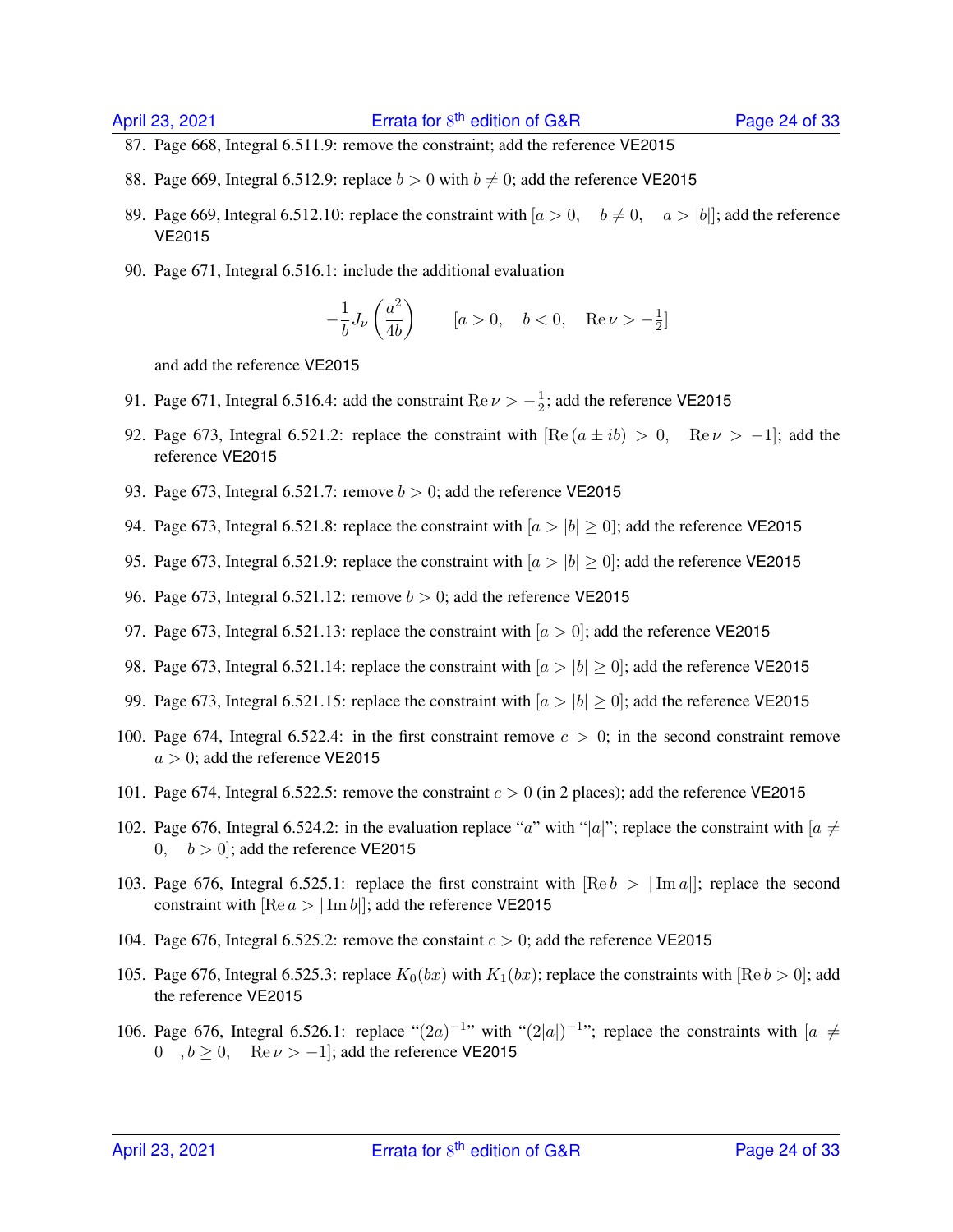- 87. Page 668, Integral 6.511.9: remove the constraint; add the reference VE2015
- 88. Page 669, Integral 6.512.9: replace  $b > 0$  with  $b \neq 0$ ; add the reference VE2015
- 89. Page 669, Integral 6.512.10: replace the constraint with  $[a > 0, b \neq 0, a > |b|]$ ; add the reference VE2015
- 90. Page 671, Integral 6.516.1: include the additional evaluation

$$
-\frac{1}{b}J_{\nu}\left(\frac{a^2}{4b}\right) \qquad [a>0, \quad b<0, \quad \text{Re}\,\nu>-\frac{1}{2}]
$$

- 91. Page 671, Integral 6.516.4: add the constraint  $\text{Re}\,\nu > -\frac{1}{2}$  $\frac{1}{2}$ ; add the reference VE2015
- 92. Page 673, Integral 6.521.2: replace the constraint with  $[Re(a \pm ib) > 0, Re \nu > -1]$ ; add the reference VE2015
- 93. Page 673, Integral 6.521.7: remove  $b > 0$ ; add the reference VE2015
- 94. Page 673, Integral 6.521.8: replace the constraint with  $|a>|b| \ge 0$ ]; add the reference VE2015
- 95. Page 673, Integral 6.521.9: replace the constraint with  $|a>|b| \ge 0$ ; add the reference VE2015
- 96. Page 673, Integral 6.521.12: remove  $b > 0$ ; add the reference VE2015
- 97. Page 673, Integral 6.521.13: replace the constraint with  $[a > 0]$ ; add the reference VE2015
- 98. Page 673, Integral 6.521.14: replace the constraint with  $|a>|b| \ge 0$ ; add the reference VE2015
- 99. Page 673, Integral 6.521.15: replace the constraint with  $[a > |b| \ge 0]$ ; add the reference VE2015
- 100. Page 674, Integral 6.522.4: in the first constraint remove  $c > 0$ ; in the second constraint remove  $a > 0$ ; add the reference VE2015
- 101. Page 674, Integral 6.522.5: remove the constraint  $c > 0$  (in 2 places); add the reference VE2015
- 102. Page 676, Integral 6.524.2: in the evaluation replace "a" with "|a|"; replace the constraint with  $\alpha \neq 0$ 0,  $b > 0$ ; add the reference VE2015
- 103. Page 676, Integral 6.525.1: replace the first constraint with  $\text{[Re } b > \text{[Im } a\text{]]}$ ; replace the second constraint with  $\text{[Re } a > |\text{Im } b|$ ; add the reference VE2015
- 104. Page 676, Integral 6.525.2: remove the constaint  $c > 0$ ; add the reference VE2015
- 105. Page 676, Integral 6.525.3: replace  $K_0(bx)$  with  $K_1(bx)$ ; replace the constraints with [Re  $b > 0$ ]; add the reference VE2015
- 106. Page 676, Integral 6.526.1: replace " $(2a)^{-1}$ " with " $(2|a|)^{-1}$ "; replace the constraints with  $[a \neq 0]$ 0,  $b \ge 0$ , Re  $\nu > -1$ ; add the reference VE2015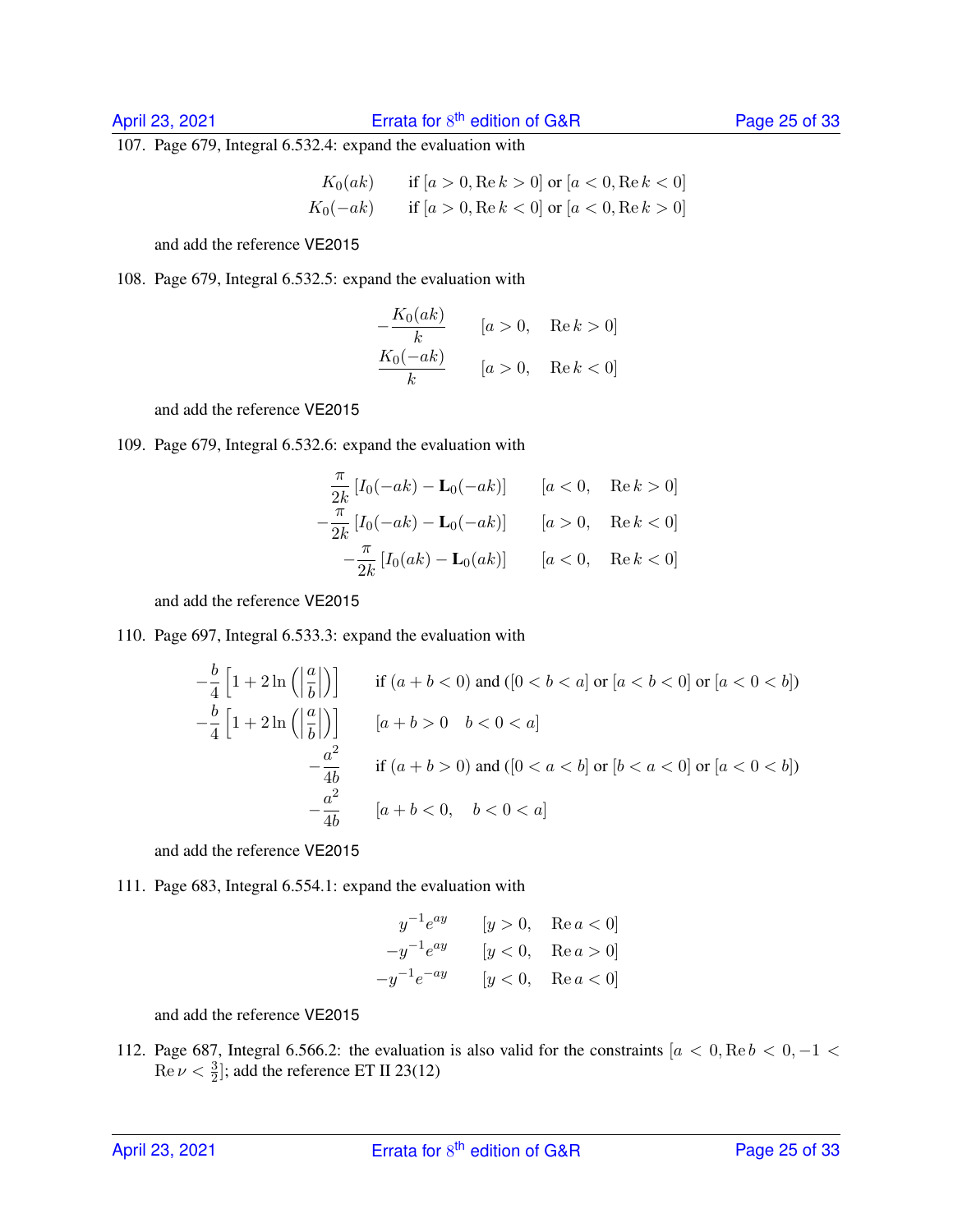107. Page 679, Integral 6.532.4: expand the evaluation with

$$
K_0(ak) \quad \text{if } [a > 0, \text{Re } k > 0] \text{ or } [a < 0, \text{Re } k < 0]
$$
  

$$
K_0(-ak) \quad \text{if } [a > 0, \text{Re } k < 0] \text{ or } [a < 0, \text{Re } k > 0]
$$

and add the reference VE2015

108. Page 679, Integral 6.532.5: expand the evaluation with

$$
-\frac{K_0(ak)}{k} \qquad [a>0, \quad \text{Re } k>0]
$$
  

$$
\frac{K_0(-ak)}{k} \qquad [a>0, \quad \text{Re } k<0]
$$

and add the reference VE2015

109. Page 679, Integral 6.532.6: expand the evaluation with

$$
\frac{\pi}{2k} [I_0(-ak) - \mathbf{L}_0(-ak)] \qquad [a < 0, \quad \text{Re } k > 0] \n- \frac{\pi}{2k} [I_0(-ak) - \mathbf{L}_0(-ak)] \qquad [a > 0, \quad \text{Re } k < 0] \n- \frac{\pi}{2k} [I_0(ak) - \mathbf{L}_0(ak)] \qquad [a < 0, \quad \text{Re } k < 0]
$$

and add the reference VE2015

110. Page 697, Integral 6.533.3: expand the evaluation with

$$
-\frac{b}{4}\left[1+2\ln\left(\left|\frac{a}{b}\right|\right)\right]
$$
 if  $(a+b<0)$  and  $(0 < b < a]$  or  $[a < b < 0]$  or  $[a < 0 < b]$ )  
\n
$$
-\frac{b}{4}\left[1+2\ln\left(\left|\frac{a}{b}\right|\right)\right]
$$
  $[a+b>0$   $b < 0 < a]$   
\n
$$
-\frac{a^2}{4b}
$$
 if  $(a+b>0)$  and  $(0 < a < b]$  or  $[b < a < 0]$  or  $[a < 0 < b]$ )  
\n
$$
-\frac{a^2}{4b}
$$
  $[a+b < 0, \quad b < 0 < a]$ 

and add the reference VE2015

111. Page 683, Integral 6.554.1: expand the evaluation with

$$
y^{-1}e^{ay}
$$
  $[y > 0, \text{Re } a < 0]$   
\n $-y^{-1}e^{ay}$   $[y < 0, \text{Re } a > 0]$   
\n $-y^{-1}e^{-ay}$   $[y < 0, \text{Re } a < 0]$ 

and add the reference VE2015

112. Page 687, Integral 6.566.2: the evaluation is also valid for the constraints  $[a < 0, \text{Re } b < 0, -1 <$  $\text{Re}\,\nu < \frac{3}{2}$ ]; add the reference ET II 23(12)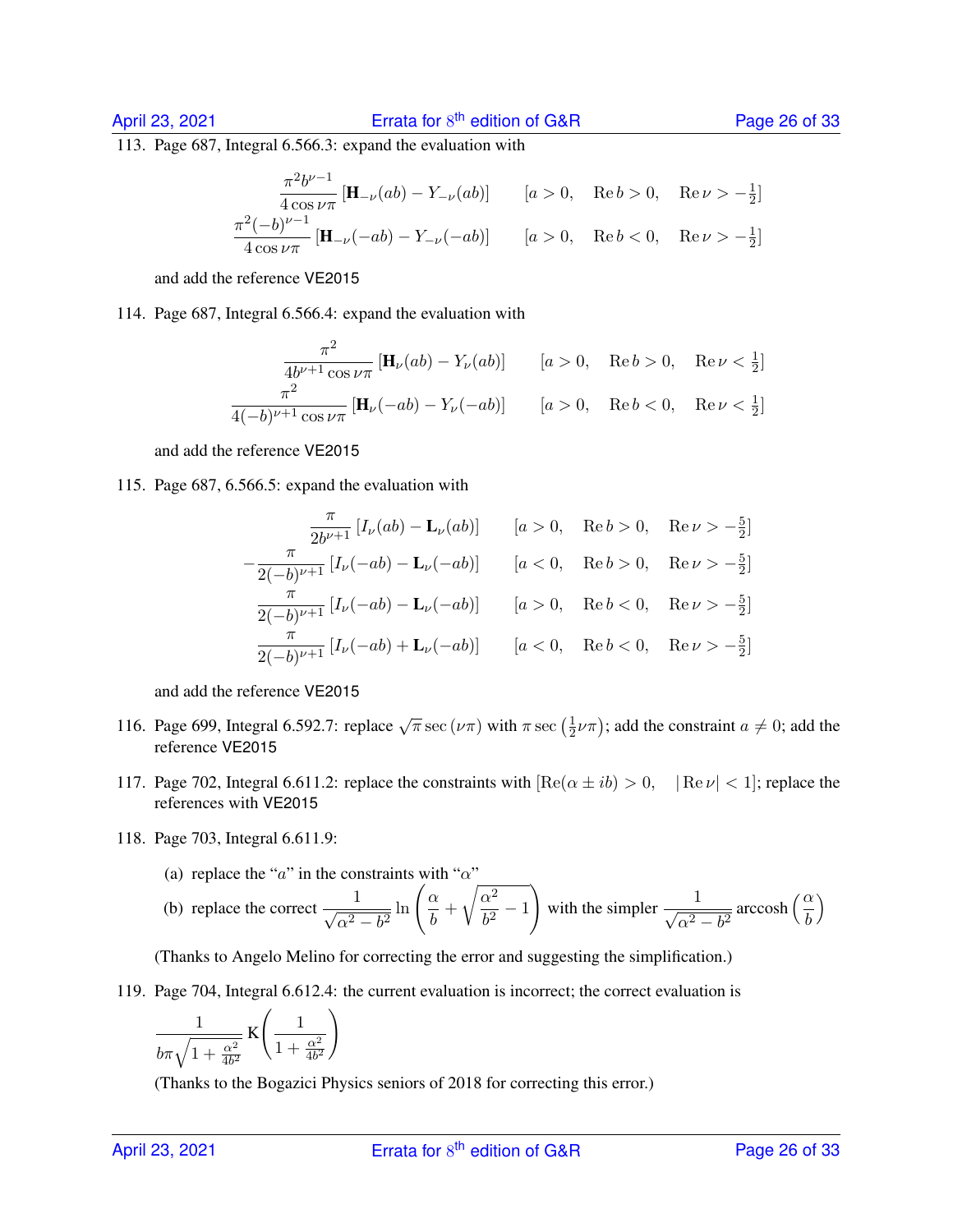#### April 23, 2021 **Exercise 12**

113. Page 687, Integral 6.566.3: expand the evaluation with

$$
\frac{\pi^2 b^{\nu-1}}{4 \cos \nu \pi} \left[ \mathbf{H}_{-\nu}(ab) - Y_{-\nu}(ab) \right] \qquad [a > 0, \quad \text{Re } b > 0, \quad \text{Re } \nu > -\frac{1}{2}]
$$
  

$$
\frac{\pi^2 (-b)^{\nu-1}}{4 \cos \nu \pi} \left[ \mathbf{H}_{-\nu}(-ab) - Y_{-\nu}(-ab) \right] \qquad [a > 0, \quad \text{Re } b < 0, \quad \text{Re } \nu > -\frac{1}{2}]
$$

and add the reference VE2015

114. Page 687, Integral 6.566.4: expand the evaluation with

$$
\frac{\pi^2}{4b^{\nu+1}\cos\nu\pi} \left[\mathbf{H}_{\nu}(ab) - Y_{\nu}(ab)\right] \qquad [a > 0, \quad \text{Re}\,b > 0, \quad \text{Re}\,\nu < \frac{1}{2}]
$$
  

$$
\frac{\pi^2}{4(-b)^{\nu+1}\cos\nu\pi} \left[\mathbf{H}_{\nu}(-ab) - Y_{\nu}(-ab)\right] \qquad [a > 0, \quad \text{Re}\,b < 0, \quad \text{Re}\,\nu < \frac{1}{2}]
$$

and add the reference VE2015

115. Page 687, 6.566.5: expand the evaluation with

$$
\frac{\pi}{2b^{\nu+1}} \left[ I_{\nu}(ab) - \mathbf{L}_{\nu}(ab) \right] \qquad [a > 0, \quad \text{Re } b > 0, \quad \text{Re } \nu > -\frac{5}{2} \right]
$$

$$
-\frac{\pi}{2(-b)^{\nu+1}} \left[ I_{\nu}(-ab) - \mathbf{L}_{\nu}(-ab) \right] \qquad [a < 0, \quad \text{Re } b > 0, \quad \text{Re } \nu > -\frac{5}{2} \right]
$$

$$
\frac{\pi}{2(-b)^{\nu+1}} \left[ I_{\nu}(-ab) - \mathbf{L}_{\nu}(-ab) \right] \qquad [a > 0, \quad \text{Re } b < 0, \quad \text{Re } \nu > -\frac{5}{2} \right]
$$

$$
\frac{\pi}{2(-b)^{\nu+1}} \left[ I_{\nu}(-ab) + \mathbf{L}_{\nu}(-ab) \right] \qquad [a < 0, \quad \text{Re } b < 0, \quad \text{Re } \nu > -\frac{5}{2} \right]
$$

and add the reference VE2015

- 116. Page 699, Integral 6.592.7: replace  $\sqrt{\pi}$  sec  $(\nu \pi)$  with  $\pi$  sec  $(\frac{1}{2})$  $(\frac{1}{2}\nu\pi)$ ; add the constraint  $a \neq 0$ ; add the reference VE2015
- 117. Page 702, Integral 6.611.2: replace the constraints with  $\text{Re}(\alpha \pm ib) > 0$ ,  $|\text{Re }\nu| < 1$ ; replace the references with VE2015
- 118. Page 703, Integral 6.611.9:
	- (a) replace the "a" in the constraints with " $\alpha$ "

(b) replace the correct 
$$
\frac{1}{\sqrt{\alpha^2 - b^2}} \ln \left( \frac{\alpha}{b} + \sqrt{\frac{\alpha^2}{b^2} - 1} \right)
$$
 with the simpler  $\frac{1}{\sqrt{\alpha^2 - b^2}}$  arccosh  $\left( \frac{\alpha}{b} \right)$ 

(Thanks to Angelo Melino for correcting the error and suggesting the simplification.)

119. Page 704, Integral 6.612.4: the current evaluation is incorrect; the correct evaluation is

$$
\frac{1}{b\pi\sqrt{1+\frac{\alpha^2}{4b^2}}}\,\mathrm{K}\Bigg(\frac{1}{1+\frac{\alpha^2}{4b^2}}\Bigg)
$$

(Thanks to the Bogazici Physics seniors of 2018 for correcting this error.)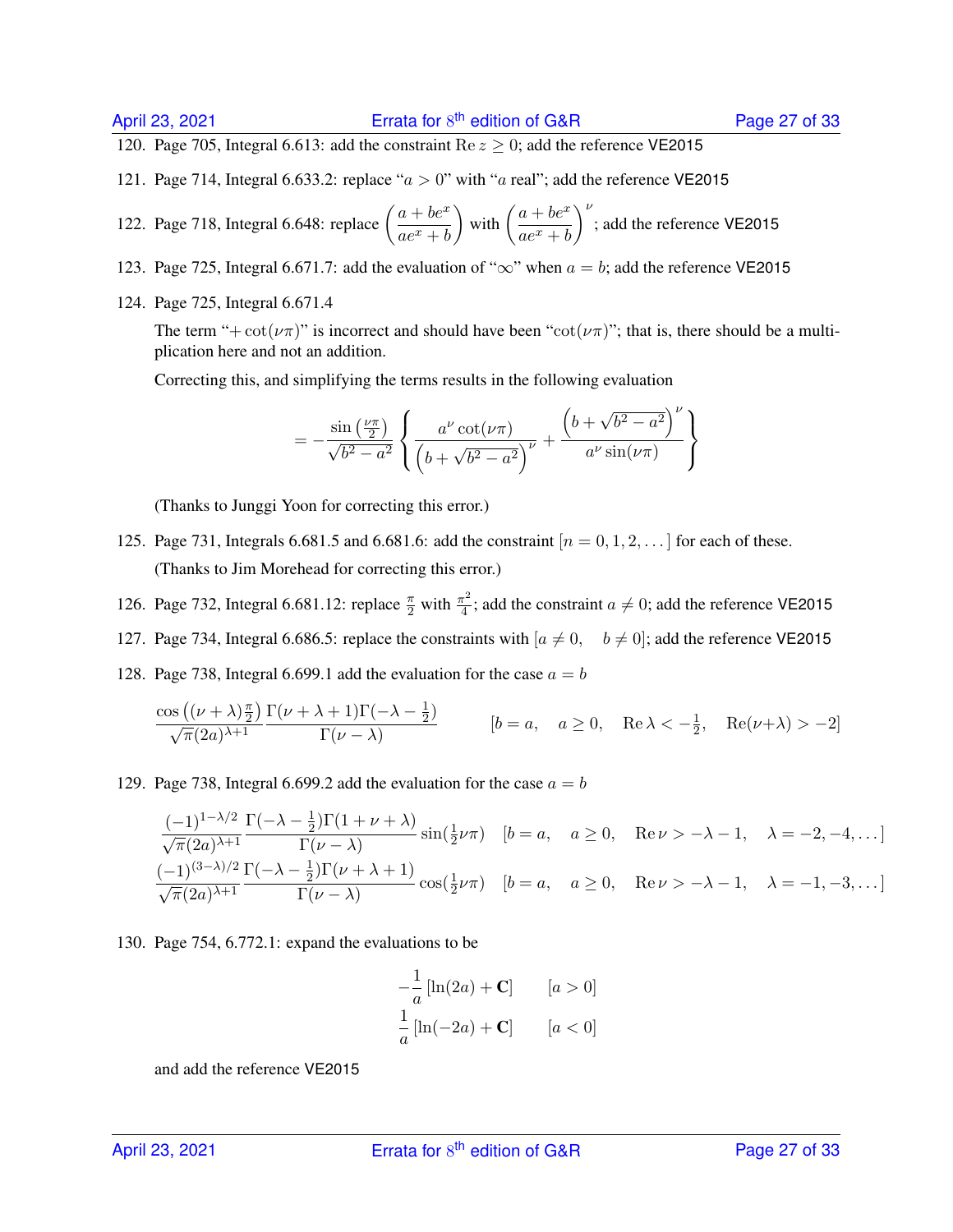120. Page 705, Integral 6.613: add the constraint Re  $z \ge 0$ ; add the reference VE2015

121. Page 714, Integral 6.633.2: replace " $a > 0$ " with "a real"; add the reference VE2015

122. Page 718, Integral 6.648: replace 
$$
\left(\frac{a+be^x}{ae^x+b}\right)
$$
 with  $\left(\frac{a+be^x}{ae^x+b}\right)^{\nu}$ ; add the reference VE2015

- 123. Page 725, Integral 6.671.7: add the evaluation of " $\infty$ " when  $a = b$ ; add the reference VE2015
- 124. Page 725, Integral 6.671.4

The term "+ $cot(\nu\pi)$ " is incorrect and should have been " $cot(\nu\pi)$ "; that is, there should be a multiplication here and not an addition.

Correcting this, and simplifying the terms results in the following evaluation

$$
= -\frac{\sin\left(\frac{\nu\pi}{2}\right)}{\sqrt{b^2 - a^2}} \left\{ \frac{a^{\nu}\cot(\nu\pi)}{\left(b + \sqrt{b^2 - a^2}\right)^{\nu}} + \frac{\left(b + \sqrt{b^2 - a^2}\right)^{\nu}}{a^{\nu}\sin(\nu\pi)} \right\}
$$

(Thanks to Junggi Yoon for correcting this error.)

- 125. Page 731, Integrals 6.681.5 and 6.681.6: add the constraint  $[n = 0, 1, 2, \ldots]$  for each of these. (Thanks to Jim Morehead for correcting this error.)
- 126. Page 732, Integral 6.681.12: replace  $\frac{\pi}{2}$  with  $\frac{\pi^2}{4}$  $\frac{\tau^2}{4}$ ; add the constraint  $a \neq 0$ ; add the reference VE2015
- 127. Page 734, Integral 6.686.5: replace the constraints with  $[a \neq 0, b \neq 0]$ ; add the reference VE2015
- 128. Page 738, Integral 6.699.1 add the evaluation for the case  $a = b$

$$
\frac{\cos\left((\nu+\lambda)\frac{\pi}{2}\right)}{\sqrt{\pi}(2a)^{\lambda+1}}\frac{\Gamma(\nu+\lambda+1)\Gamma(-\lambda-\frac{1}{2})}{\Gamma(\nu-\lambda)}\qquad \qquad [b=a, \quad a\geq 0, \quad \text{Re}\,\lambda<-{\frac{1}{2}}, \quad \text{Re}(\nu+\lambda)>-2]
$$

129. Page 738, Integral 6.699.2 add the evaluation for the case  $a = b$ 

$$
\frac{(-1)^{1-\lambda/2}}{\sqrt{\pi}(2a)^{\lambda+1}} \frac{\Gamma(-\lambda - \frac{1}{2})\Gamma(1+\nu+\lambda)}{\Gamma(\nu-\lambda)} \sin(\frac{1}{2}\nu\pi) \quad [b=a, \quad a \ge 0, \quad \text{Re}\,\nu > -\lambda - 1, \quad \lambda = -2, -4, \dots]
$$

$$
\frac{(-1)^{(3-\lambda)/2}}{\sqrt{\pi}(2a)^{\lambda+1}} \frac{\Gamma(-\lambda - \frac{1}{2})\Gamma(\nu+\lambda+1)}{\Gamma(\nu-\lambda)} \cos(\frac{1}{2}\nu\pi) \quad [b=a, \quad a \ge 0, \quad \text{Re}\,\nu > -\lambda - 1, \quad \lambda = -1, -3, \dots]
$$

130. Page 754, 6.772.1: expand the evaluations to be

$$
-\frac{1}{a}\left[\ln(2a) + \mathbf{C}\right] \qquad [a > 0]
$$

$$
\frac{1}{a}\left[\ln(-2a) + \mathbf{C}\right] \qquad [a < 0]
$$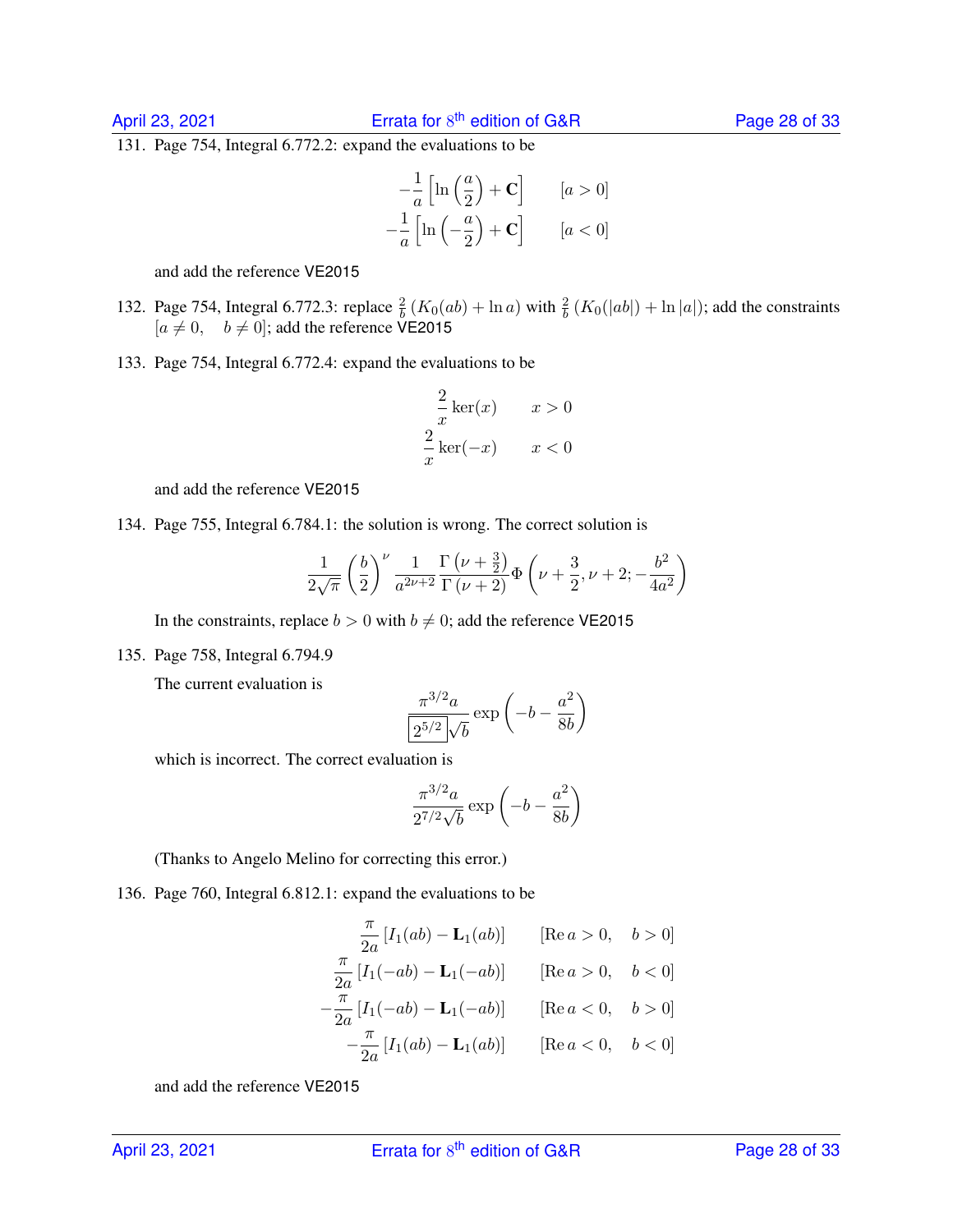131. Page 754, Integral 6.772.2: expand the evaluations to be

$$
-\frac{1}{a}\left[\ln\left(\frac{a}{2}\right)+\mathbf{C}\right] \qquad [a>0]
$$

$$
-\frac{1}{a}\left[\ln\left(-\frac{a}{2}\right)+\mathbf{C}\right] \qquad [a<0]
$$

and add the reference VE2015

- 132. Page 754, Integral 6.772.3: replace  $\frac{2}{b}$  ( $K_0(ab) + \ln a$ ) with  $\frac{2}{b}$  ( $K_0(|ab|) + \ln |a|$ ); add the constraints  $[a \neq 0, \quad b \neq 0]$ ; add the reference VE2015
- 133. Page 754, Integral 6.772.4: expand the evaluations to be

$$
\frac{2}{x}\ker(x) \qquad x > 0
$$

$$
\frac{2}{x}\ker(-x) \qquad x < 0
$$

and add the reference VE2015

134. Page 755, Integral 6.784.1: the solution is wrong. The correct solution is

$$
\frac{1}{2\sqrt{\pi}}\left(\frac{b}{2}\right)^{\nu}\frac{1}{a^{2\nu+2}}\frac{\Gamma\left(\nu+\frac{3}{2}\right)}{\Gamma\left(\nu+2\right)}\Phi\left(\nu+\frac{3}{2},\nu+2;-\frac{b^2}{4a^2}\right)
$$

In the constraints, replace  $b > 0$  with  $b \neq 0$ ; add the reference VE2015

135. Page 758, Integral 6.794.9

The current evaluation is

$$
\frac{\pi^{3/2}a}{2^{5/2}\sqrt{b}}\exp\left(-b-\frac{a^2}{8b}\right)
$$

which is incorrect. The correct evaluation is

$$
\frac{\pi^{3/2}a}{2^{7/2}\sqrt{b}}\exp\left(-b-\frac{a^2}{8b}\right)
$$

(Thanks to Angelo Melino for correcting this error.)

136. Page 760, Integral 6.812.1: expand the evaluations to be

$$
\frac{\pi}{2a} [I_1(ab) - \mathbf{L}_1(ab)] \qquad [\text{Re } a > 0, \quad b > 0]
$$
  

$$
\frac{\pi}{2a} [I_1(-ab) - \mathbf{L}_1(-ab)] \qquad [\text{Re } a > 0, \quad b < 0]
$$
  

$$
-\frac{\pi}{2a} [I_1(-ab) - \mathbf{L}_1(-ab)] \qquad [\text{Re } a < 0, \quad b > 0]
$$
  

$$
-\frac{\pi}{2a} [I_1(ab) - \mathbf{L}_1(ab)] \qquad [\text{Re } a < 0, \quad b < 0]
$$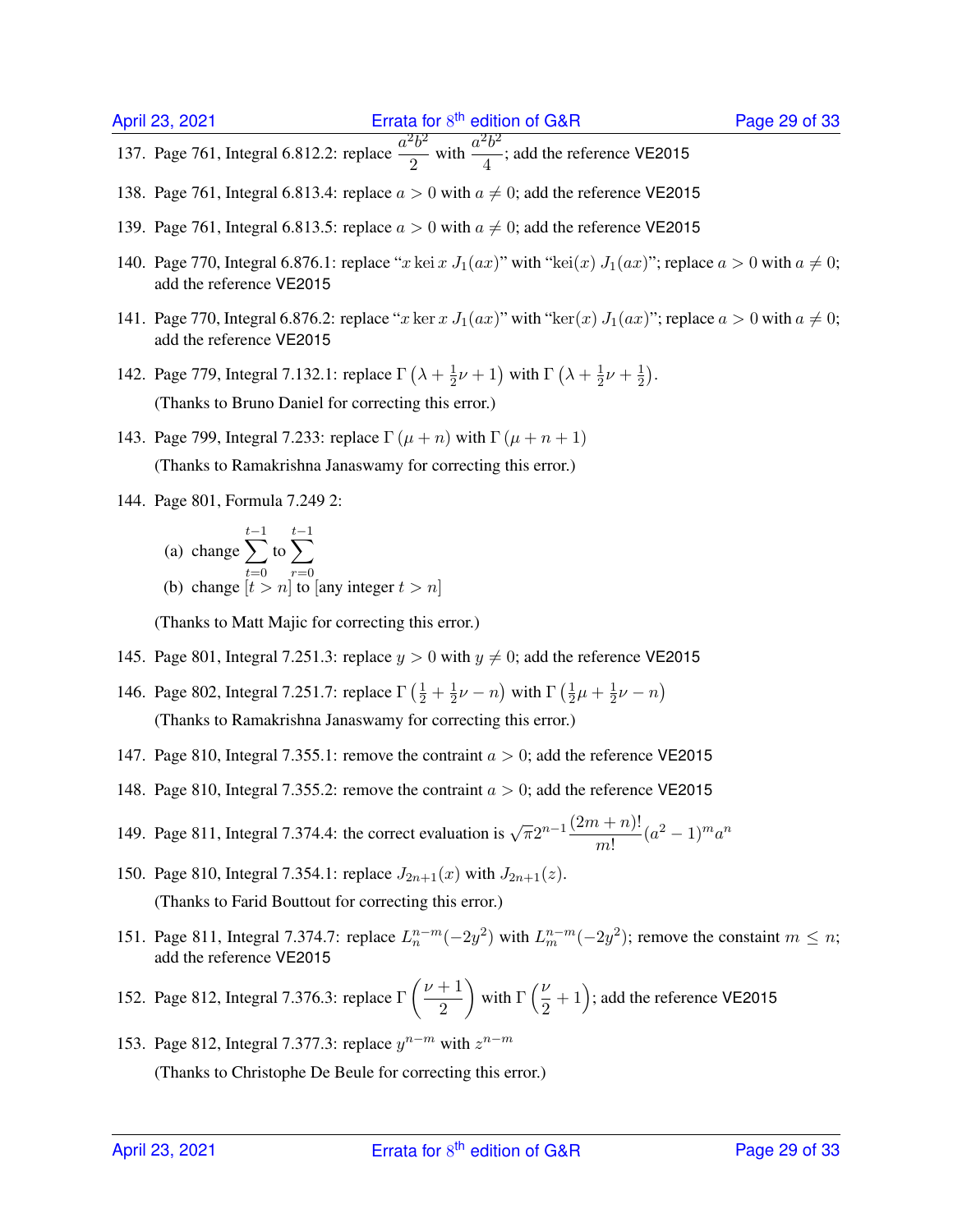- 137. Page 761, Integral 6.812.2: replace  $\frac{a^2b^2}{2}$  $\frac{a^2b^2}{2}$  with  $\frac{a^2b^2}{4}$  $\frac{6}{4}$ ; add the reference VE2015
- 138. Page 761, Integral 6.813.4: replace  $a > 0$  with  $a \neq 0$ ; add the reference VE2015
- 139. Page 761, Integral 6.813.5: replace  $a > 0$  with  $a \neq 0$ ; add the reference VE2015
- 140. Page 770, Integral 6.876.1: replace "x kei x  $J_1(ax)$ " with "kei(x)  $J_1(ax)$ "; replace  $a > 0$  with  $a \neq 0$ ; add the reference VE2015
- 141. Page 770, Integral 6.876.2: replace "x ker x  $J_1(ax)$ " with "ker(x)  $J_1(ax)$ "; replace  $a > 0$  with  $a \neq 0$ ; add the reference VE2015
- 142. Page 779, Integral 7.132.1: replace  $\Gamma(\lambda + \frac{1}{2})$  $\frac{1}{2}\nu+1$ ) with  $\Gamma\left(\lambda+\frac{1}{2}\right)$  $rac{1}{2}\nu + \frac{1}{2}$  $\frac{1}{2}$ . (Thanks to Bruno Daniel for correcting this error.)
- 143. Page 799, Integral 7.233: replace  $\Gamma(\mu+n)$  with  $\Gamma(\mu+n+1)$ (Thanks to Ramakrishna Janaswamy for correcting this error.)
- 144. Page 801, Formula 7.249 2:
	- (a) change  $\sum$  $t-1$  $t=0$ to  $\sum$  $t-1$  $r=0$ (b) change  $[t > n]$  to [any integer  $t > n$ ]

(Thanks to Matt Majic for correcting this error.)

- 145. Page 801, Integral 7.251.3: replace  $y > 0$  with  $y \neq 0$ ; add the reference VE2015
- 146. Page 802, Integral 7.251.7: replace  $\Gamma(\frac{1}{2} + \frac{1}{2})$  $\frac{1}{2}\nu - n$ ) with  $\Gamma\left(\frac{1}{2}\right)$  $\frac{1}{2}\mu + \frac{1}{2}$  $rac{1}{2}\nu - n$ (Thanks to Ramakrishna Janaswamy for correcting this error.)
- 147. Page 810, Integral 7.355.1: remove the contraint  $a > 0$ ; add the reference VE2015
- 148. Page 810, Integral 7.355.2: remove the contraint  $a > 0$ ; add the reference VE2015
- 149. Page 811, Integral 7.374.4: the correct evaluation is  $\sqrt{\pi}2^{n-1}\frac{(2m+n)!}{n}$  $\frac{(n+1)!}{m!} (a^2-1)^m a^n$
- 150. Page 810, Integral 7.354.1: replace  $J_{2n+1}(x)$  with  $J_{2n+1}(z)$ . (Thanks to Farid Bouttout for correcting this error.)
- 151. Page 811, Integral 7.374.7: replace  $L_n^{n-m}(-2y^2)$  with  $L_m^{n-m}(-2y^2)$ ; remove the constaint  $m \leq n$ ; add the reference VE2015
- 152. Page 812, Integral 7.376.3: replace  $\Gamma\left(\frac{\nu+1}{2}\right)$ 2 ) with  $\Gamma\left(\frac{\nu}{2}\right)$  $(\frac{\nu}{2}+1)$ ; add the reference VE2015
- 153. Page 812, Integral 7.377.3: replace  $y^{n-m}$  with  $z^{n-m}$ (Thanks to Christophe De Beule for correcting this error.)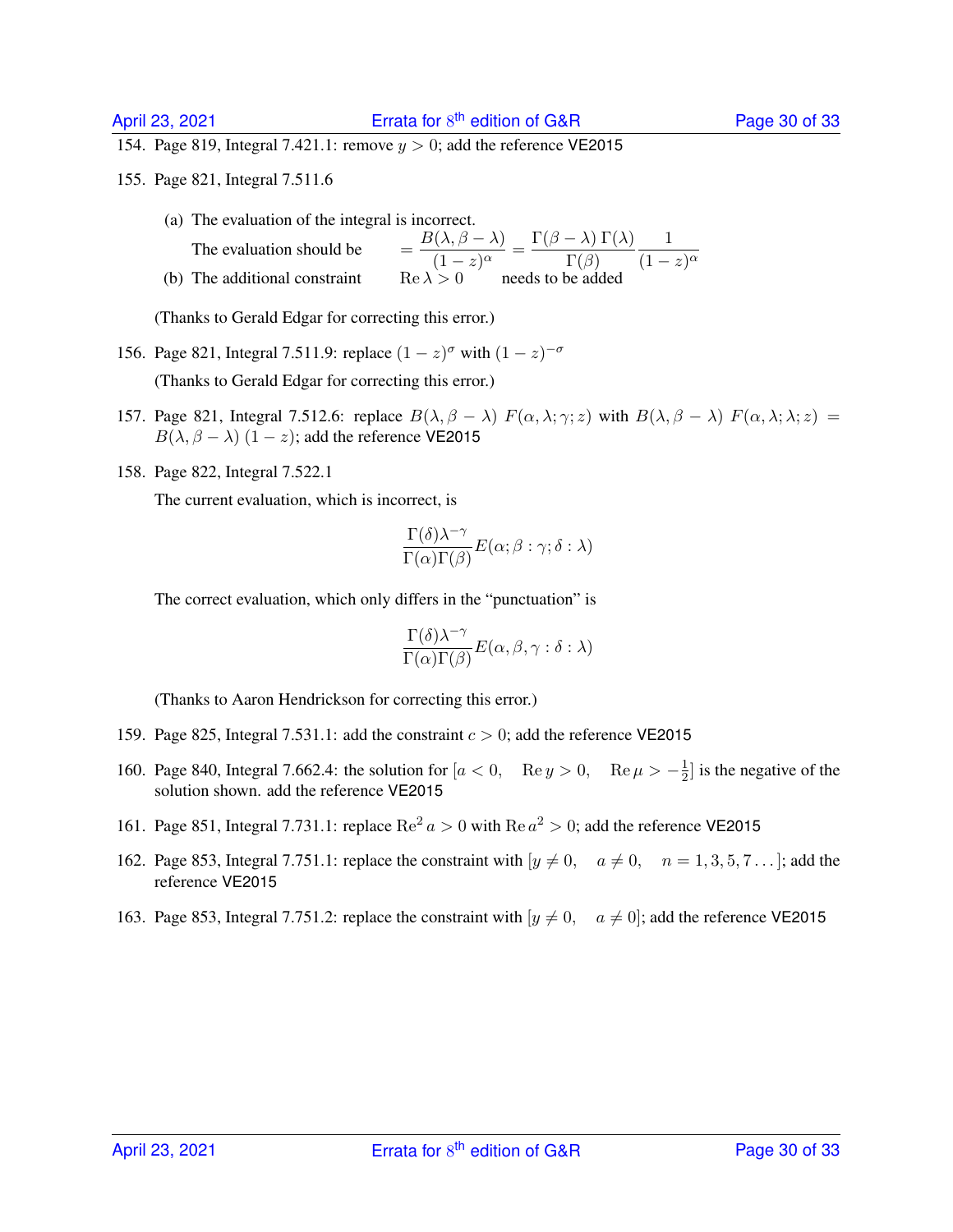154. Page 819, Integral 7.421.1: remove  $y > 0$ ; add the reference VE2015

- 155. Page 821, Integral 7.511.6
	- (a) The evaluation of the integral is incorrect. The evaluation should be  $B(\lambda, \beta - \lambda)$  $\frac{\Gamma(\lambda,\beta-\lambda)}{(1-z)^\alpha} = \frac{\Gamma(\beta-\lambda)\;\Gamma(\lambda)}{\Gamma(\beta)}$  $\Gamma(\beta)$ 1  $(1-z)^{\alpha}$ (b) The additional constraint

(Thanks to Gerald Edgar for correcting this error.)

- 156. Page 821, Integral 7.511.9: replace  $(1 z)^{\sigma}$  with  $(1 z)^{-\sigma}$ (Thanks to Gerald Edgar for correcting this error.)
- 157. Page 821, Integral 7.512.6: replace  $B(\lambda, \beta \lambda) F(\alpha, \lambda; \gamma; z)$  with  $B(\lambda, \beta \lambda) F(\alpha, \lambda; \lambda; z) =$  $B(\lambda, \beta - \lambda)$  (1 – z); add the reference VE2015
- 158. Page 822, Integral 7.522.1

The current evaluation, which is incorrect, is

$$
\frac{\Gamma(\delta) \lambda^{-\gamma}}{\Gamma(\alpha) \Gamma(\beta)} E(\alpha; \beta : \gamma; \delta : \lambda)
$$

The correct evaluation, which only differs in the "punctuation" is

$$
\frac{\Gamma(\delta) \lambda^{-\gamma}}{\Gamma(\alpha) \Gamma(\beta)} E(\alpha, \beta, \gamma : \delta : \lambda)
$$

(Thanks to Aaron Hendrickson for correcting this error.)

- 159. Page 825, Integral 7.531.1: add the constraint  $c > 0$ ; add the reference VE2015
- 160. Page 840, Integral 7.662.4: the solution for  $[a < 0, \text{Re } y > 0, \text{Re } \mu > -\frac{1}{2}$  $\frac{1}{2}$  is the negative of the solution shown. add the reference VE2015
- 161. Page 851, Integral 7.731.1: replace  $\text{Re}^2 a > 0$  with  $\text{Re} a^2 > 0$ ; add the reference VE2015
- 162. Page 853, Integral 7.751.1: replace the constraint with  $[y \neq 0, a \neq 0, n = 1, 3, 5, 7 \dots]$ ; add the reference VE2015
- 163. Page 853, Integral 7.751.2: replace the constraint with  $[y \neq 0, a \neq 0]$ ; add the reference VE2015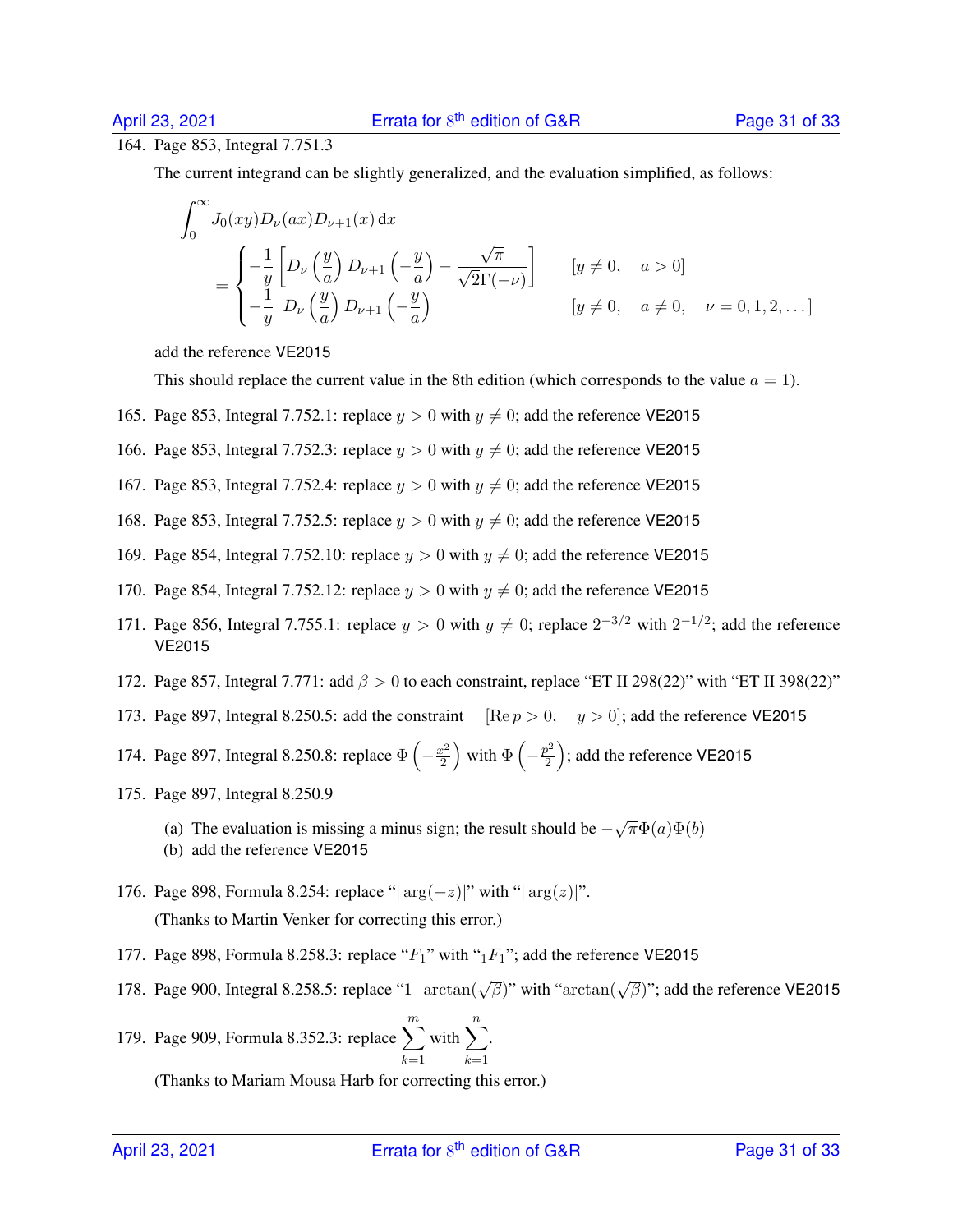#### 164. Page 853, Integral 7.751.3

∞

The current integrand can be slightly generalized, and the evaluation simplified, as follows:

$$
\int_0^\infty J_0(xy)D_\nu(ax)D_{\nu+1}(x) dx
$$
\n
$$
= \begin{cases}\n-\frac{1}{y}\left[D_\nu\left(\frac{y}{a}\right)D_{\nu+1}\left(-\frac{y}{a}\right) - \frac{\sqrt{\pi}}{\sqrt{2}\Gamma(-\nu)}\right] & [y \neq 0, \quad a > 0] \\
-\frac{1}{y}D_\nu\left(\frac{y}{a}\right)D_{\nu+1}\left(-\frac{y}{a}\right) & [y \neq 0, \quad a \neq 0, \quad \nu = 0, 1, 2, \ldots]\n\end{cases}
$$

add the reference VE2015

This should replace the current value in the 8th edition (which corresponds to the value  $a = 1$ ).

- 165. Page 853, Integral 7.752.1: replace  $y > 0$  with  $y \neq 0$ ; add the reference VE2015
- 166. Page 853, Integral 7.752.3: replace  $y > 0$  with  $y \neq 0$ ; add the reference VE2015
- 167. Page 853, Integral 7.752.4: replace  $y > 0$  with  $y \neq 0$ ; add the reference VE2015
- 168. Page 853, Integral 7.752.5: replace  $y > 0$  with  $y \neq 0$ ; add the reference VE2015
- 169. Page 854, Integral 7.752.10: replace  $y > 0$  with  $y \neq 0$ ; add the reference VE2015
- 170. Page 854, Integral 7.752.12: replace  $y > 0$  with  $y \neq 0$ ; add the reference VE2015
- 171. Page 856, Integral 7.755.1: replace  $y > 0$  with  $y \neq 0$ ; replace  $2^{-3/2}$  with  $2^{-1/2}$ ; add the reference VE2015
- 172. Page 857, Integral 7.771: add  $\beta > 0$  to each constraint, replace "ET II 298(22)" with "ET II 398(22)"
- 173. Page 897, Integral 8.250.5: add the constraint [Re  $p > 0$ ,  $y > 0$ ]; add the reference VE2015
- 174. Page 897, Integral 8.250.8: replace  $\Phi\left(-\frac{x^2}{2}\right)$  $\left(\frac{x^2}{2}\right)$  with  $\Phi\left(-\frac{p^2}{2}\right)$  $\left(\frac{p^2}{2}\right)$ ; add the reference VE2015
- 175. Page 897, Integral 8.250.9
	- (a) The evaluation is missing a minus sign; the result should be  $-\sqrt{\pi}\Phi(a)\Phi(b)$
	- (b) add the reference VE2015
- 176. Page 898, Formula 8.254: replace " $|\arg(-z)|$ " with " $|\arg(z)|$ ". (Thanks to Martin Venker for correcting this error.)
- 177. Page 898, Formula 8.258.3: replace " $F_1$ " with " $_1F_1$ "; add the reference VE2015
- 178. Page 900, Integral 8.258.5: replace "1  $arctan(\sqrt{\beta})$ " with " $arctan(\sqrt{\beta})$ "; add the reference VE2015

179. Page 909, Formula 8.352.3: replace 
$$
\sum_{k=1}^{m}
$$
 with  $\sum_{k=1}^{n}$ .

(Thanks to Mariam Mousa Harb for correcting this error.)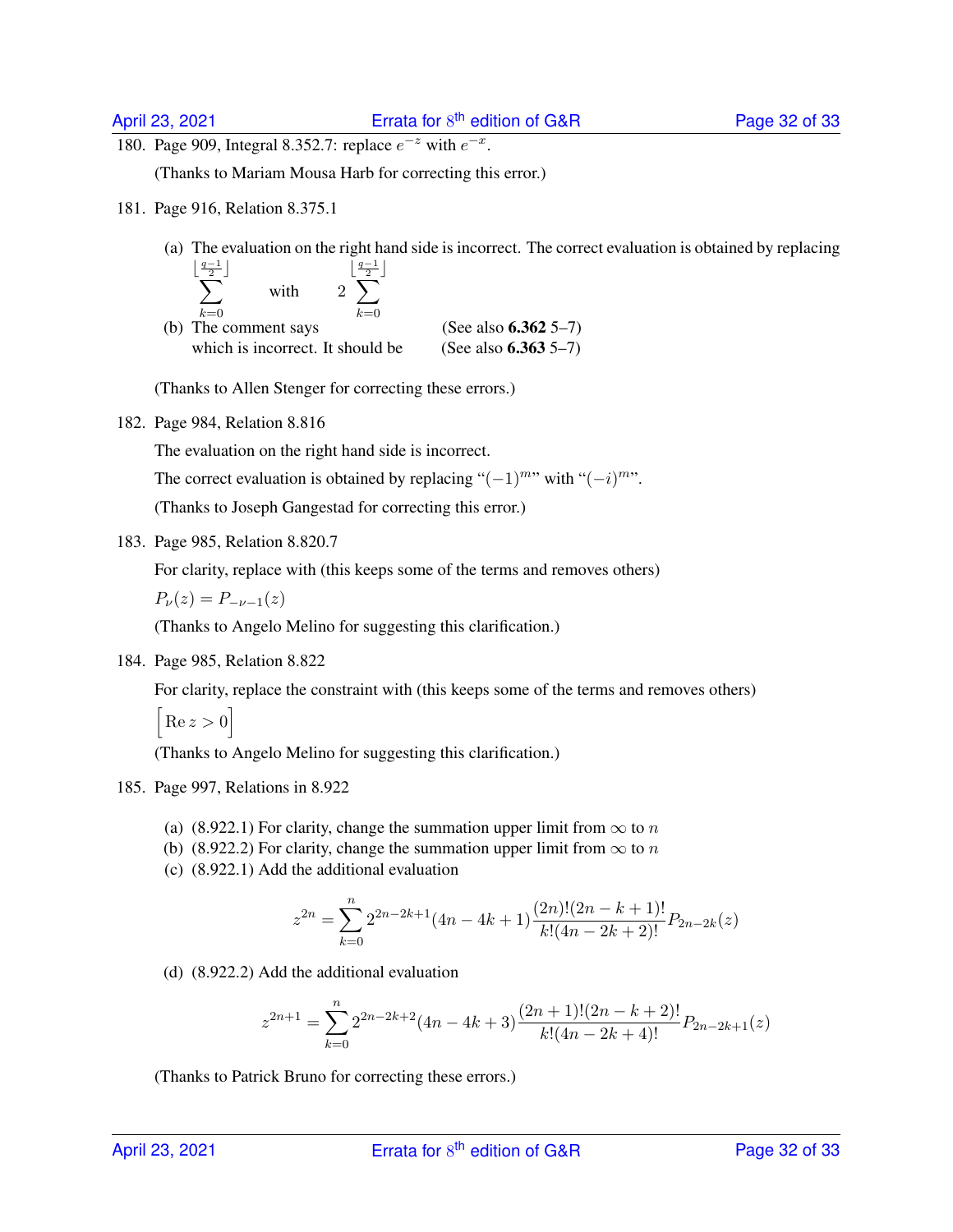180. Page 909, Integral 8.352.7: replace  $e^{-z}$  with  $e^{-x}$ .

(Thanks to Mariam Mousa Harb for correcting this error.)

181. Page 916, Relation 8.375.1

 $\overline{\phantom{a}}$ 

(a) The evaluation on the right hand side is incorrect. The correct evaluation is obtained by replacing

$$
\sum_{k=0}^{\frac{q-1}{2}} \qquad \text{with} \qquad 2 \sum_{k=0}^{\left\lfloor \frac{q-1}{2} \right\rfloor}
$$

(b) The comment says  $k=0$  (See also **6.362** 5–7) which is incorrect. It should be  $(See also 6.363 5-7)$ 

(Thanks to Allen Stenger for correcting these errors.)

182. Page 984, Relation 8.816

The evaluation on the right hand side is incorrect.

The correct evaluation is obtained by replacing " $(-1)^{m}$ " with " $(-i)^{m}$ ".

(Thanks to Joseph Gangestad for correcting this error.)

183. Page 985, Relation 8.820.7

For clarity, replace with (this keeps some of the terms and removes others)

 $P_{\nu}(z) = P_{-\nu-1}(z)$ 

(Thanks to Angelo Melino for suggesting this clarification.)

184. Page 985, Relation 8.822

For clarity, replace the constraint with (this keeps some of the terms and removes others)

 $\big[ \operatorname{Re} z > 0 \big]$ 

(Thanks to Angelo Melino for suggesting this clarification.)

- 185. Page 997, Relations in 8.922
	- (a) (8.922.1) For clarity, change the summation upper limit from  $\infty$  to n
	- (b) (8.922.2) For clarity, change the summation upper limit from  $\infty$  to n
	- (c) (8.922.1) Add the additional evaluation

$$
z^{2n} = \sum_{k=0}^{n} 2^{2n-2k+1} (4n - 4k + 1) \frac{(2n)!(2n - k + 1)!}{k!(4n - 2k + 2)!} P_{2n-2k}(z)
$$

(d) (8.922.2) Add the additional evaluation

$$
z^{2n+1} = \sum_{k=0}^{n} 2^{2n-2k+2} (4n - 4k + 3) \frac{(2n+1)!(2n-k+2)!}{k!(4n-2k+4)!} P_{2n-2k+1}(z)
$$

(Thanks to Patrick Bruno for correcting these errors.)